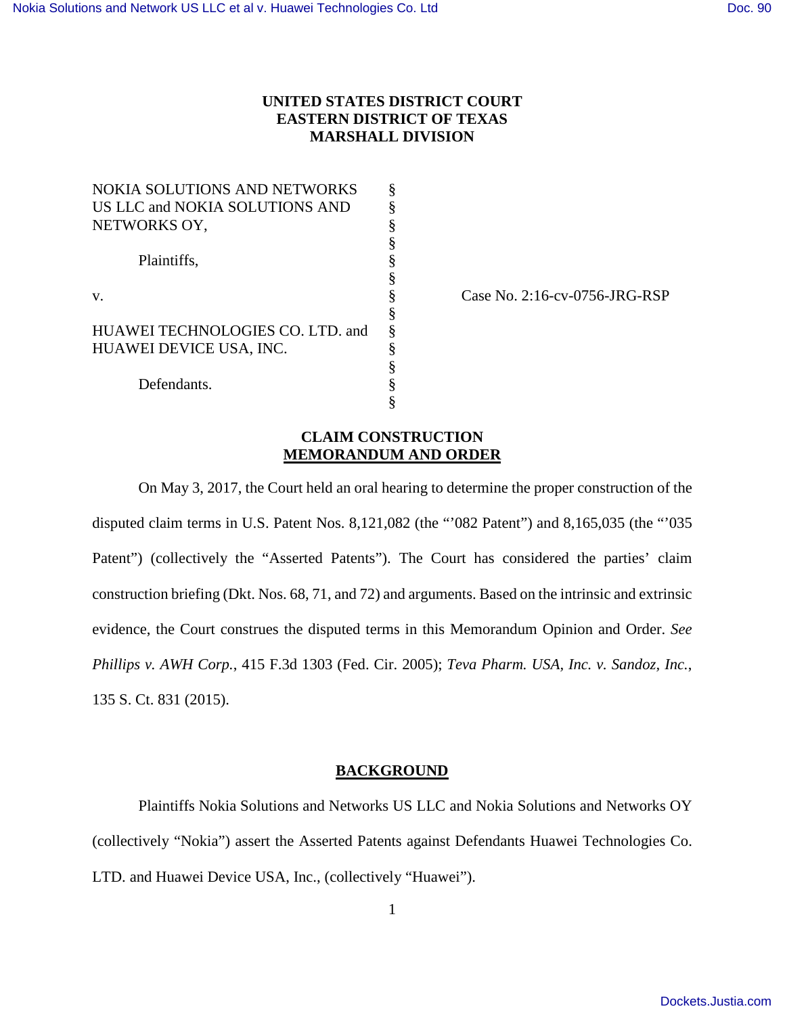# **UNITED STATES DISTRICT COURT EASTERN DISTRICT OF TEXAS MARSHALL DIVISION**

| NOKIA SOLUTIONS AND NETWORKS     |   |
|----------------------------------|---|
| US LLC and NOKIA SOLUTIONS AND   |   |
| NETWORKS OY,                     | § |
|                                  | § |
| Plaintiffs.                      | § |
|                                  | § |
| v.                               | § |
|                                  | § |
| HUAWEI TECHNOLOGIES CO. LTD. and | § |
| HUAWEI DEVICE USA, INC.          | § |
|                                  | § |
| Defendants.                      |   |
|                                  |   |

Case No. 2:16-cv-0756-JRG-RSP

# **CLAIM CONSTRUCTION MEMORANDUM AND ORDER**

On May 3, 2017, the Court held an oral hearing to determine the proper construction of the disputed claim terms in U.S. Patent Nos. 8,121,082 (the "'082 Patent") and 8,165,035 (the "'035 Patent") (collectively the "Asserted Patents"). The Court has considered the parties' claim construction briefing (Dkt. Nos. 68, 71, and 72) and arguments. Based on the intrinsic and extrinsic evidence, the Court construes the disputed terms in this Memorandum Opinion and Order. *See Phillips v. AWH Corp.*, 415 F.3d 1303 (Fed. Cir. 2005); *Teva Pharm. USA, Inc. v. Sandoz, Inc.*, 135 S. Ct. 831 (2015).

## **BACKGROUND**

Plaintiffs Nokia Solutions and Networks US LLC and Nokia Solutions and Networks OY (collectively "Nokia") assert the Asserted Patents against Defendants Huawei Technologies Co. LTD. and Huawei Device USA, Inc., (collectively "Huawei").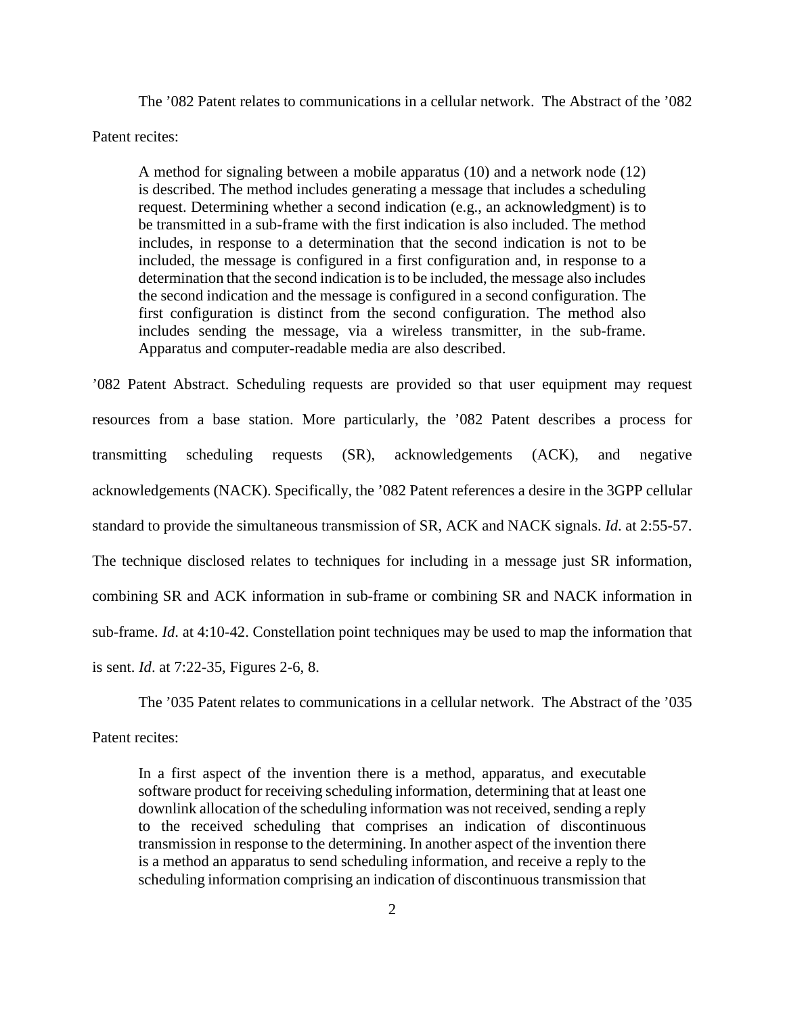The '082 Patent relates to communications in a cellular network. The Abstract of the '082 Patent recites:

A method for signaling between a mobile apparatus (10) and a network node (12) is described. The method includes generating a message that includes a scheduling request. Determining whether a second indication (e.g., an acknowledgment) is to be transmitted in a sub-frame with the first indication is also included. The method includes, in response to a determination that the second indication is not to be included, the message is configured in a first configuration and, in response to a determination that the second indication is to be included, the message also includes the second indication and the message is configured in a second configuration. The first configuration is distinct from the second configuration. The method also includes sending the message, via a wireless transmitter, in the sub-frame. Apparatus and computer-readable media are also described.

'082 Patent Abstract. Scheduling requests are provided so that user equipment may request resources from a base station. More particularly, the '082 Patent describes a process for transmitting scheduling requests (SR), acknowledgements (ACK), and negative acknowledgements (NACK). Specifically, the '082 Patent references a desire in the 3GPP cellular standard to provide the simultaneous transmission of SR, ACK and NACK signals. *Id*. at 2:55-57. The technique disclosed relates to techniques for including in a message just SR information, combining SR and ACK information in sub-frame or combining SR and NACK information in sub-frame. *Id*. at 4:10-42. Constellation point techniques may be used to map the information that is sent. *Id*. at 7:22-35, Figures 2-6, 8.

The '035 Patent relates to communications in a cellular network. The Abstract of the '035 Patent recites:

In a first aspect of the invention there is a method, apparatus, and executable software product for receiving scheduling information, determining that at least one downlink allocation of the scheduling information was not received, sending a reply to the received scheduling that comprises an indication of discontinuous transmission in response to the determining. In another aspect of the invention there is a method an apparatus to send scheduling information, and receive a reply to the scheduling information comprising an indication of discontinuous transmission that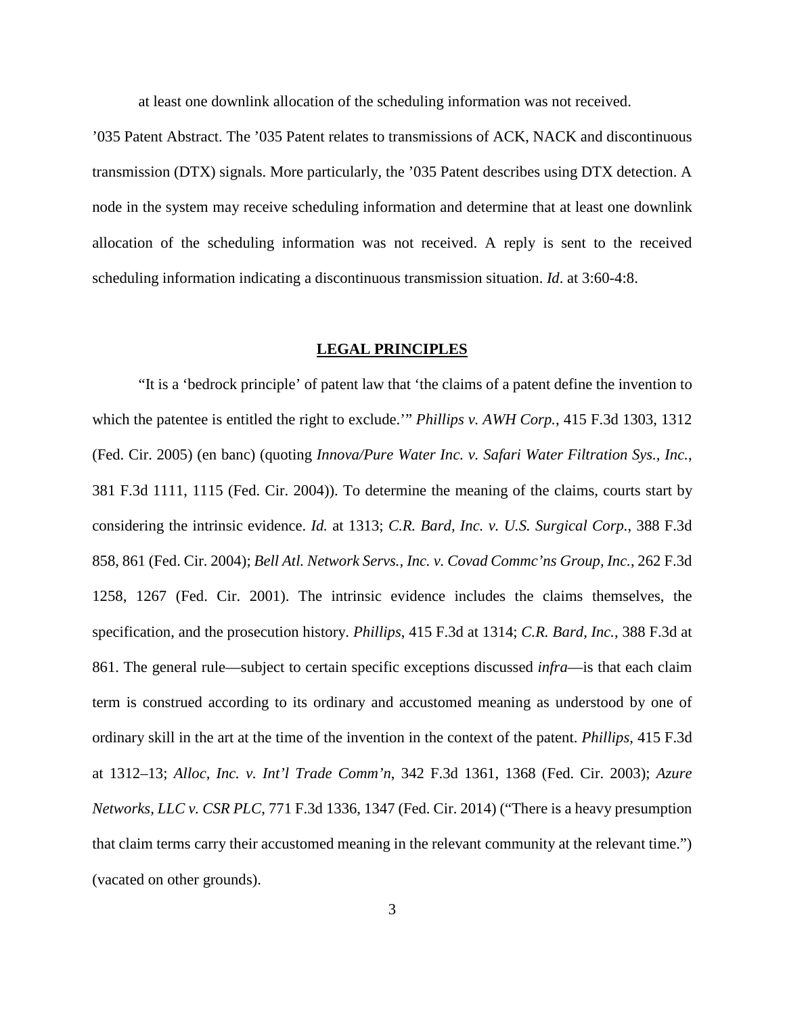at least one downlink allocation of the scheduling information was not received.

'035 Patent Abstract. The '035 Patent relates to transmissions of ACK, NACK and discontinuous transmission (DTX) signals. More particularly, the '035 Patent describes using DTX detection. A node in the system may receive scheduling information and determine that at least one downlink allocation of the scheduling information was not received. A reply is sent to the received scheduling information indicating a discontinuous transmission situation. *Id*. at 3:60-4:8.

## **LEGAL PRINCIPLES**

"It is a 'bedrock principle' of patent law that 'the claims of a patent define the invention to which the patentee is entitled the right to exclude.'" *Phillips v. AWH Corp.*, 415 F.3d 1303, 1312 (Fed. Cir. 2005) (en banc) (quoting *Innova/Pure Water Inc. v. Safari Water Filtration Sys., Inc.*, 381 F.3d 1111, 1115 (Fed. Cir. 2004)). To determine the meaning of the claims, courts start by considering the intrinsic evidence. *Id.* at 1313; *C.R. Bard, Inc. v. U.S. Surgical Corp.*, 388 F.3d 858, 861 (Fed. Cir. 2004); *Bell Atl. Network Servs., Inc. v. Covad Commc'ns Group, Inc.*, 262 F.3d 1258, 1267 (Fed. Cir. 2001). The intrinsic evidence includes the claims themselves, the specification, and the prosecution history. *Phillips*, 415 F.3d at 1314; *C.R. Bard, Inc.*, 388 F.3d at 861. The general rule—subject to certain specific exceptions discussed *infra*—is that each claim term is construed according to its ordinary and accustomed meaning as understood by one of ordinary skill in the art at the time of the invention in the context of the patent. *Phillips*, 415 F.3d at 1312–13; *Alloc, Inc. v. Int'l Trade Comm'n*, 342 F.3d 1361, 1368 (Fed. Cir. 2003); *Azure Networks, LLC v. CSR PLC*, 771 F.3d 1336, 1347 (Fed. Cir. 2014) ("There is a heavy presumption that claim terms carry their accustomed meaning in the relevant community at the relevant time.") (vacated on other grounds).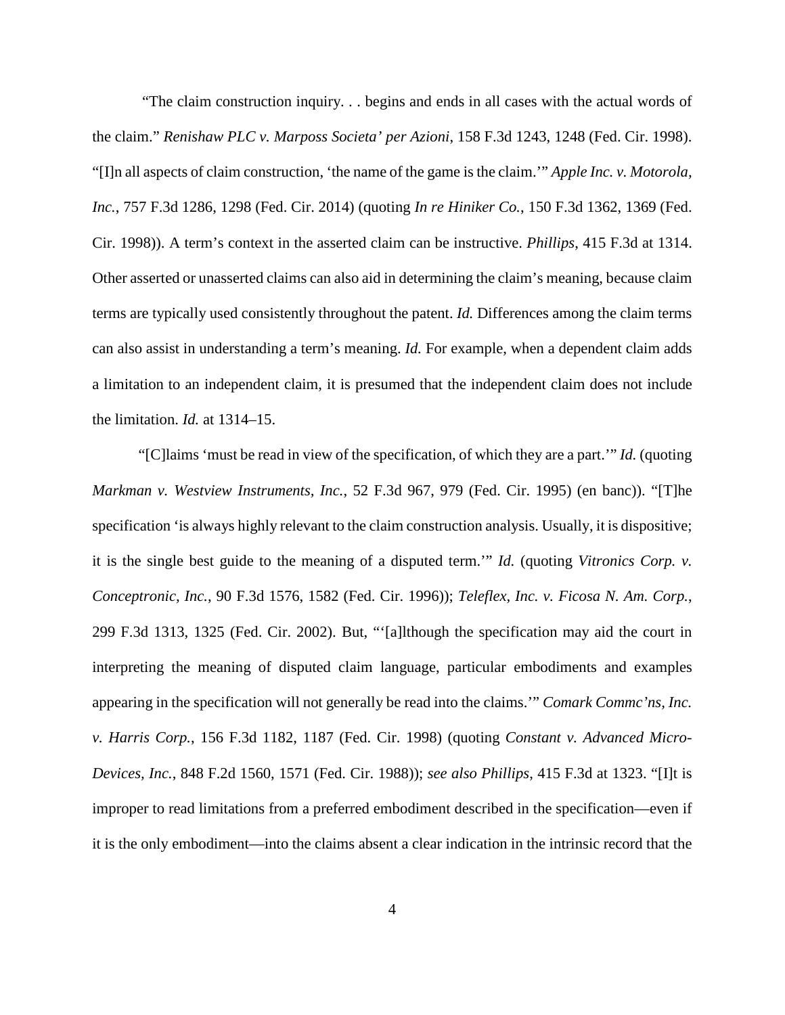"The claim construction inquiry. . . begins and ends in all cases with the actual words of the claim." *Renishaw PLC v. Marposs Societa' per Azioni*, 158 F.3d 1243, 1248 (Fed. Cir. 1998). "[I]n all aspects of claim construction, 'the name of the game is the claim.'" *Apple Inc. v. Motorola, Inc.*, 757 F.3d 1286, 1298 (Fed. Cir. 2014) (quoting *In re Hiniker Co.*, 150 F.3d 1362, 1369 (Fed. Cir. 1998)). A term's context in the asserted claim can be instructive. *Phillips*, 415 F.3d at 1314. Other asserted or unasserted claims can also aid in determining the claim's meaning, because claim terms are typically used consistently throughout the patent. *Id.* Differences among the claim terms can also assist in understanding a term's meaning. *Id.* For example, when a dependent claim adds a limitation to an independent claim, it is presumed that the independent claim does not include the limitation. *Id.* at 1314–15.

"[C]laims 'must be read in view of the specification, of which they are a part.'" *Id.* (quoting *Markman v. Westview Instruments, Inc.*, 52 F.3d 967, 979 (Fed. Cir. 1995) (en banc)). "[T]he specification 'is always highly relevant to the claim construction analysis. Usually, it is dispositive; it is the single best guide to the meaning of a disputed term.'" *Id.* (quoting *Vitronics Corp. v. Conceptronic, Inc.*, 90 F.3d 1576, 1582 (Fed. Cir. 1996)); *Teleflex, Inc. v. Ficosa N. Am. Corp.*, 299 F.3d 1313, 1325 (Fed. Cir. 2002). But, "'[a]lthough the specification may aid the court in interpreting the meaning of disputed claim language, particular embodiments and examples appearing in the specification will not generally be read into the claims.'" *Comark Commc'ns, Inc. v. Harris Corp.*, 156 F.3d 1182, 1187 (Fed. Cir. 1998) (quoting *Constant v. Advanced Micro-Devices, Inc.*, 848 F.2d 1560, 1571 (Fed. Cir. 1988)); *see also Phillips*, 415 F.3d at 1323. "[I]t is improper to read limitations from a preferred embodiment described in the specification—even if it is the only embodiment—into the claims absent a clear indication in the intrinsic record that the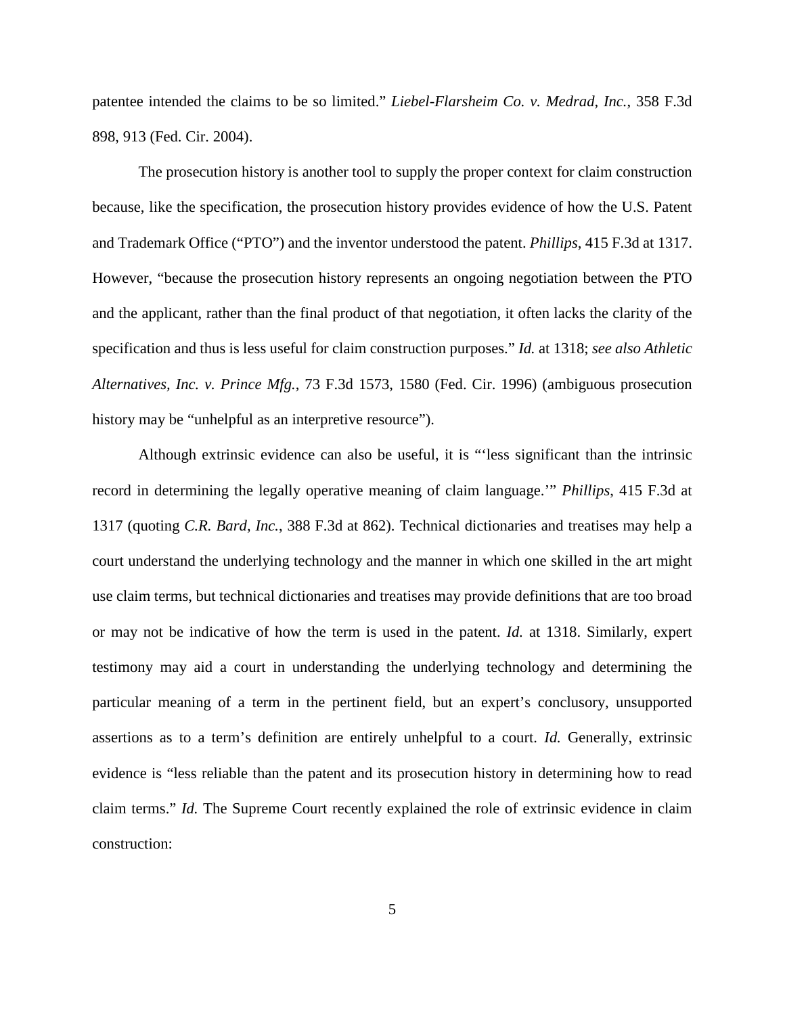patentee intended the claims to be so limited." *Liebel-Flarsheim Co. v. Medrad, Inc.*, 358 F.3d 898, 913 (Fed. Cir. 2004).

The prosecution history is another tool to supply the proper context for claim construction because, like the specification, the prosecution history provides evidence of how the U.S. Patent and Trademark Office ("PTO") and the inventor understood the patent. *Phillips*, 415 F.3d at 1317. However, "because the prosecution history represents an ongoing negotiation between the PTO and the applicant, rather than the final product of that negotiation, it often lacks the clarity of the specification and thus is less useful for claim construction purposes." *Id.* at 1318; *see also Athletic Alternatives, Inc. v. Prince Mfg.*, 73 F.3d 1573, 1580 (Fed. Cir. 1996) (ambiguous prosecution history may be "unhelpful as an interpretive resource").

Although extrinsic evidence can also be useful, it is "'less significant than the intrinsic record in determining the legally operative meaning of claim language.'" *Phillips*, 415 F.3d at 1317 (quoting *C.R. Bard, Inc.*, 388 F.3d at 862). Technical dictionaries and treatises may help a court understand the underlying technology and the manner in which one skilled in the art might use claim terms, but technical dictionaries and treatises may provide definitions that are too broad or may not be indicative of how the term is used in the patent. *Id.* at 1318. Similarly, expert testimony may aid a court in understanding the underlying technology and determining the particular meaning of a term in the pertinent field, but an expert's conclusory, unsupported assertions as to a term's definition are entirely unhelpful to a court. *Id.* Generally, extrinsic evidence is "less reliable than the patent and its prosecution history in determining how to read claim terms." *Id.* The Supreme Court recently explained the role of extrinsic evidence in claim construction: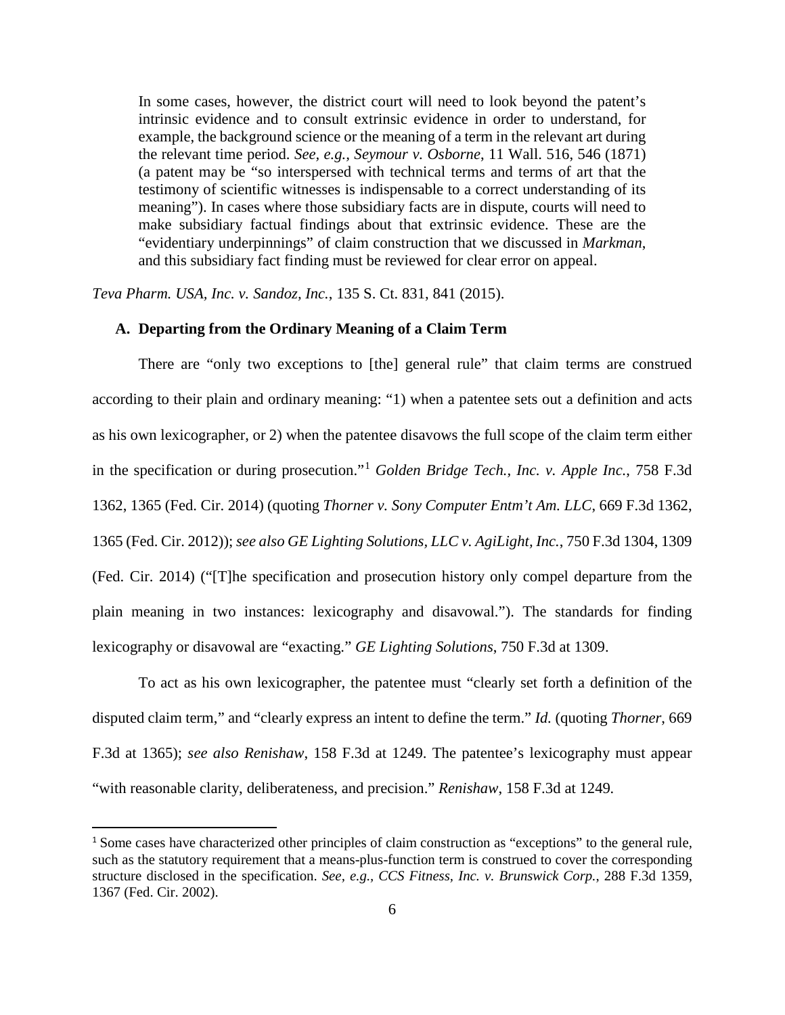In some cases, however, the district court will need to look beyond the patent's intrinsic evidence and to consult extrinsic evidence in order to understand, for example, the background science or the meaning of a term in the relevant art during the relevant time period. *See, e.g., Seymour v. Osborne*, 11 Wall. 516, 546 (1871) (a patent may be "so interspersed with technical terms and terms of art that the testimony of scientific witnesses is indispensable to a correct understanding of its meaning"). In cases where those subsidiary facts are in dispute, courts will need to make subsidiary factual findings about that extrinsic evidence. These are the "evidentiary underpinnings" of claim construction that we discussed in *Markman*, and this subsidiary fact finding must be reviewed for clear error on appeal.

*Teva Pharm. USA, Inc. v. Sandoz, Inc.*, 135 S. Ct. 831, 841 (2015).

## **A. Departing from the Ordinary Meaning of a Claim Term**

There are "only two exceptions to [the] general rule" that claim terms are construed according to their plain and ordinary meaning: "1) when a patentee sets out a definition and acts as his own lexicographer, or 2) when the patentee disavows the full scope of the claim term either in the specification or during prosecution."[1](#page-5-0) *Golden Bridge Tech., Inc. v. Apple Inc.*, 758 F.3d 1362, 1365 (Fed. Cir. 2014) (quoting *Thorner v. Sony Computer Entm't Am. LLC*, 669 F.3d 1362, 1365 (Fed. Cir. 2012)); *see also GE Lighting Solutions, LLC v. AgiLight, Inc.*, 750 F.3d 1304, 1309 (Fed. Cir. 2014) ("[T]he specification and prosecution history only compel departure from the plain meaning in two instances: lexicography and disavowal."). The standards for finding lexicography or disavowal are "exacting." *GE Lighting Solutions*, 750 F.3d at 1309.

To act as his own lexicographer, the patentee must "clearly set forth a definition of the disputed claim term," and "clearly express an intent to define the term." *Id.* (quoting *Thorner*, 669 F.3d at 1365); *see also Renishaw*, 158 F.3d at 1249. The patentee's lexicography must appear "with reasonable clarity, deliberateness, and precision." *Renishaw*, 158 F.3d at 1249*.*

 $\overline{a}$ 

<span id="page-5-0"></span><sup>1</sup> Some cases have characterized other principles of claim construction as "exceptions" to the general rule, such as the statutory requirement that a means-plus-function term is construed to cover the corresponding structure disclosed in the specification. *See, e.g., CCS Fitness, Inc. v. Brunswick Corp.*, 288 F.3d 1359, 1367 (Fed. Cir. 2002).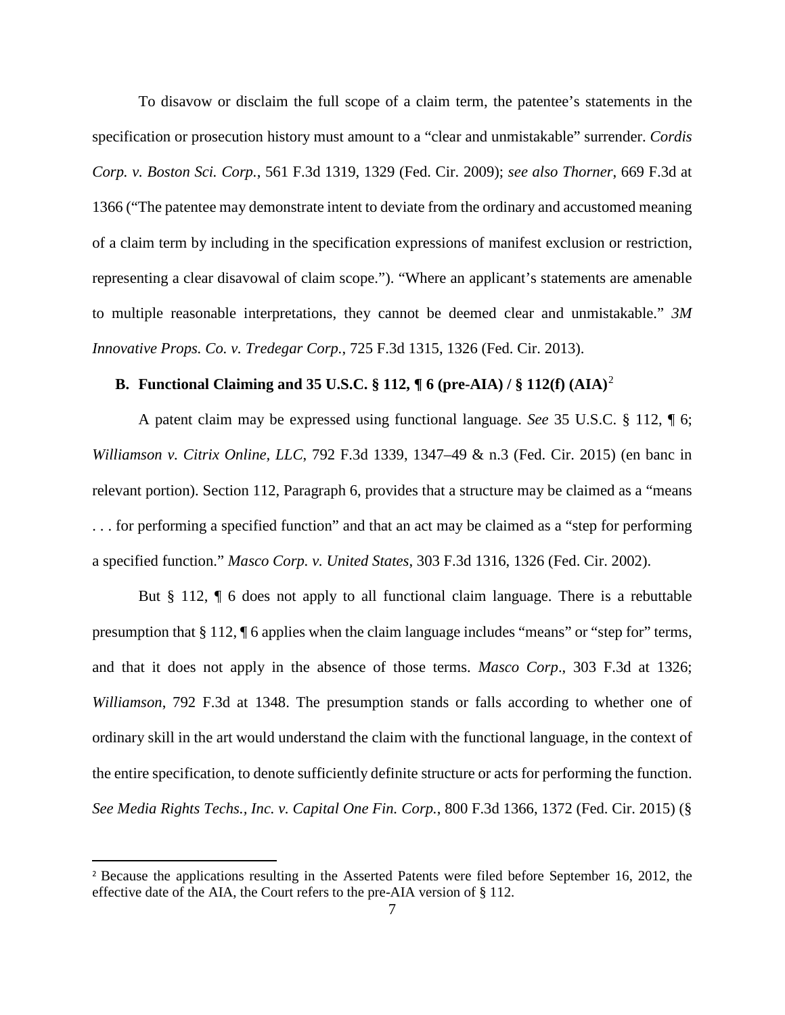To disavow or disclaim the full scope of a claim term, the patentee's statements in the specification or prosecution history must amount to a "clear and unmistakable" surrender. *Cordis Corp. v. Boston Sci. Corp.*, 561 F.3d 1319, 1329 (Fed. Cir. 2009); *see also Thorner*, 669 F.3d at 1366 ("The patentee may demonstrate intent to deviate from the ordinary and accustomed meaning of a claim term by including in the specification expressions of manifest exclusion or restriction, representing a clear disavowal of claim scope."). "Where an applicant's statements are amenable to multiple reasonable interpretations, they cannot be deemed clear and unmistakable." *3M Innovative Props. Co. v. Tredegar Corp.*, 725 F.3d 1315, 1326 (Fed. Cir. 2013).

# **B. Functional Claiming and 35 U.S.C. § 112, ¶ 6 (pre-AIA) / § 112(f) (AIA)**[2](#page-6-0)

A patent claim may be expressed using functional language. *See* 35 U.S.C. § 112, ¶ 6; *Williamson v. Citrix Online, LLC*, 792 F.3d 1339, 1347–49 & n.3 (Fed. Cir. 2015) (en banc in relevant portion). Section 112, Paragraph 6, provides that a structure may be claimed as a "means . . . for performing a specified function" and that an act may be claimed as a "step for performing a specified function." *Masco Corp. v. United States*, 303 F.3d 1316, 1326 (Fed. Cir. 2002).

But § 112, ¶ 6 does not apply to all functional claim language. There is a rebuttable presumption that § 112, ¶ 6 applies when the claim language includes "means" or "step for" terms, and that it does not apply in the absence of those terms. *Masco Corp*., 303 F.3d at 1326; *Williamson*, 792 F.3d at 1348. The presumption stands or falls according to whether one of ordinary skill in the art would understand the claim with the functional language, in the context of the entire specification, to denote sufficiently definite structure or acts for performing the function. *See Media Rights Techs., Inc. v. Capital One Fin. Corp.*, 800 F.3d 1366, 1372 (Fed. Cir. 2015) (§

l

<span id="page-6-0"></span><sup>2</sup> Because the applications resulting in the Asserted Patents were filed before September 16, 2012, the effective date of the AIA, the Court refers to the pre-AIA version of § 112.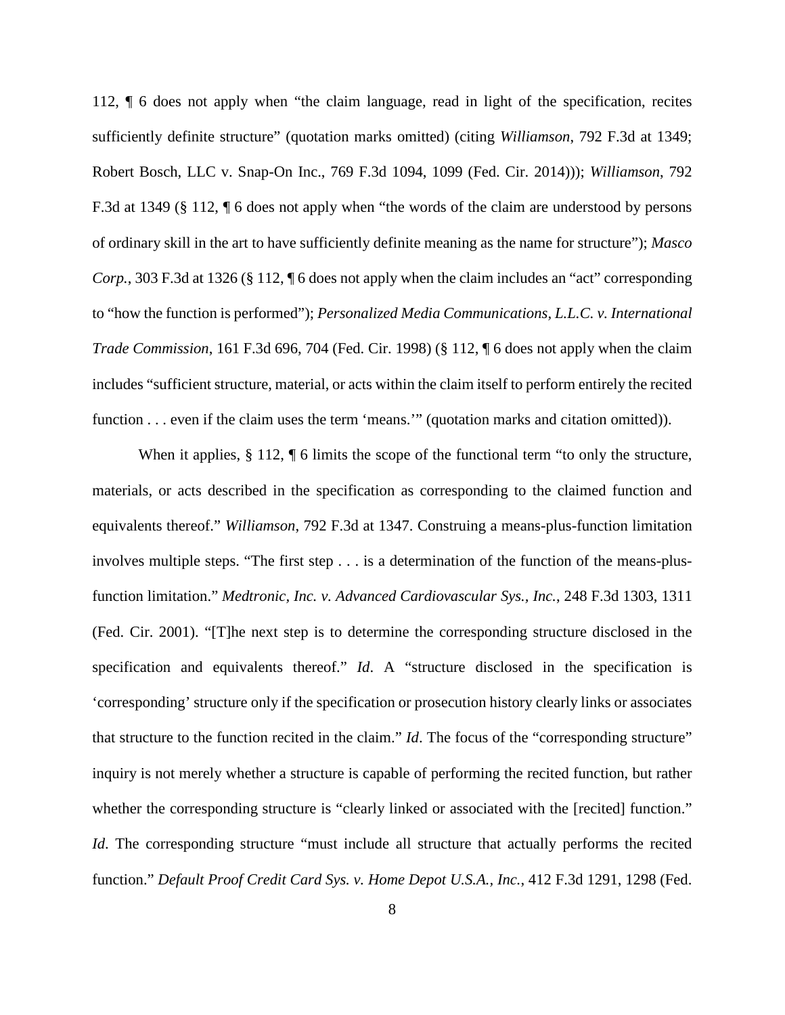112, ¶ 6 does not apply when "the claim language, read in light of the specification, recites sufficiently definite structure" (quotation marks omitted) (citing *Williamson*, 792 F.3d at 1349; Robert Bosch, LLC v. Snap-On Inc., 769 F.3d 1094, 1099 (Fed. Cir. 2014))); *Williamson*, 792 F.3d at 1349 (§ 112, ¶ 6 does not apply when "the words of the claim are understood by persons of ordinary skill in the art to have sufficiently definite meaning as the name for structure"); *Masco Corp.*, 303 F.3d at 1326 (§ 112, ¶ 6 does not apply when the claim includes an "act" corresponding to "how the function is performed"); *Personalized Media Communications, L.L.C. v. International Trade Commission*, 161 F.3d 696, 704 (Fed. Cir. 1998) (§ 112, ¶ 6 does not apply when the claim includes "sufficient structure, material, or acts within the claim itself to perform entirely the recited function . . . even if the claim uses the term 'means.'" (quotation marks and citation omitted)).

When it applies,  $\S 112$ ,  $\P 6$  limits the scope of the functional term "to only the structure, materials, or acts described in the specification as corresponding to the claimed function and equivalents thereof." *Williamson*, 792 F.3d at 1347. Construing a means-plus-function limitation involves multiple steps. "The first step . . . is a determination of the function of the means-plusfunction limitation." *Medtronic, Inc. v. Advanced Cardiovascular Sys., Inc.*, 248 F.3d 1303, 1311 (Fed. Cir. 2001). "[T]he next step is to determine the corresponding structure disclosed in the specification and equivalents thereof." *Id*. A "structure disclosed in the specification is 'corresponding' structure only if the specification or prosecution history clearly links or associates that structure to the function recited in the claim." *Id*. The focus of the "corresponding structure" inquiry is not merely whether a structure is capable of performing the recited function, but rather whether the corresponding structure is "clearly linked or associated with the [recited] function." *Id*. The corresponding structure "must include all structure that actually performs the recited function." *Default Proof Credit Card Sys. v. Home Depot U.S.A., Inc.*, 412 F.3d 1291, 1298 (Fed.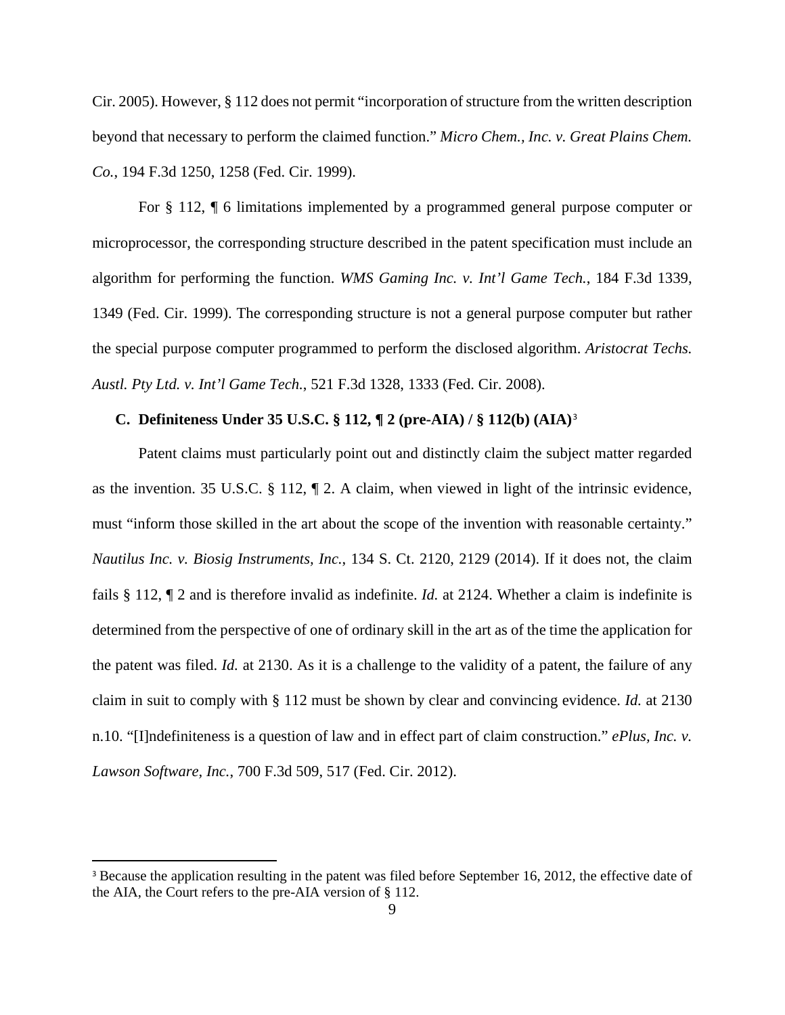Cir. 2005). However, § 112 does not permit "incorporation of structure from the written description beyond that necessary to perform the claimed function." *Micro Chem., Inc. v. Great Plains Chem. Co.*, 194 F.3d 1250, 1258 (Fed. Cir. 1999).

For § 112, ¶ 6 limitations implemented by a programmed general purpose computer or microprocessor, the corresponding structure described in the patent specification must include an algorithm for performing the function. *WMS Gaming Inc. v. Int'l Game Tech.*, 184 F.3d 1339, 1349 (Fed. Cir. 1999). The corresponding structure is not a general purpose computer but rather the special purpose computer programmed to perform the disclosed algorithm. *Aristocrat Techs. Austl. Pty Ltd. v. Int'l Game Tech.*, 521 F.3d 1328, 1333 (Fed. Cir. 2008).

# **C. Definiteness Under 35 U.S.C. § 112, ¶ 2 (pre-AIA) / § 112(b) (AIA)**[3](#page-8-0)

Patent claims must particularly point out and distinctly claim the subject matter regarded as the invention. 35 U.S.C. § 112, ¶ 2. A claim, when viewed in light of the intrinsic evidence, must "inform those skilled in the art about the scope of the invention with reasonable certainty." *Nautilus Inc. v. Biosig Instruments, Inc.*, 134 S. Ct. 2120, 2129 (2014). If it does not, the claim fails § 112, ¶ 2 and is therefore invalid as indefinite. *Id.* at 2124. Whether a claim is indefinite is determined from the perspective of one of ordinary skill in the art as of the time the application for the patent was filed. *Id.* at 2130. As it is a challenge to the validity of a patent, the failure of any claim in suit to comply with § 112 must be shown by clear and convincing evidence. *Id.* at 2130 n.10. "[I]ndefiniteness is a question of law and in effect part of claim construction." *ePlus, Inc. v. Lawson Software, Inc.*, 700 F.3d 509, 517 (Fed. Cir. 2012).

 $\overline{a}$ 

<span id="page-8-0"></span><sup>&</sup>lt;sup>3</sup> Because the application resulting in the patent was filed before September 16, 2012, the effective date of the AIA, the Court refers to the pre-AIA version of § 112.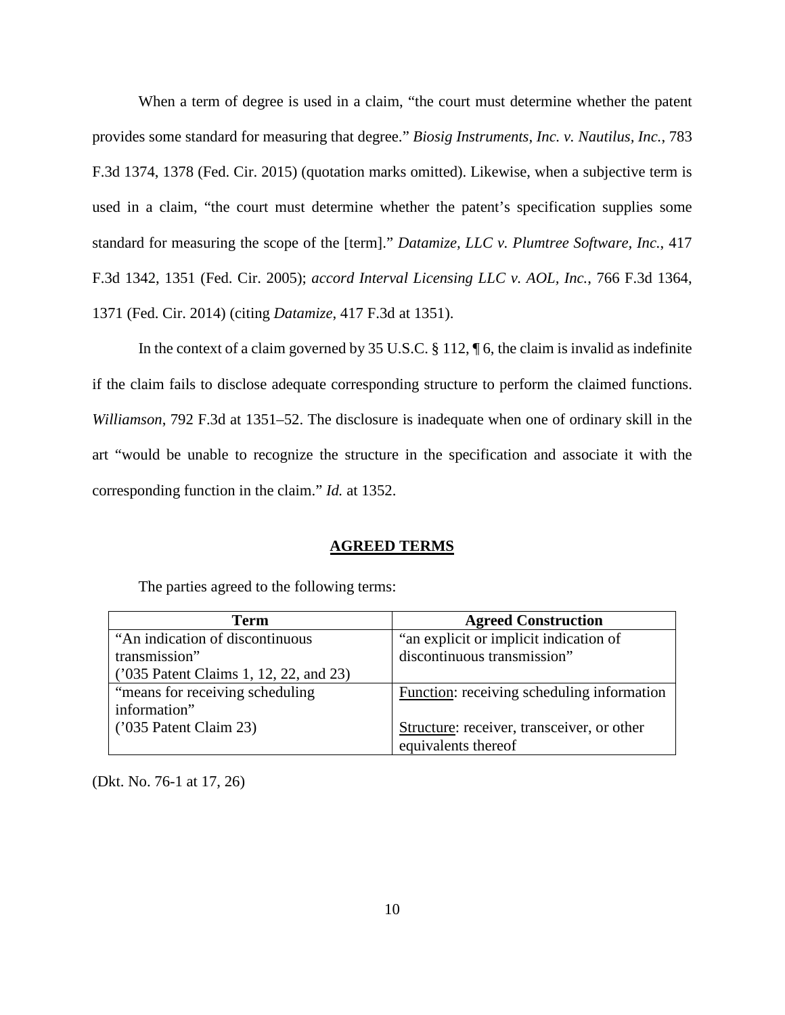When a term of degree is used in a claim, "the court must determine whether the patent provides some standard for measuring that degree." *Biosig Instruments, Inc. v. Nautilus, Inc.*, 783 F.3d 1374, 1378 (Fed. Cir. 2015) (quotation marks omitted). Likewise, when a subjective term is used in a claim, "the court must determine whether the patent's specification supplies some standard for measuring the scope of the [term]." *Datamize, LLC v. Plumtree Software, Inc.*, 417 F.3d 1342, 1351 (Fed. Cir. 2005); *accord Interval Licensing LLC v. AOL, Inc.*, 766 F.3d 1364, 1371 (Fed. Cir. 2014) (citing *Datamize*, 417 F.3d at 1351).

In the context of a claim governed by 35 U.S.C. § 112, ¶ 6, the claim is invalid as indefinite if the claim fails to disclose adequate corresponding structure to perform the claimed functions. *Williamson*, 792 F.3d at 1351–52. The disclosure is inadequate when one of ordinary skill in the art "would be unable to recognize the structure in the specification and associate it with the corresponding function in the claim." *Id.* at 1352.

### **AGREED TERMS**

| <b>Term</b>                            | <b>Agreed Construction</b>                 |
|----------------------------------------|--------------------------------------------|
| "An indication of discontinuous"       | "an explicit or implicit indication of     |
| transmission"                          | discontinuous transmission"                |
| ('035 Patent Claims 1, 12, 22, and 23) |                                            |
| "means for receiving scheduling"       | Function: receiving scheduling information |
| information"                           |                                            |
| $(235$ Patent Claim 23)                | Structure: receiver, transceiver, or other |
|                                        | equivalents thereof                        |

The parties agreed to the following terms:

(Dkt. No. 76-1 at 17, 26)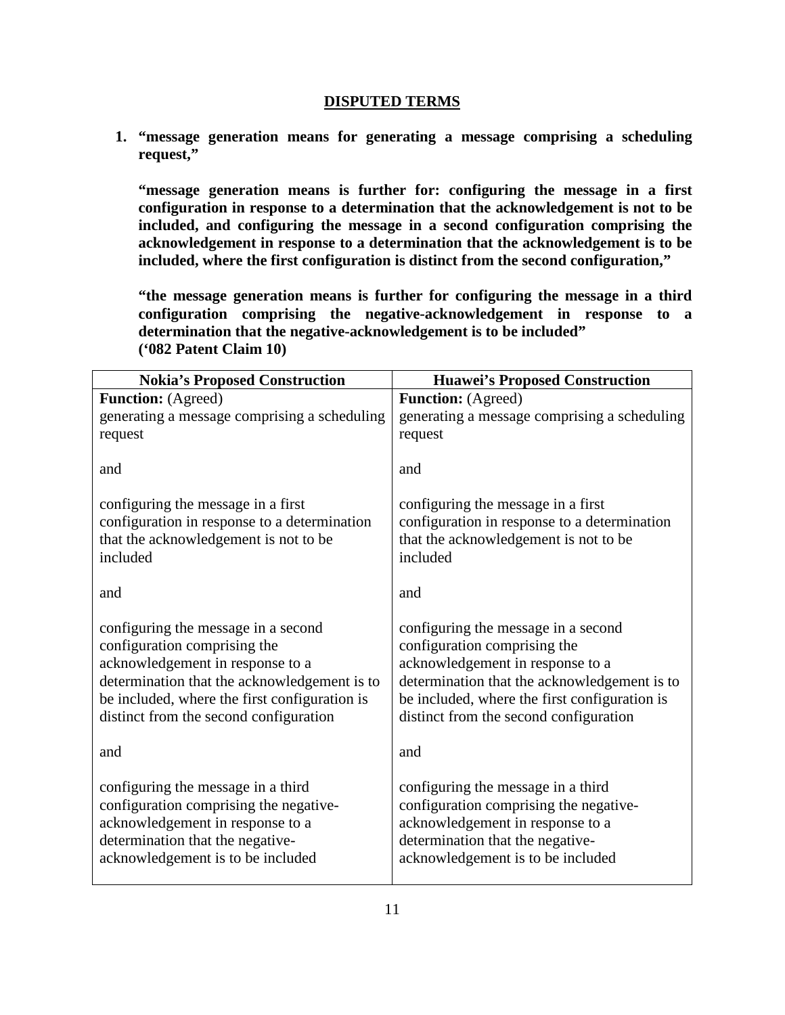# **DISPUTED TERMS**

**1. "message generation means for generating a message comprising a scheduling request,"**

**"message generation means is further for: configuring the message in a first configuration in response to a determination that the acknowledgement is not to be included, and configuring the message in a second configuration comprising the acknowledgement in response to a determination that the acknowledgement is to be included, where the first configuration is distinct from the second configuration,"** 

**"the message generation means is further for configuring the message in a third configuration comprising the negative-acknowledgement in response to a determination that the negative-acknowledgement is to be included" ('082 Patent Claim 10)**

| <b>Nokia's Proposed Construction</b>          | <b>Huawei's Proposed Construction</b>         |
|-----------------------------------------------|-----------------------------------------------|
| <b>Function:</b> (Agreed)                     | <b>Function:</b> (Agreed)                     |
| generating a message comprising a scheduling  | generating a message comprising a scheduling  |
| request                                       | request                                       |
| and                                           | and                                           |
| configuring the message in a first            | configuring the message in a first            |
| configuration in response to a determination  | configuration in response to a determination  |
| that the acknowledgement is not to be         | that the acknowledgement is not to be         |
| included                                      | included                                      |
| and                                           | and                                           |
| configuring the message in a second           | configuring the message in a second           |
| configuration comprising the                  | configuration comprising the                  |
| acknowledgement in response to a              | acknowledgement in response to a              |
| determination that the acknowledgement is to  | determination that the acknowledgement is to  |
| be included, where the first configuration is | be included, where the first configuration is |
| distinct from the second configuration        | distinct from the second configuration        |
| and                                           | and                                           |
| configuring the message in a third            | configuring the message in a third            |
| configuration comprising the negative-        | configuration comprising the negative-        |
| acknowledgement in response to a              | acknowledgement in response to a              |
| determination that the negative-              | determination that the negative-              |
| acknowledgement is to be included             | acknowledgement is to be included             |
|                                               |                                               |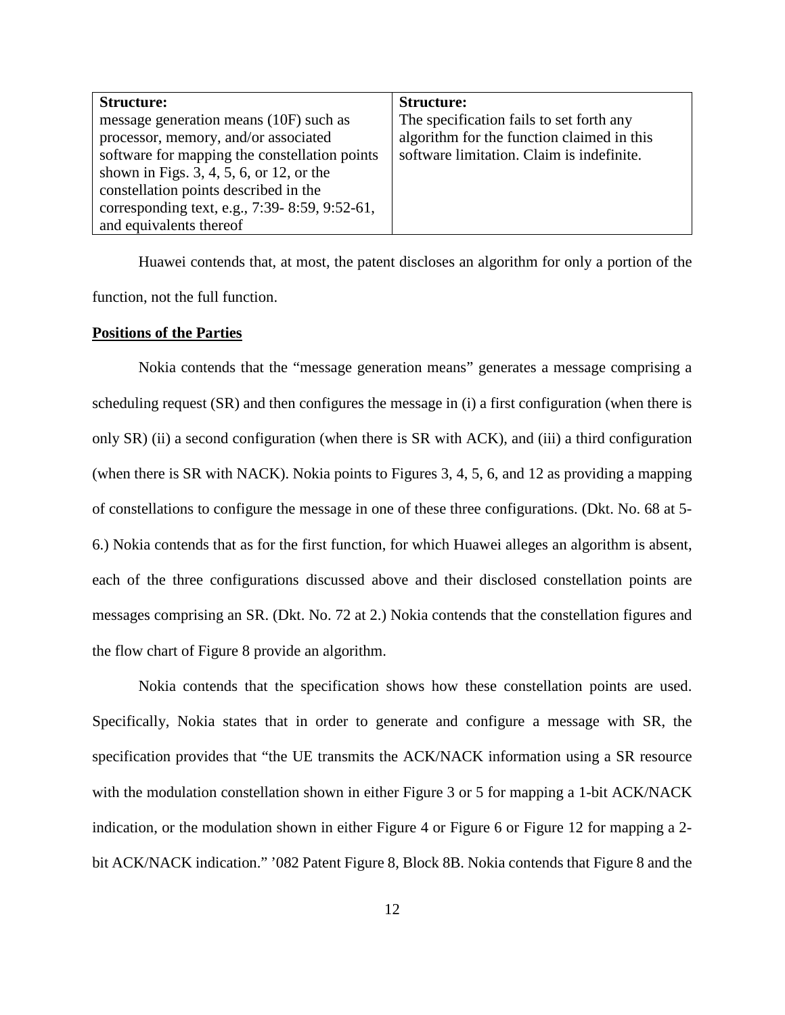| <b>Structure:</b>                             | <b>Structure:</b>                          |
|-----------------------------------------------|--------------------------------------------|
| message generation means (10F) such as        | The specification fails to set forth any   |
| processor, memory, and/or associated          | algorithm for the function claimed in this |
| software for mapping the constellation points | software limitation. Claim is indefinite.  |
| shown in Figs. $3, 4, 5, 6$ , or 12, or the   |                                            |
| constellation points described in the         |                                            |
| corresponding text, e.g., 7:39-8:59, 9:52-61, |                                            |
| and equivalents thereof                       |                                            |

Huawei contends that, at most, the patent discloses an algorithm for only a portion of the function, not the full function.

### **Positions of the Parties**

Nokia contends that the "message generation means" generates a message comprising a scheduling request (SR) and then configures the message in (i) a first configuration (when there is only SR) (ii) a second configuration (when there is SR with ACK), and (iii) a third configuration (when there is SR with NACK). Nokia points to Figures 3, 4, 5, 6, and 12 as providing a mapping of constellations to configure the message in one of these three configurations. (Dkt. No. 68 at 5- 6.) Nokia contends that as for the first function, for which Huawei alleges an algorithm is absent, each of the three configurations discussed above and their disclosed constellation points are messages comprising an SR. (Dkt. No. 72 at 2.) Nokia contends that the constellation figures and the flow chart of Figure 8 provide an algorithm.

Nokia contends that the specification shows how these constellation points are used. Specifically, Nokia states that in order to generate and configure a message with SR, the specification provides that "the UE transmits the ACK/NACK information using a SR resource with the modulation constellation shown in either Figure 3 or 5 for mapping a 1-bit ACK/NACK indication, or the modulation shown in either Figure 4 or Figure 6 or Figure 12 for mapping a 2 bit ACK/NACK indication." '082 Patent Figure 8, Block 8B. Nokia contends that Figure 8 and the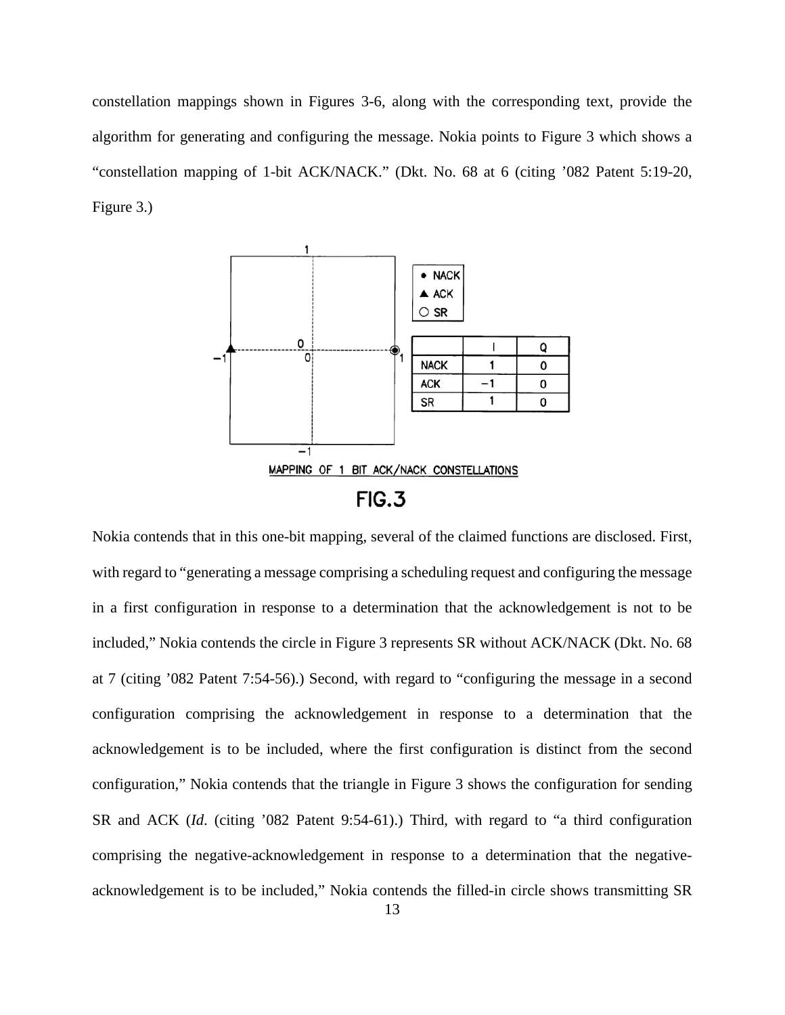constellation mappings shown in Figures 3-6, along with the corresponding text, provide the algorithm for generating and configuring the message. Nokia points to Figure 3 which shows a "constellation mapping of 1-bit ACK/NACK." (Dkt. No. 68 at 6 (citing '082 Patent 5:19-20, Figure 3.)



Nokia contends that in this one-bit mapping, several of the claimed functions are disclosed. First, with regard to "generating a message comprising a scheduling request and configuring the message in a first configuration in response to a determination that the acknowledgement is not to be included," Nokia contends the circle in Figure 3 represents SR without ACK/NACK (Dkt. No. 68 at 7 (citing '082 Patent 7:54-56).) Second, with regard to "configuring the message in a second configuration comprising the acknowledgement in response to a determination that the acknowledgement is to be included, where the first configuration is distinct from the second configuration," Nokia contends that the triangle in Figure 3 shows the configuration for sending SR and ACK (*Id*. (citing '082 Patent 9:54-61).) Third, with regard to "a third configuration comprising the negative-acknowledgement in response to a determination that the negativeacknowledgement is to be included," Nokia contends the filled-in circle shows transmitting SR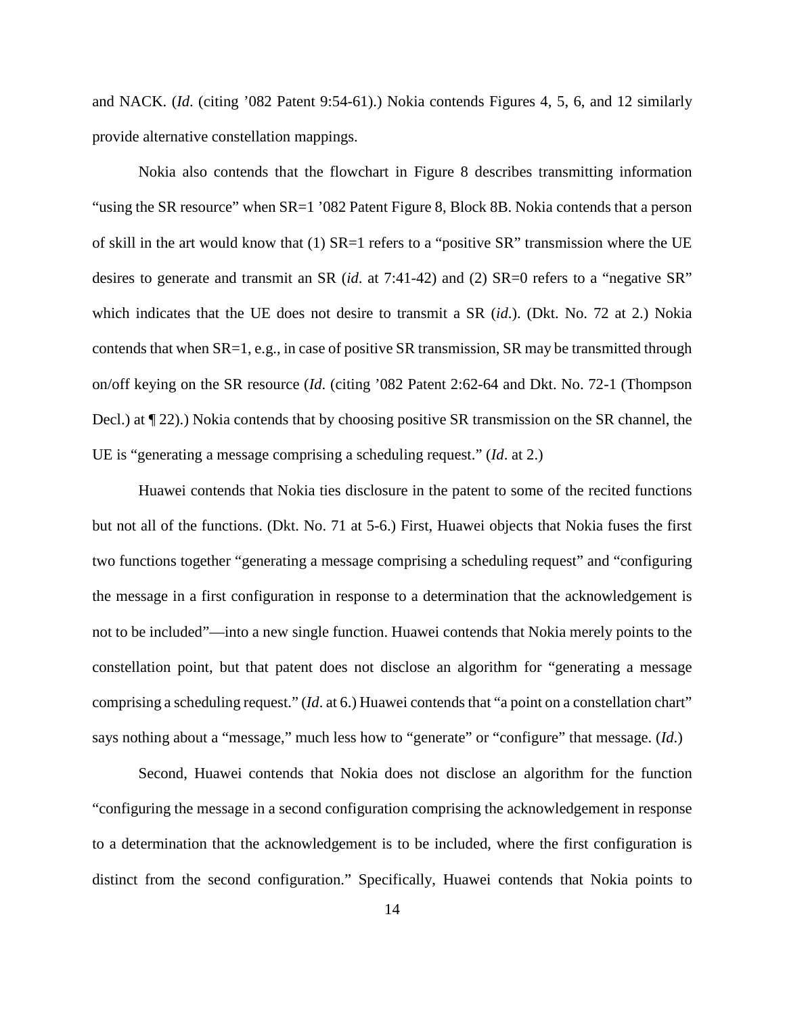and NACK. (*Id*. (citing '082 Patent 9:54-61).) Nokia contends Figures 4, 5, 6, and 12 similarly provide alternative constellation mappings.

Nokia also contends that the flowchart in Figure 8 describes transmitting information "using the SR resource" when SR=1 '082 Patent Figure 8, Block 8B. Nokia contends that a person of skill in the art would know that (1) SR=1 refers to a "positive SR" transmission where the UE desires to generate and transmit an SR (*id.* at 7:41-42) and (2) SR=0 refers to a "negative SR" which indicates that the UE does not desire to transmit a SR (*id*.). (Dkt. No. 72 at 2.) Nokia contends that when SR=1, e.g., in case of positive SR transmission, SR may be transmitted through on/off keying on the SR resource (*Id*. (citing '082 Patent 2:62-64 and Dkt. No. 72-1 (Thompson Decl.) at ¶ 22).) Nokia contends that by choosing positive SR transmission on the SR channel, the UE is "generating a message comprising a scheduling request." (*Id*. at 2.)

Huawei contends that Nokia ties disclosure in the patent to some of the recited functions but not all of the functions. (Dkt. No. 71 at 5-6.) First, Huawei objects that Nokia fuses the first two functions together "generating a message comprising a scheduling request" and "configuring the message in a first configuration in response to a determination that the acknowledgement is not to be included"—into a new single function. Huawei contends that Nokia merely points to the constellation point, but that patent does not disclose an algorithm for "generating a message comprising a scheduling request." (*Id*. at 6.) Huawei contends that "a point on a constellation chart" says nothing about a "message," much less how to "generate" or "configure" that message. (*Id*.)

Second, Huawei contends that Nokia does not disclose an algorithm for the function "configuring the message in a second configuration comprising the acknowledgement in response to a determination that the acknowledgement is to be included, where the first configuration is distinct from the second configuration." Specifically, Huawei contends that Nokia points to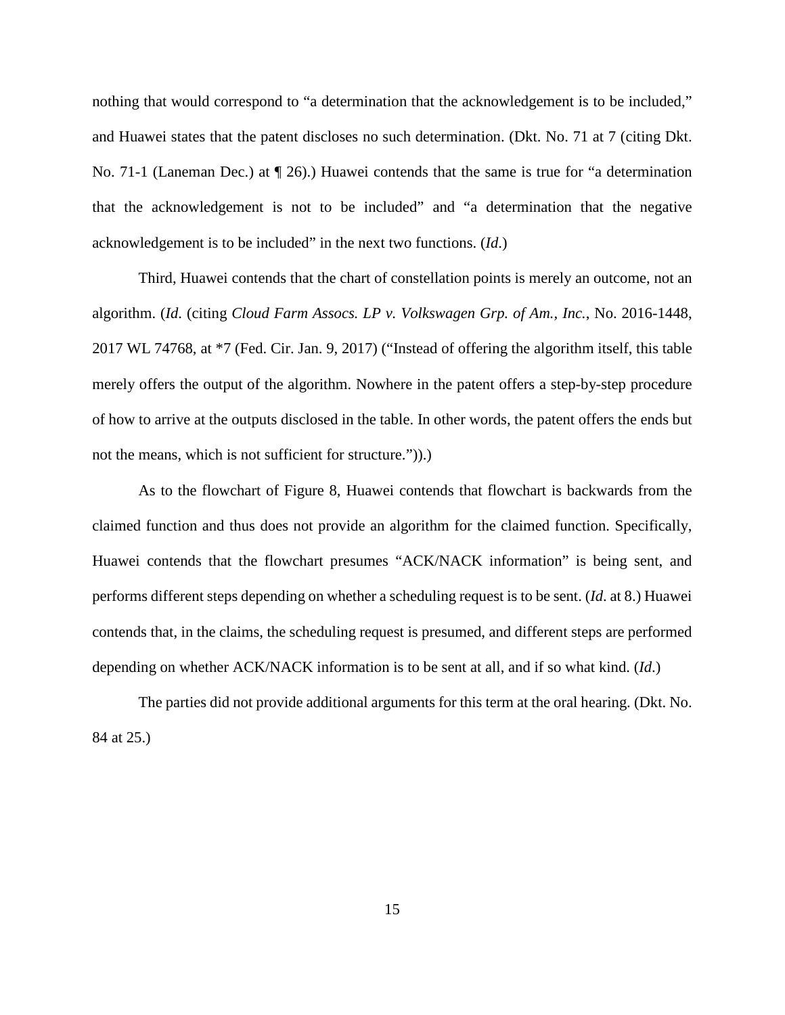nothing that would correspond to "a determination that the acknowledgement is to be included," and Huawei states that the patent discloses no such determination. (Dkt. No. 71 at 7 (citing Dkt. No. 71-1 (Laneman Dec.) at ¶ 26).) Huawei contends that the same is true for "a determination that the acknowledgement is not to be included" and "a determination that the negative acknowledgement is to be included" in the next two functions. (*Id*.)

Third, Huawei contends that the chart of constellation points is merely an outcome, not an algorithm. (*Id*. (citing *Cloud Farm Assocs. LP v. Volkswagen Grp. of Am., Inc.*, No. 2016-1448, 2017 WL 74768, at \*7 (Fed. Cir. Jan. 9, 2017) ("Instead of offering the algorithm itself, this table merely offers the output of the algorithm. Nowhere in the patent offers a step-by-step procedure of how to arrive at the outputs disclosed in the table. In other words, the patent offers the ends but not the means, which is not sufficient for structure.")).)

As to the flowchart of Figure 8, Huawei contends that flowchart is backwards from the claimed function and thus does not provide an algorithm for the claimed function. Specifically, Huawei contends that the flowchart presumes "ACK/NACK information" is being sent, and performs different steps depending on whether a scheduling request is to be sent. (*Id*. at 8.) Huawei contends that, in the claims, the scheduling request is presumed, and different steps are performed depending on whether ACK/NACK information is to be sent at all, and if so what kind. (*Id*.)

The parties did not provide additional arguments for this term at the oral hearing. (Dkt. No. 84 at 25.)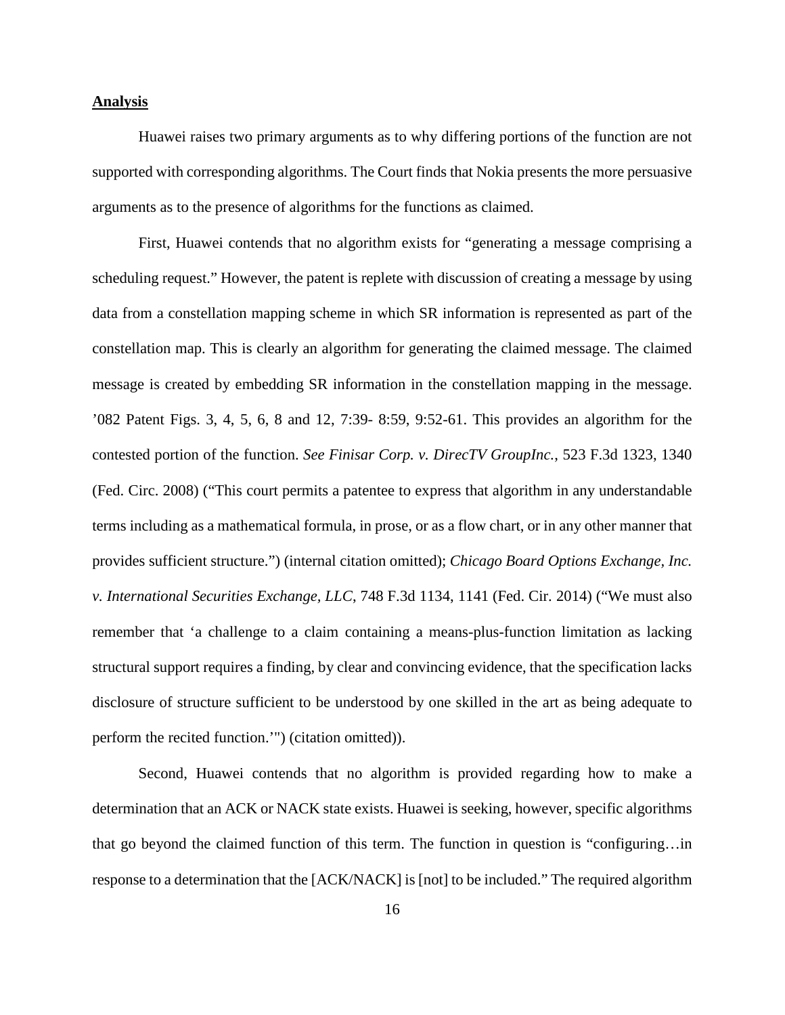### **Analysis**

Huawei raises two primary arguments as to why differing portions of the function are not supported with corresponding algorithms. The Court finds that Nokia presents the more persuasive arguments as to the presence of algorithms for the functions as claimed.

First, Huawei contends that no algorithm exists for "generating a message comprising a scheduling request." However, the patent is replete with discussion of creating a message by using data from a constellation mapping scheme in which SR information is represented as part of the constellation map. This is clearly an algorithm for generating the claimed message. The claimed message is created by embedding SR information in the constellation mapping in the message. '082 Patent Figs. 3, 4, 5, 6, 8 and 12, 7:39- 8:59, 9:52-61. This provides an algorithm for the contested portion of the function. *See Finisar Corp. v. DirecTV GroupInc.*, 523 F.3d 1323, 1340 (Fed. Circ. 2008) ("This court permits a patentee to express that algorithm in any understandable terms including as a mathematical formula, in prose, or as a flow chart, or in any other manner that provides sufficient structure.") (internal citation omitted); *Chicago Board Options Exchange, Inc. v. International Securities Exchange, LLC*, 748 F.3d 1134, 1141 (Fed. Cir. 2014) ("We must also remember that 'a challenge to a claim containing a means-plus-function limitation as lacking structural support requires a finding, by clear and convincing evidence, that the specification lacks disclosure of structure sufficient to be understood by one skilled in the art as being adequate to perform the recited function.'") (citation omitted)).

Second, Huawei contends that no algorithm is provided regarding how to make a determination that an ACK or NACK state exists. Huawei is seeking, however, specific algorithms that go beyond the claimed function of this term. The function in question is "configuring…in response to a determination that the [ACK/NACK] is [not] to be included." The required algorithm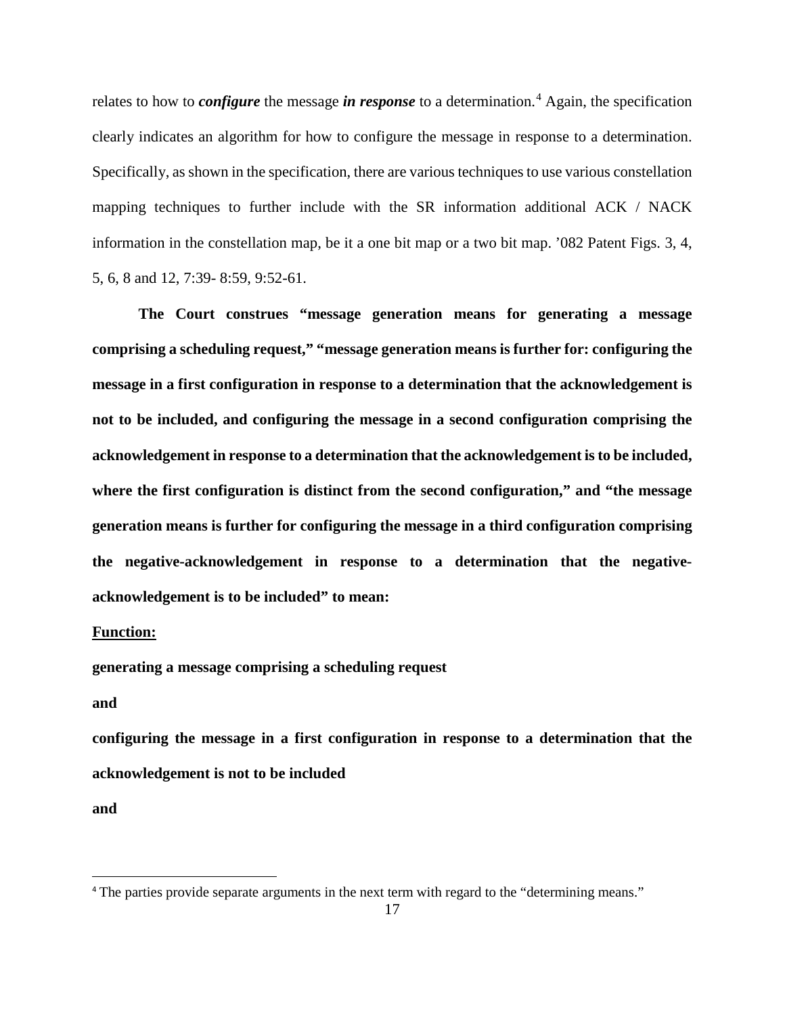relates to how to *configure* the message *in response* to a determination.<sup>[4](#page-16-0)</sup> Again, the specification clearly indicates an algorithm for how to configure the message in response to a determination. Specifically, as shown in the specification, there are various techniques to use various constellation mapping techniques to further include with the SR information additional ACK / NACK information in the constellation map, be it a one bit map or a two bit map. '082 Patent Figs. 3, 4, 5, 6, 8 and 12, 7:39- 8:59, 9:52-61.

**The Court construes "message generation means for generating a message comprising a scheduling request," "message generation means is further for: configuring the message in a first configuration in response to a determination that the acknowledgement is not to be included, and configuring the message in a second configuration comprising the acknowledgement in response to a determination that the acknowledgement is to be included, where the first configuration is distinct from the second configuration," and "the message generation means is further for configuring the message in a third configuration comprising the negative-acknowledgement in response to a determination that the negativeacknowledgement is to be included" to mean:** 

## **Function:**

**generating a message comprising a scheduling request**

**and** 

**configuring the message in a first configuration in response to a determination that the acknowledgement is not to be included**

**and** 

 $\overline{a}$ 

<span id="page-16-0"></span><sup>4</sup> The parties provide separate arguments in the next term with regard to the "determining means."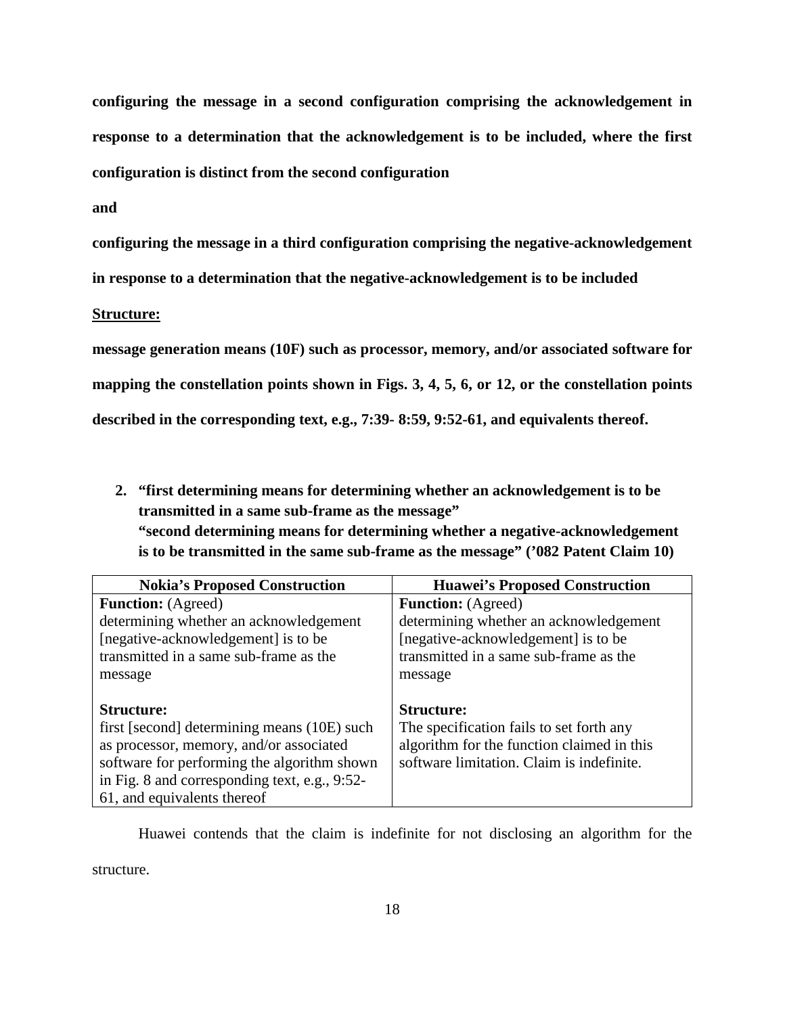**configuring the message in a second configuration comprising the acknowledgement in response to a determination that the acknowledgement is to be included, where the first configuration is distinct from the second configuration**

## **and**

**configuring the message in a third configuration comprising the negative-acknowledgement** 

**in response to a determination that the negative-acknowledgement is to be included**

### **Structure:**

**message generation means (10F) such as processor, memory, and/or associated software for mapping the constellation points shown in Figs. 3, 4, 5, 6, or 12, or the constellation points described in the corresponding text, e.g., 7:39- 8:59, 9:52-61, and equivalents thereof.** 

**2. "first determining means for determining whether an acknowledgement is to be transmitted in a same sub-frame as the message" "second determining means for determining whether a negative-acknowledgement** 

**is to be transmitted in the same sub-frame as the message" ('082 Patent Claim 10)**

| <b>Nokia's Proposed Construction</b>          | <b>Huawei's Proposed Construction</b>      |
|-----------------------------------------------|--------------------------------------------|
| <b>Function:</b> (Agreed)                     | <b>Function:</b> (Agreed)                  |
| determining whether an acknowledgement        | determining whether an acknowledgement     |
| [negative-acknowledgement] is to be           | [negative-acknowledgement] is to be        |
| transmitted in a same sub-frame as the        | transmitted in a same sub-frame as the     |
| message                                       | message                                    |
|                                               |                                            |
| <b>Structure:</b>                             | <b>Structure:</b>                          |
| first [second] determining means (10E) such   | The specification fails to set forth any   |
| as processor, memory, and/or associated       | algorithm for the function claimed in this |
| software for performing the algorithm shown   | software limitation. Claim is indefinite.  |
| in Fig. 8 and corresponding text, e.g., 9:52- |                                            |
| 61, and equivalents thereof                   |                                            |

Huawei contends that the claim is indefinite for not disclosing an algorithm for the

structure.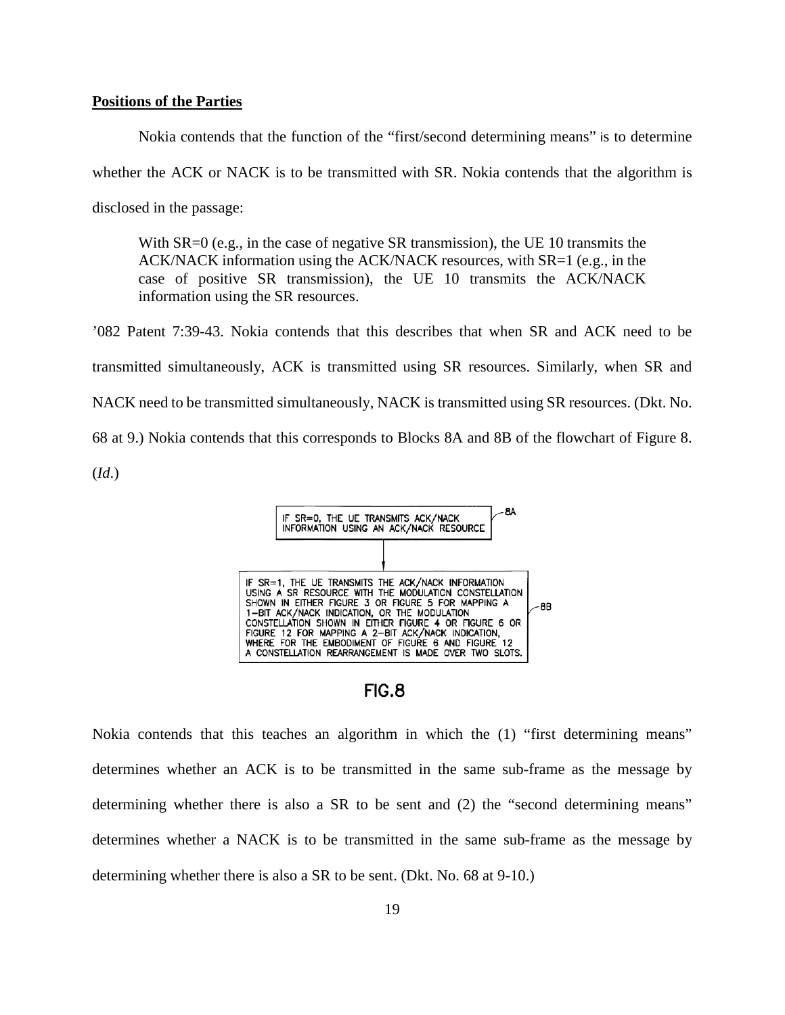### **Positions of the Parties**

Nokia contends that the function of the "first/second determining means" is to determine whether the ACK or NACK is to be transmitted with SR. Nokia contends that the algorithm is disclosed in the passage:

With SR=0 (e.g., in the case of negative SR transmission), the UE 10 transmits the ACK/NACK information using the ACK/NACK resources, with SR=1 (e.g., in the case of positive SR transmission), the UE 10 transmits the ACK/NACK information using the SR resources.

'082 Patent 7:39-43. Nokia contends that this describes that when SR and ACK need to be transmitted simultaneously, ACK is transmitted using SR resources. Similarly, when SR and NACK need to be transmitted simultaneously, NACK is transmitted using SR resources. (Dkt. No. 68 at 9.) Nokia contends that this corresponds to Blocks 8A and 8B of the flowchart of Figure 8. (*Id*.)





Nokia contends that this teaches an algorithm in which the (1) "first determining means" determines whether an ACK is to be transmitted in the same sub-frame as the message by determining whether there is also a SR to be sent and (2) the "second determining means" determines whether a NACK is to be transmitted in the same sub-frame as the message by determining whether there is also a SR to be sent. (Dkt. No. 68 at 9-10.)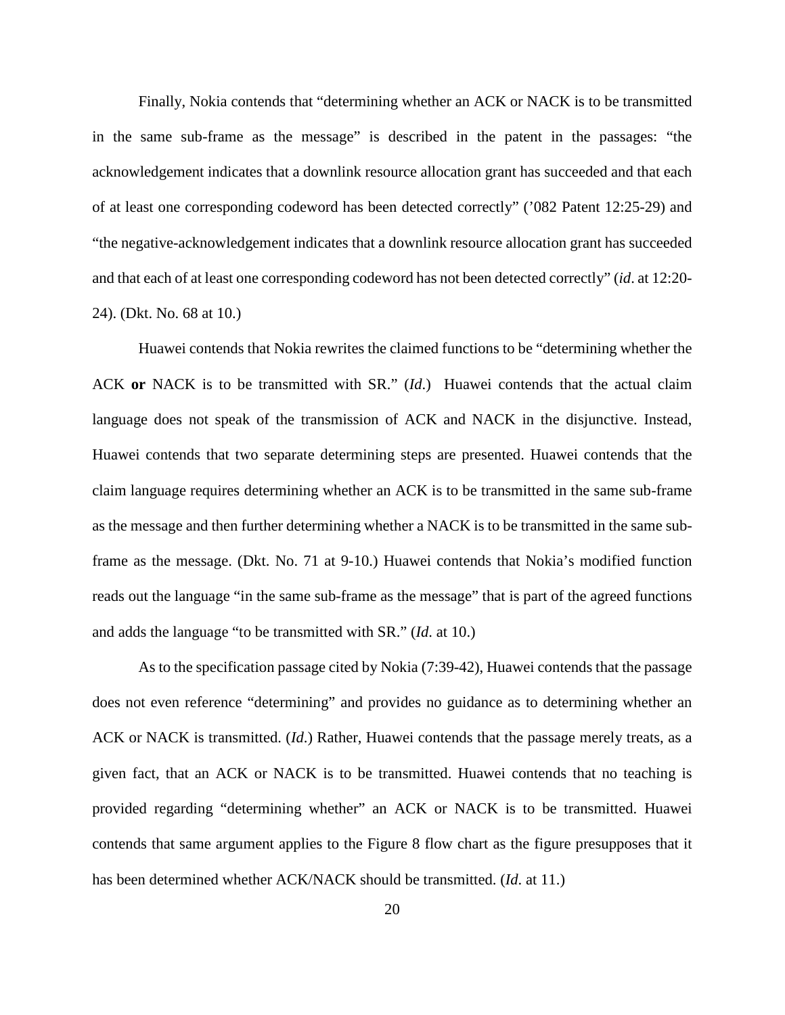Finally, Nokia contends that "determining whether an ACK or NACK is to be transmitted in the same sub-frame as the message" is described in the patent in the passages: "the acknowledgement indicates that a downlink resource allocation grant has succeeded and that each of at least one corresponding codeword has been detected correctly" ('082 Patent 12:25-29) and "the negative-acknowledgement indicates that a downlink resource allocation grant has succeeded and that each of at least one corresponding codeword has not been detected correctly" (*id*. at 12:20- 24). (Dkt. No. 68 at 10.)

Huawei contends that Nokia rewrites the claimed functions to be "determining whether the ACK **or** NACK is to be transmitted with SR." (*Id*.) Huawei contends that the actual claim language does not speak of the transmission of ACK and NACK in the disjunctive. Instead, Huawei contends that two separate determining steps are presented. Huawei contends that the claim language requires determining whether an ACK is to be transmitted in the same sub-frame as the message and then further determining whether a NACK is to be transmitted in the same subframe as the message. (Dkt. No. 71 at 9-10.) Huawei contends that Nokia's modified function reads out the language "in the same sub-frame as the message" that is part of the agreed functions and adds the language "to be transmitted with SR." (*Id*. at 10.)

 As to the specification passage cited by Nokia (7:39-42), Huawei contends that the passage does not even reference "determining" and provides no guidance as to determining whether an ACK or NACK is transmitted. (*Id*.) Rather, Huawei contends that the passage merely treats, as a given fact, that an ACK or NACK is to be transmitted. Huawei contends that no teaching is provided regarding "determining whether" an ACK or NACK is to be transmitted. Huawei contends that same argument applies to the Figure 8 flow chart as the figure presupposes that it has been determined whether ACK/NACK should be transmitted. (*Id*. at 11.)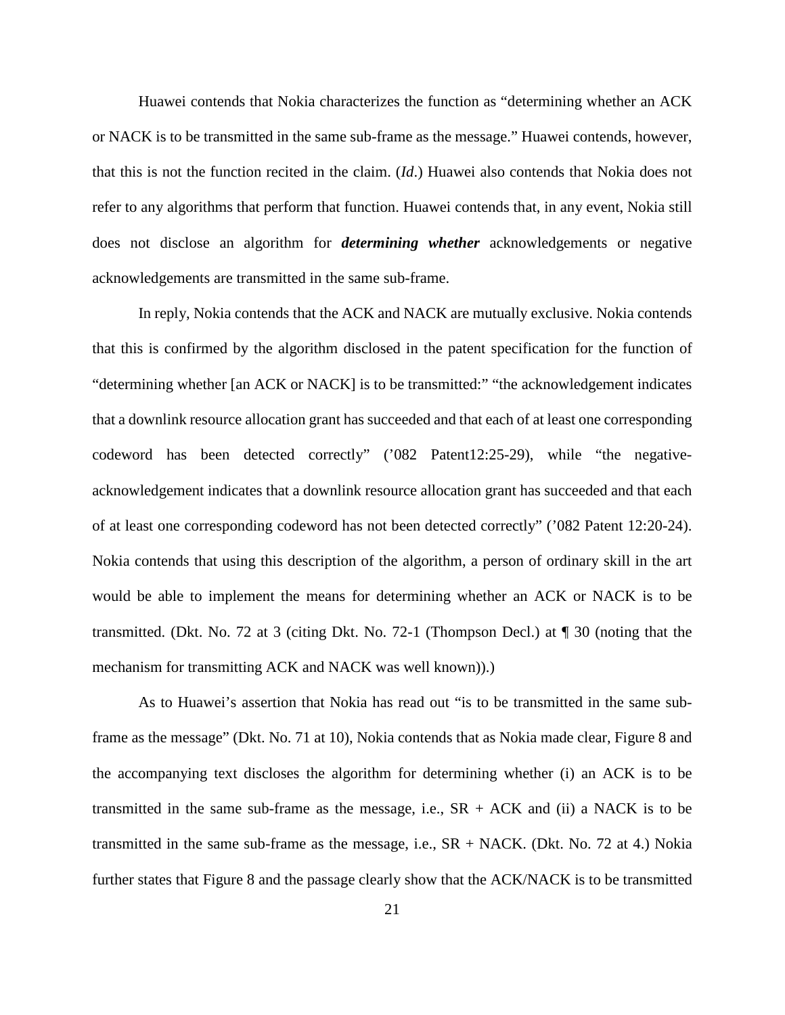Huawei contends that Nokia characterizes the function as "determining whether an ACK or NACK is to be transmitted in the same sub-frame as the message." Huawei contends, however, that this is not the function recited in the claim. (*Id*.) Huawei also contends that Nokia does not refer to any algorithms that perform that function. Huawei contends that, in any event, Nokia still does not disclose an algorithm for *determining whether* acknowledgements or negative acknowledgements are transmitted in the same sub-frame.

In reply, Nokia contends that the ACK and NACK are mutually exclusive. Nokia contends that this is confirmed by the algorithm disclosed in the patent specification for the function of "determining whether [an ACK or NACK] is to be transmitted:" "the acknowledgement indicates that a downlink resource allocation grant has succeeded and that each of at least one corresponding codeword has been detected correctly" ('082 Patent12:25-29), while "the negativeacknowledgement indicates that a downlink resource allocation grant has succeeded and that each of at least one corresponding codeword has not been detected correctly" ('082 Patent 12:20-24). Nokia contends that using this description of the algorithm, a person of ordinary skill in the art would be able to implement the means for determining whether an ACK or NACK is to be transmitted. (Dkt. No. 72 at 3 (citing Dkt. No. 72-1 (Thompson Decl.) at ¶ 30 (noting that the mechanism for transmitting ACK and NACK was well known)).)

As to Huawei's assertion that Nokia has read out "is to be transmitted in the same subframe as the message" (Dkt. No. 71 at 10), Nokia contends that as Nokia made clear, Figure 8 and the accompanying text discloses the algorithm for determining whether (i) an ACK is to be transmitted in the same sub-frame as the message, i.e.,  $SR + ACK$  and (ii) a NACK is to be transmitted in the same sub-frame as the message, i.e.,  $SR + NACK$ . (Dkt. No. 72 at 4.) Nokia further states that Figure 8 and the passage clearly show that the ACK/NACK is to be transmitted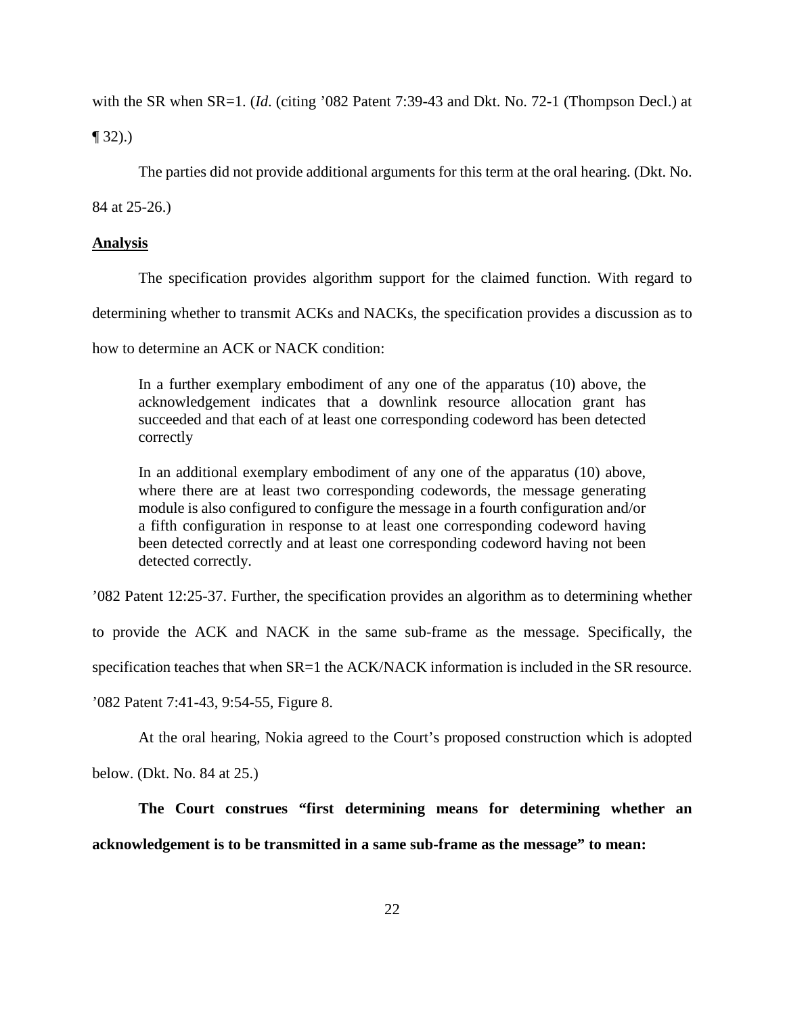with the SR when SR=1. (*Id*. (citing '082 Patent 7:39-43 and Dkt. No. 72-1 (Thompson Decl.) at

 $\P(32)$ .)

The parties did not provide additional arguments for this term at the oral hearing. (Dkt. No.

84 at 25-26.)

## **Analysis**

The specification provides algorithm support for the claimed function. With regard to

determining whether to transmit ACKs and NACKs, the specification provides a discussion as to

how to determine an ACK or NACK condition:

In a further exemplary embodiment of any one of the apparatus (10) above, the acknowledgement indicates that a downlink resource allocation grant has succeeded and that each of at least one corresponding codeword has been detected correctly

In an additional exemplary embodiment of any one of the apparatus (10) above, where there are at least two corresponding codewords, the message generating module is also configured to configure the message in a fourth configuration and/or a fifth configuration in response to at least one corresponding codeword having been detected correctly and at least one corresponding codeword having not been detected correctly.

'082 Patent 12:25-37. Further, the specification provides an algorithm as to determining whether

to provide the ACK and NACK in the same sub-frame as the message. Specifically, the

specification teaches that when SR=1 the ACK/NACK information is included in the SR resource.

'082 Patent 7:41-43, 9:54-55, Figure 8.

At the oral hearing, Nokia agreed to the Court's proposed construction which is adopted

below. (Dkt. No. 84 at 25.)

**The Court construes "first determining means for determining whether an acknowledgement is to be transmitted in a same sub-frame as the message" to mean:**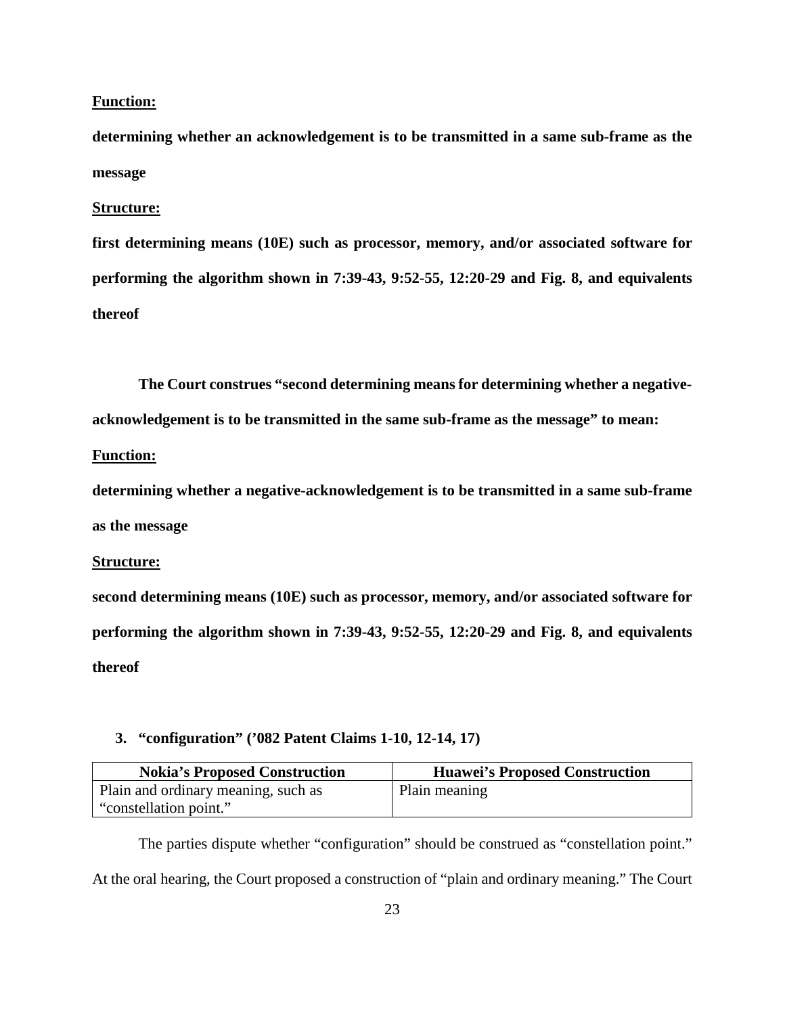## **Function:**

**determining whether an acknowledgement is to be transmitted in a same sub-frame as the message** 

### **Structure:**

**first determining means (10E) such as processor, memory, and/or associated software for performing the algorithm shown in 7:39-43, 9:52-55, 12:20-29 and Fig. 8, and equivalents thereof**

**The Court construes "second determining means for determining whether a negative-**

**acknowledgement is to be transmitted in the same sub-frame as the message" to mean:** 

### **Function:**

**determining whether a negative-acknowledgement is to be transmitted in a same sub-frame as the message** 

### **Structure:**

**second determining means (10E) such as processor, memory, and/or associated software for performing the algorithm shown in 7:39-43, 9:52-55, 12:20-29 and Fig. 8, and equivalents thereof**

## **3. "configuration" ('082 Patent Claims 1-10, 12-14, 17)**

| <b>Nokia's Proposed Construction</b> | <b>Huawei's Proposed Construction</b> |
|--------------------------------------|---------------------------------------|
| Plain and ordinary meaning, such as  | Plain meaning                         |
| "constellation point."               |                                       |

The parties dispute whether "configuration" should be construed as "constellation point." At the oral hearing, the Court proposed a construction of "plain and ordinary meaning." The Court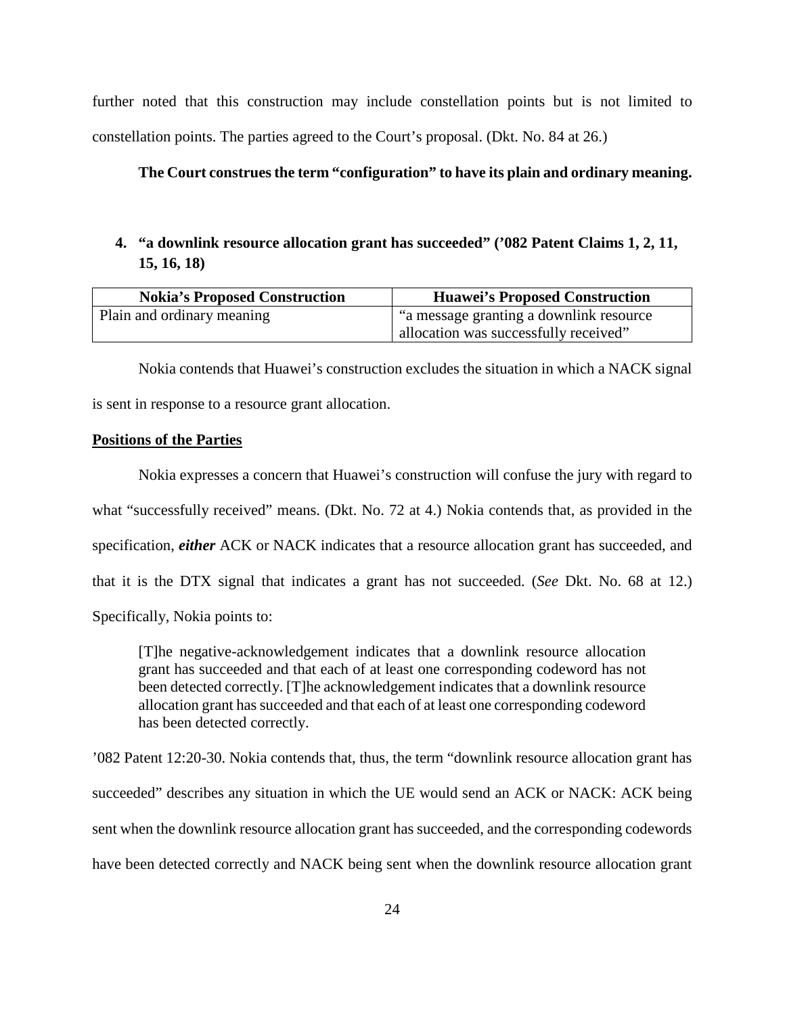further noted that this construction may include constellation points but is not limited to constellation points. The parties agreed to the Court's proposal. (Dkt. No. 84 at 26.)

## **The Court construes the term "configuration" to have its plain and ordinary meaning.**

# **4. "a downlink resource allocation grant has succeeded" ('082 Patent Claims 1, 2, 11, 15, 16, 18)**

| <b>Nokia's Proposed Construction</b> | <b>Huawei's Proposed Construction</b>  |
|--------------------------------------|----------------------------------------|
| Plain and ordinary meaning           | a message granting a downlink resource |
|                                      | allocation was successfully received"  |

Nokia contends that Huawei's construction excludes the situation in which a NACK signal is sent in response to a resource grant allocation.

# **Positions of the Parties**

 Nokia expresses a concern that Huawei's construction will confuse the jury with regard to what "successfully received" means. (Dkt. No. 72 at 4.) Nokia contends that, as provided in the specification, *either* ACK or NACK indicates that a resource allocation grant has succeeded, and that it is the DTX signal that indicates a grant has not succeeded. (*See* Dkt. No. 68 at 12.) Specifically, Nokia points to:

[T]he negative-acknowledgement indicates that a downlink resource allocation grant has succeeded and that each of at least one corresponding codeword has not been detected correctly. [T]he acknowledgement indicates that a downlink resource allocation grant has succeeded and that each of at least one corresponding codeword has been detected correctly.

'082 Patent 12:20-30. Nokia contends that, thus, the term "downlink resource allocation grant has succeeded" describes any situation in which the UE would send an ACK or NACK: ACK being sent when the downlink resource allocation grant has succeeded, and the corresponding codewords have been detected correctly and NACK being sent when the downlink resource allocation grant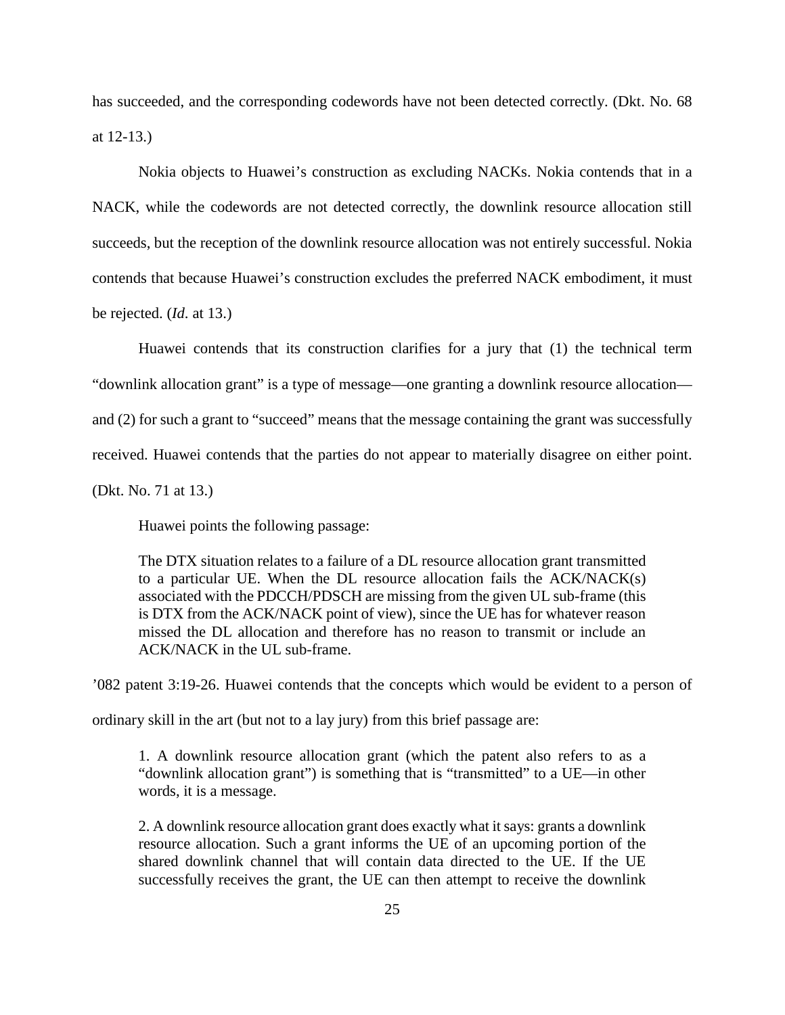has succeeded, and the corresponding codewords have not been detected correctly. (Dkt. No. 68 at 12-13.)

Nokia objects to Huawei's construction as excluding NACKs. Nokia contends that in a NACK, while the codewords are not detected correctly, the downlink resource allocation still succeeds, but the reception of the downlink resource allocation was not entirely successful. Nokia contends that because Huawei's construction excludes the preferred NACK embodiment, it must be rejected. (*Id*. at 13.)

Huawei contends that its construction clarifies for a jury that (1) the technical term "downlink allocation grant" is a type of message—one granting a downlink resource allocation and (2) for such a grant to "succeed" means that the message containing the grant was successfully received. Huawei contends that the parties do not appear to materially disagree on either point. (Dkt. No. 71 at 13.)

Huawei points the following passage:

The DTX situation relates to a failure of a DL resource allocation grant transmitted to a particular UE. When the DL resource allocation fails the ACK/NACK(s) associated with the PDCCH/PDSCH are missing from the given UL sub-frame (this is DTX from the ACK/NACK point of view), since the UE has for whatever reason missed the DL allocation and therefore has no reason to transmit or include an ACK/NACK in the UL sub-frame.

'082 patent 3:19-26. Huawei contends that the concepts which would be evident to a person of

ordinary skill in the art (but not to a lay jury) from this brief passage are:

1. A downlink resource allocation grant (which the patent also refers to as a "downlink allocation grant") is something that is "transmitted" to a UE—in other words, it is a message.

2. A downlink resource allocation grant does exactly what it says: grants a downlink resource allocation. Such a grant informs the UE of an upcoming portion of the shared downlink channel that will contain data directed to the UE. If the UE successfully receives the grant, the UE can then attempt to receive the downlink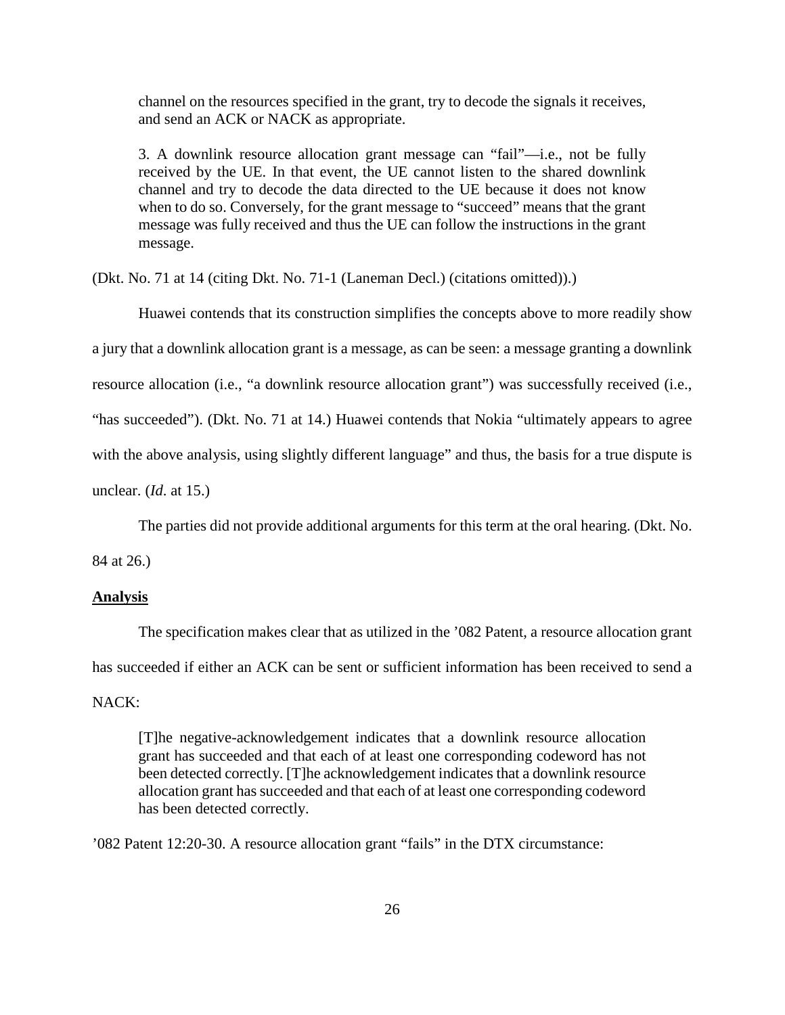channel on the resources specified in the grant, try to decode the signals it receives, and send an ACK or NACK as appropriate.

3. A downlink resource allocation grant message can "fail"—i.e., not be fully received by the UE. In that event, the UE cannot listen to the shared downlink channel and try to decode the data directed to the UE because it does not know when to do so. Conversely, for the grant message to "succeed" means that the grant message was fully received and thus the UE can follow the instructions in the grant message.

(Dkt. No. 71 at 14 (citing Dkt. No. 71-1 (Laneman Decl.) (citations omitted)).)

Huawei contends that its construction simplifies the concepts above to more readily show

a jury that a downlink allocation grant is a message, as can be seen: a message granting a downlink

resource allocation (i.e., "a downlink resource allocation grant") was successfully received (i.e.,

"has succeeded"). (Dkt. No. 71 at 14.) Huawei contends that Nokia "ultimately appears to agree

with the above analysis, using slightly different language" and thus, the basis for a true dispute is

unclear. (*Id*. at 15.)

The parties did not provide additional arguments for this term at the oral hearing. (Dkt. No.

84 at 26.)

### **Analysis**

The specification makes clear that as utilized in the '082 Patent, a resource allocation grant has succeeded if either an ACK can be sent or sufficient information has been received to send a

# NACK:

[T]he negative-acknowledgement indicates that a downlink resource allocation grant has succeeded and that each of at least one corresponding codeword has not been detected correctly. [T]he acknowledgement indicates that a downlink resource allocation grant has succeeded and that each of at least one corresponding codeword has been detected correctly.

'082 Patent 12:20-30. A resource allocation grant "fails" in the DTX circumstance: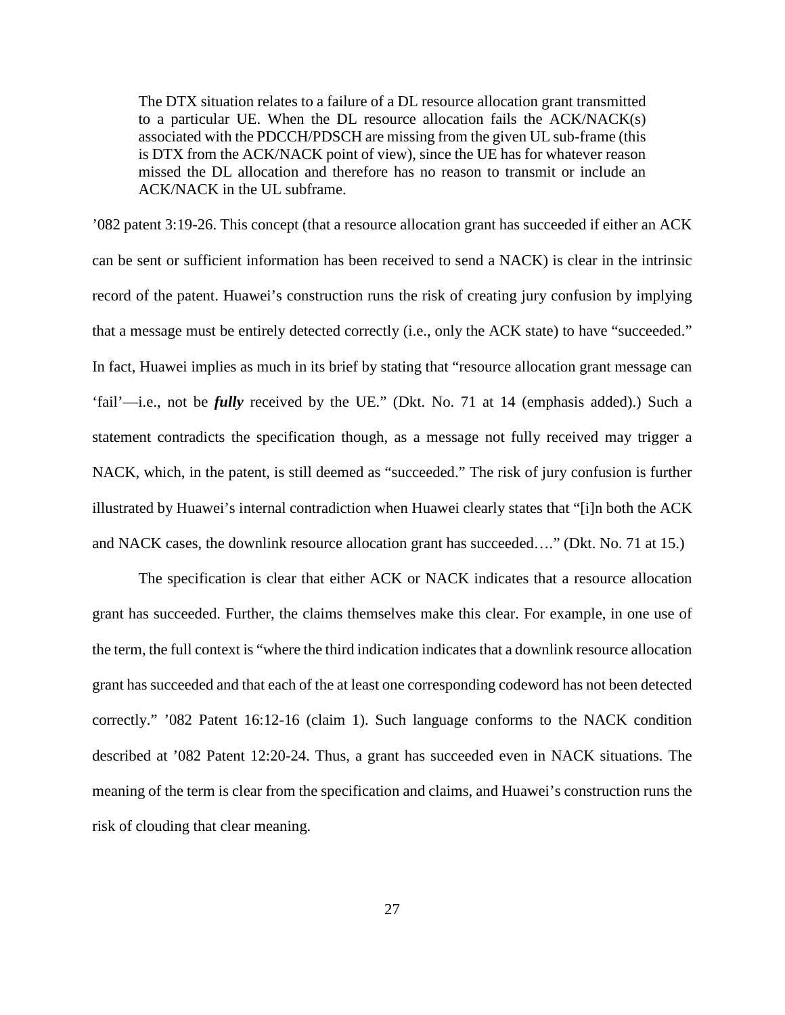The DTX situation relates to a failure of a DL resource allocation grant transmitted to a particular UE. When the DL resource allocation fails the  $ACK/ NACK(s)$ associated with the PDCCH/PDSCH are missing from the given UL sub-frame (this is DTX from the ACK/NACK point of view), since the UE has for whatever reason missed the DL allocation and therefore has no reason to transmit or include an ACK/NACK in the UL subframe.

'082 patent 3:19-26. This concept (that a resource allocation grant has succeeded if either an ACK can be sent or sufficient information has been received to send a NACK) is clear in the intrinsic record of the patent. Huawei's construction runs the risk of creating jury confusion by implying that a message must be entirely detected correctly (i.e., only the ACK state) to have "succeeded." In fact, Huawei implies as much in its brief by stating that "resource allocation grant message can 'fail'—i.e., not be *fully* received by the UE." (Dkt. No. 71 at 14 (emphasis added).) Such a statement contradicts the specification though, as a message not fully received may trigger a NACK, which, in the patent, is still deemed as "succeeded." The risk of jury confusion is further illustrated by Huawei's internal contradiction when Huawei clearly states that "[i]n both the ACK and NACK cases, the downlink resource allocation grant has succeeded…." (Dkt. No. 71 at 15.)

The specification is clear that either ACK or NACK indicates that a resource allocation grant has succeeded. Further, the claims themselves make this clear. For example, in one use of the term, the full context is "where the third indication indicates that a downlink resource allocation grant has succeeded and that each of the at least one corresponding codeword has not been detected correctly." '082 Patent 16:12-16 (claim 1). Such language conforms to the NACK condition described at '082 Patent 12:20-24. Thus, a grant has succeeded even in NACK situations. The meaning of the term is clear from the specification and claims, and Huawei's construction runs the risk of clouding that clear meaning.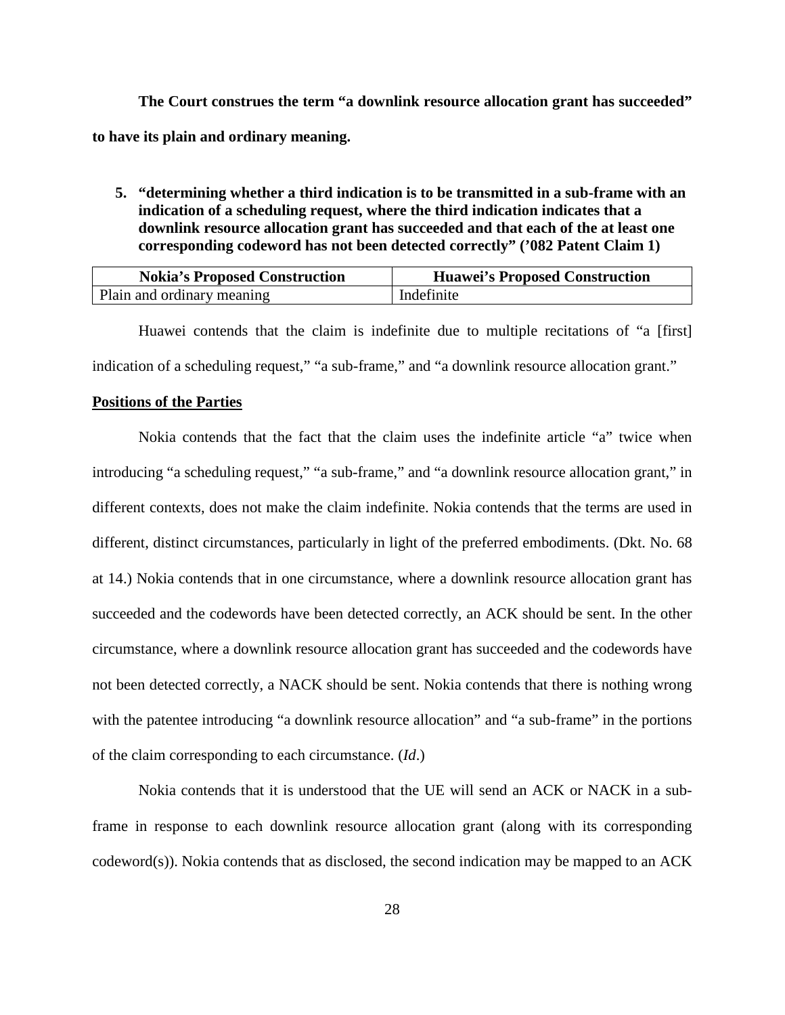**The Court construes the term "a downlink resource allocation grant has succeeded" to have its plain and ordinary meaning.** 

**5. "determining whether a third indication is to be transmitted in a sub-frame with an indication of a scheduling request, where the third indication indicates that a downlink resource allocation grant has succeeded and that each of the at least one corresponding codeword has not been detected correctly" ('082 Patent Claim 1)**

| <b>Nokia's Proposed Construction</b> | <b>Huawei's Proposed Construction</b> |
|--------------------------------------|---------------------------------------|
| Plain and ordinary meaning           | Indefinite                            |

Huawei contends that the claim is indefinite due to multiple recitations of "a [first] indication of a scheduling request," "a sub-frame," and "a downlink resource allocation grant."

## **Positions of the Parties**

Nokia contends that the fact that the claim uses the indefinite article "a" twice when introducing "a scheduling request," "a sub-frame," and "a downlink resource allocation grant," in different contexts, does not make the claim indefinite. Nokia contends that the terms are used in different, distinct circumstances, particularly in light of the preferred embodiments. (Dkt. No. 68 at 14.) Nokia contends that in one circumstance, where a downlink resource allocation grant has succeeded and the codewords have been detected correctly, an ACK should be sent. In the other circumstance, where a downlink resource allocation grant has succeeded and the codewords have not been detected correctly, a NACK should be sent. Nokia contends that there is nothing wrong with the patentee introducing "a downlink resource allocation" and "a sub-frame" in the portions of the claim corresponding to each circumstance. (*Id*.)

Nokia contends that it is understood that the UE will send an ACK or NACK in a subframe in response to each downlink resource allocation grant (along with its corresponding codeword(s)). Nokia contends that as disclosed, the second indication may be mapped to an ACK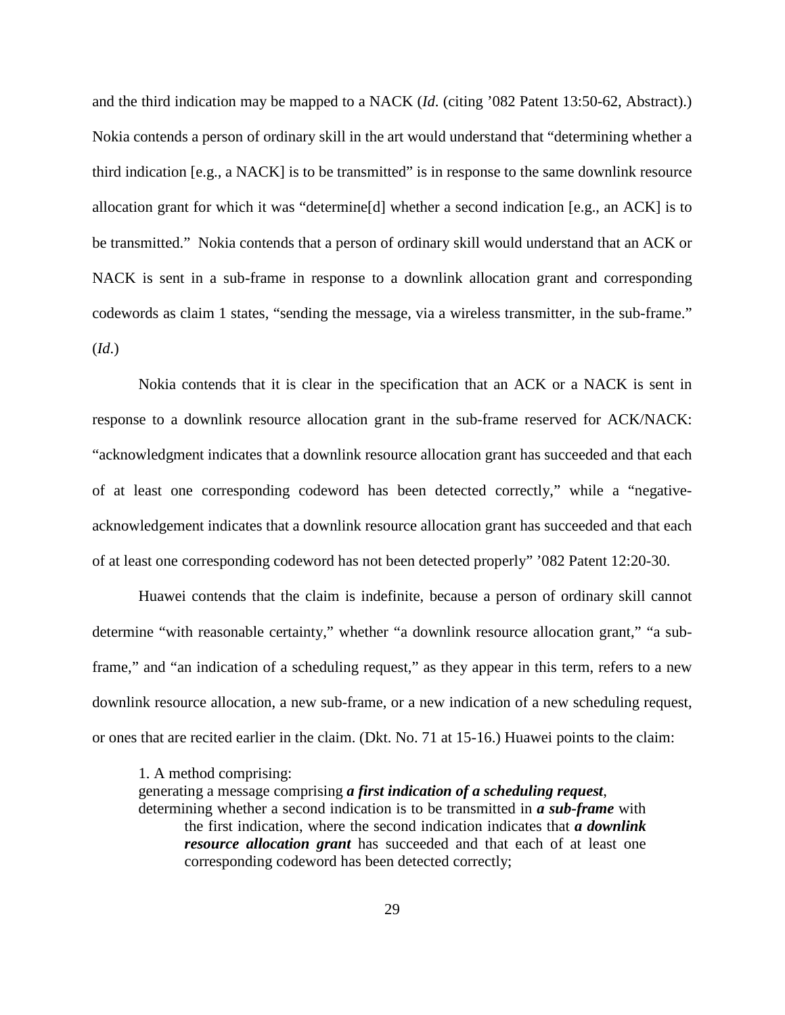and the third indication may be mapped to a NACK (*Id*. (citing '082 Patent 13:50-62, Abstract).) Nokia contends a person of ordinary skill in the art would understand that "determining whether a third indication [e.g., a NACK] is to be transmitted" is in response to the same downlink resource allocation grant for which it was "determine[d] whether a second indication [e.g., an ACK] is to be transmitted." Nokia contends that a person of ordinary skill would understand that an ACK or NACK is sent in a sub-frame in response to a downlink allocation grant and corresponding codewords as claim 1 states, "sending the message, via a wireless transmitter, in the sub-frame." (*Id*.)

Nokia contends that it is clear in the specification that an ACK or a NACK is sent in response to a downlink resource allocation grant in the sub-frame reserved for ACK/NACK: "acknowledgment indicates that a downlink resource allocation grant has succeeded and that each of at least one corresponding codeword has been detected correctly," while a "negativeacknowledgement indicates that a downlink resource allocation grant has succeeded and that each of at least one corresponding codeword has not been detected properly" '082 Patent 12:20-30.

Huawei contends that the claim is indefinite, because a person of ordinary skill cannot determine "with reasonable certainty," whether "a downlink resource allocation grant," "a subframe," and "an indication of a scheduling request," as they appear in this term, refers to a new downlink resource allocation, a new sub-frame, or a new indication of a new scheduling request, or ones that are recited earlier in the claim. (Dkt. No. 71 at 15-16.) Huawei points to the claim:

1. A method comprising:

generating a message comprising *a first indication of a scheduling request*,

determining whether a second indication is to be transmitted in *a sub-frame* with the first indication, where the second indication indicates that *a downlink resource allocation grant* has succeeded and that each of at least one corresponding codeword has been detected correctly;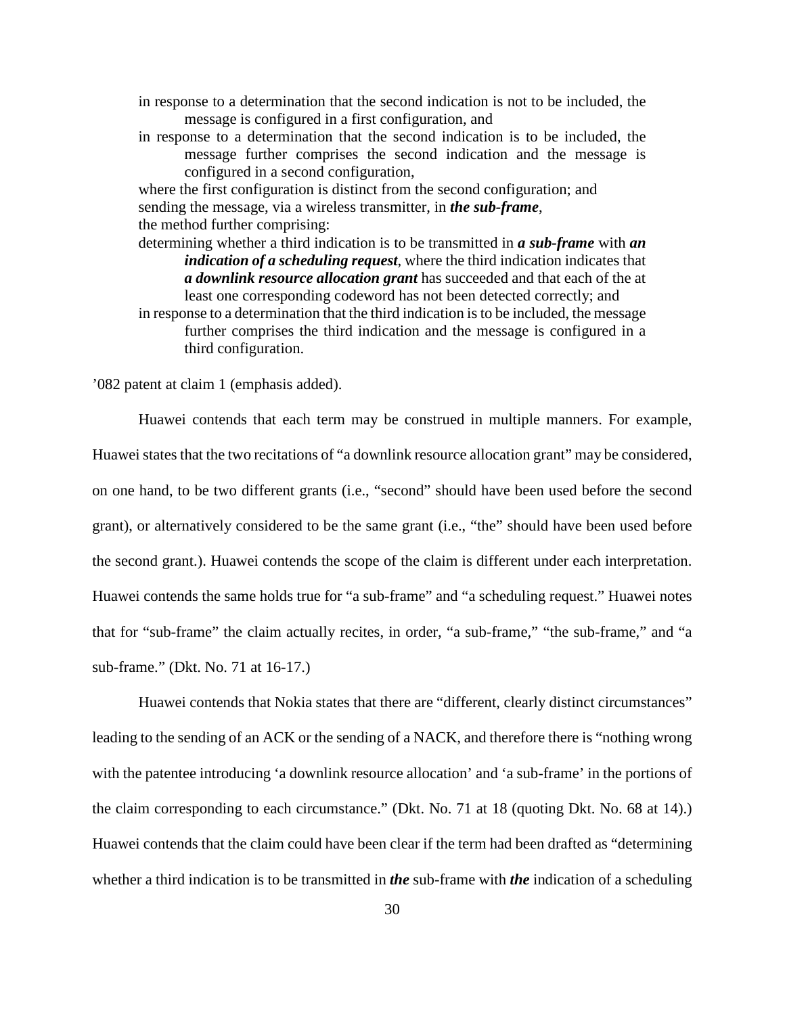- in response to a determination that the second indication is not to be included, the message is configured in a first configuration, and
- in response to a determination that the second indication is to be included, the message further comprises the second indication and the message is configured in a second configuration,

where the first configuration is distinct from the second configuration; and sending the message, via a wireless transmitter, in *the sub-frame*, the method further comprising:

determining whether a third indication is to be transmitted in *a sub-frame* with *an indication of a scheduling request*, where the third indication indicates that *a downlink resource allocation grant* has succeeded and that each of the at least one corresponding codeword has not been detected correctly; and

in response to a determination that the third indication is to be included, the message further comprises the third indication and the message is configured in a third configuration.

'082 patent at claim 1 (emphasis added).

Huawei contends that each term may be construed in multiple manners. For example, Huawei states that the two recitations of "a downlink resource allocation grant" may be considered, on one hand, to be two different grants (i.e., "second" should have been used before the second grant), or alternatively considered to be the same grant (i.e., "the" should have been used before the second grant.). Huawei contends the scope of the claim is different under each interpretation. Huawei contends the same holds true for "a sub-frame" and "a scheduling request." Huawei notes that for "sub-frame" the claim actually recites, in order, "a sub-frame," "the sub-frame," and "a sub-frame." (Dkt. No. 71 at 16-17.)

Huawei contends that Nokia states that there are "different, clearly distinct circumstances" leading to the sending of an ACK or the sending of a NACK, and therefore there is "nothing wrong with the patentee introducing 'a downlink resource allocation' and 'a sub-frame' in the portions of the claim corresponding to each circumstance." (Dkt. No. 71 at 18 (quoting Dkt. No. 68 at 14).) Huawei contends that the claim could have been clear if the term had been drafted as "determining whether a third indication is to be transmitted in *the* sub-frame with *the* indication of a scheduling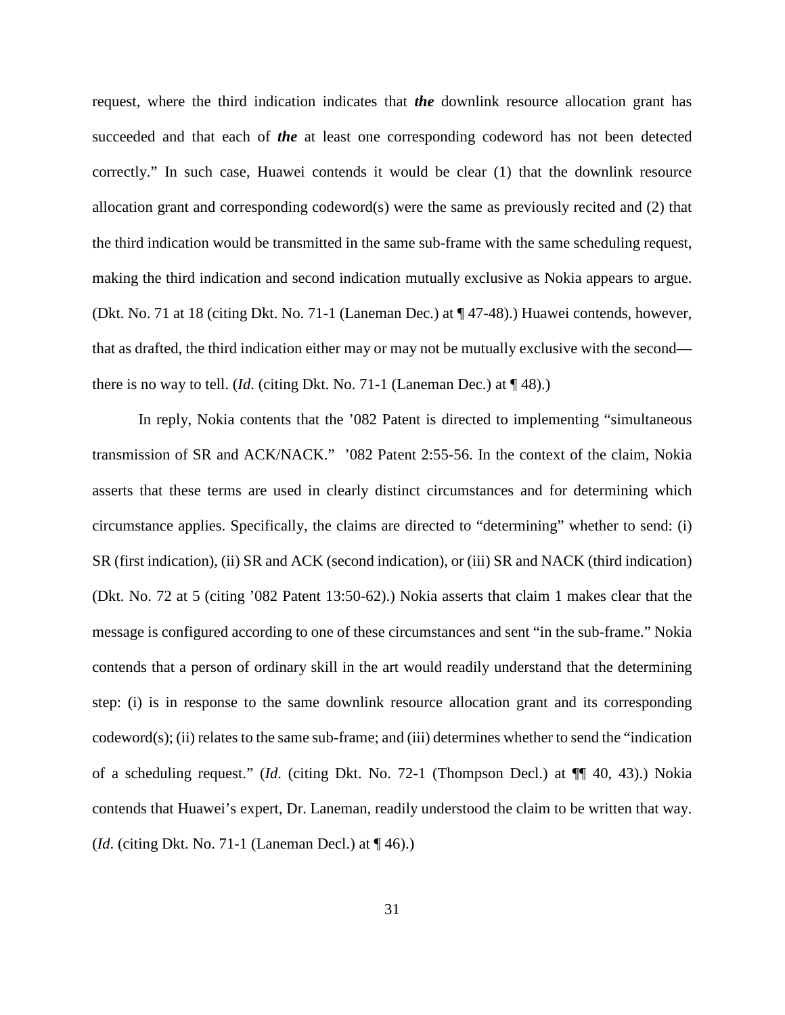request, where the third indication indicates that *the* downlink resource allocation grant has succeeded and that each of *the* at least one corresponding codeword has not been detected correctly." In such case, Huawei contends it would be clear (1) that the downlink resource allocation grant and corresponding codeword(s) were the same as previously recited and (2) that the third indication would be transmitted in the same sub-frame with the same scheduling request, making the third indication and second indication mutually exclusive as Nokia appears to argue. (Dkt. No. 71 at 18 (citing Dkt. No. 71-1 (Laneman Dec.) at ¶ 47-48).) Huawei contends, however, that as drafted, the third indication either may or may not be mutually exclusive with the second there is no way to tell. (*Id.* (citing Dkt. No. 71-1 (Laneman Dec.) at  $\P$  48).)

In reply, Nokia contents that the '082 Patent is directed to implementing "simultaneous transmission of SR and ACK/NACK." '082 Patent 2:55-56. In the context of the claim, Nokia asserts that these terms are used in clearly distinct circumstances and for determining which circumstance applies. Specifically, the claims are directed to "determining" whether to send: (i) SR (first indication), (ii) SR and ACK (second indication), or (iii) SR and NACK (third indication) (Dkt. No. 72 at 5 (citing '082 Patent 13:50-62).) Nokia asserts that claim 1 makes clear that the message is configured according to one of these circumstances and sent "in the sub-frame." Nokia contends that a person of ordinary skill in the art would readily understand that the determining step: (i) is in response to the same downlink resource allocation grant and its corresponding codeword(s); (ii) relates to the same sub-frame; and (iii) determines whether to send the "indication of a scheduling request." (*Id*. (citing Dkt. No. 72-1 (Thompson Decl.) at ¶¶ 40, 43).) Nokia contends that Huawei's expert, Dr. Laneman, readily understood the claim to be written that way. (*Id*. (citing Dkt. No. 71-1 (Laneman Decl.) at ¶ 46).)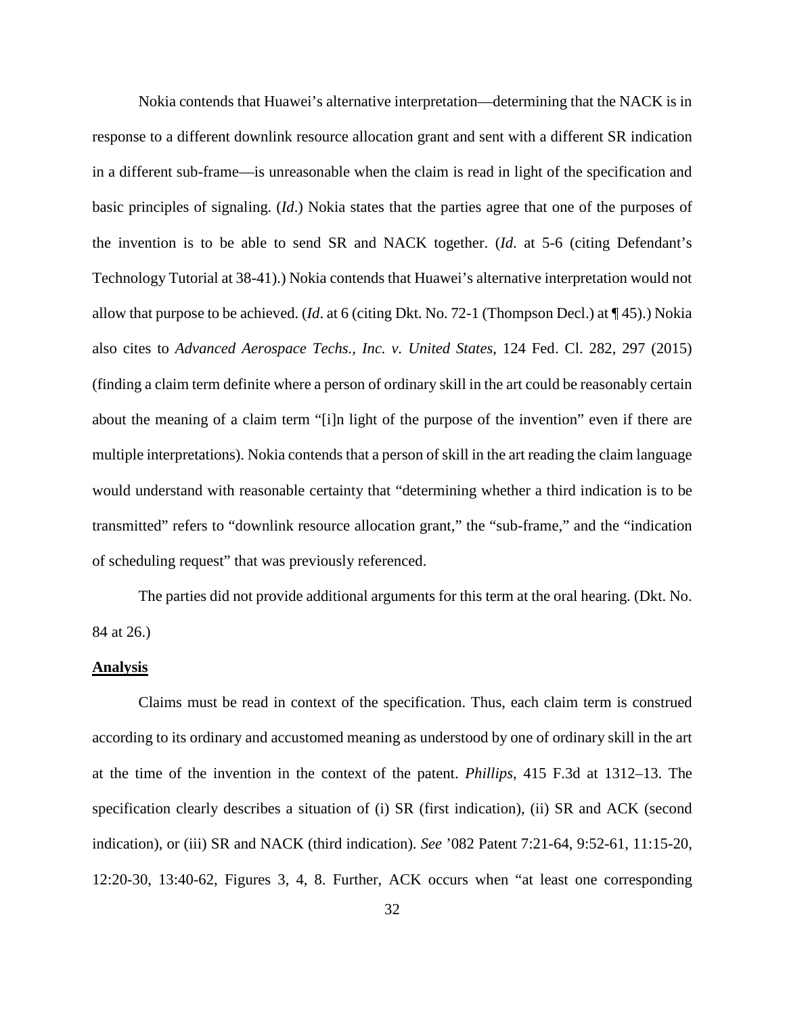Nokia contends that Huawei's alternative interpretation—determining that the NACK is in response to a different downlink resource allocation grant and sent with a different SR indication in a different sub-frame—is unreasonable when the claim is read in light of the specification and basic principles of signaling. (*Id*.) Nokia states that the parties agree that one of the purposes of the invention is to be able to send SR and NACK together. (*Id*. at 5-6 (citing Defendant's Technology Tutorial at 38-41).) Nokia contends that Huawei's alternative interpretation would not allow that purpose to be achieved. (*Id*. at 6 (citing Dkt. No. 72-1 (Thompson Decl.) at ¶ 45).) Nokia also cites to *Advanced Aerospace Techs., Inc. v. United States*, 124 Fed. Cl. 282, 297 (2015) (finding a claim term definite where a person of ordinary skill in the art could be reasonably certain about the meaning of a claim term "[i]n light of the purpose of the invention" even if there are multiple interpretations). Nokia contends that a person of skill in the art reading the claim language would understand with reasonable certainty that "determining whether a third indication is to be transmitted" refers to "downlink resource allocation grant," the "sub-frame," and the "indication of scheduling request" that was previously referenced.

The parties did not provide additional arguments for this term at the oral hearing. (Dkt. No. 84 at 26.)

#### **Analysis**

Claims must be read in context of the specification. Thus, each claim term is construed according to its ordinary and accustomed meaning as understood by one of ordinary skill in the art at the time of the invention in the context of the patent. *Phillips*, 415 F.3d at 1312–13. The specification clearly describes a situation of (i) SR (first indication), (ii) SR and ACK (second indication), or (iii) SR and NACK (third indication). *See* '082 Patent 7:21-64, 9:52-61, 11:15-20, 12:20-30, 13:40-62, Figures 3, 4, 8. Further, ACK occurs when "at least one corresponding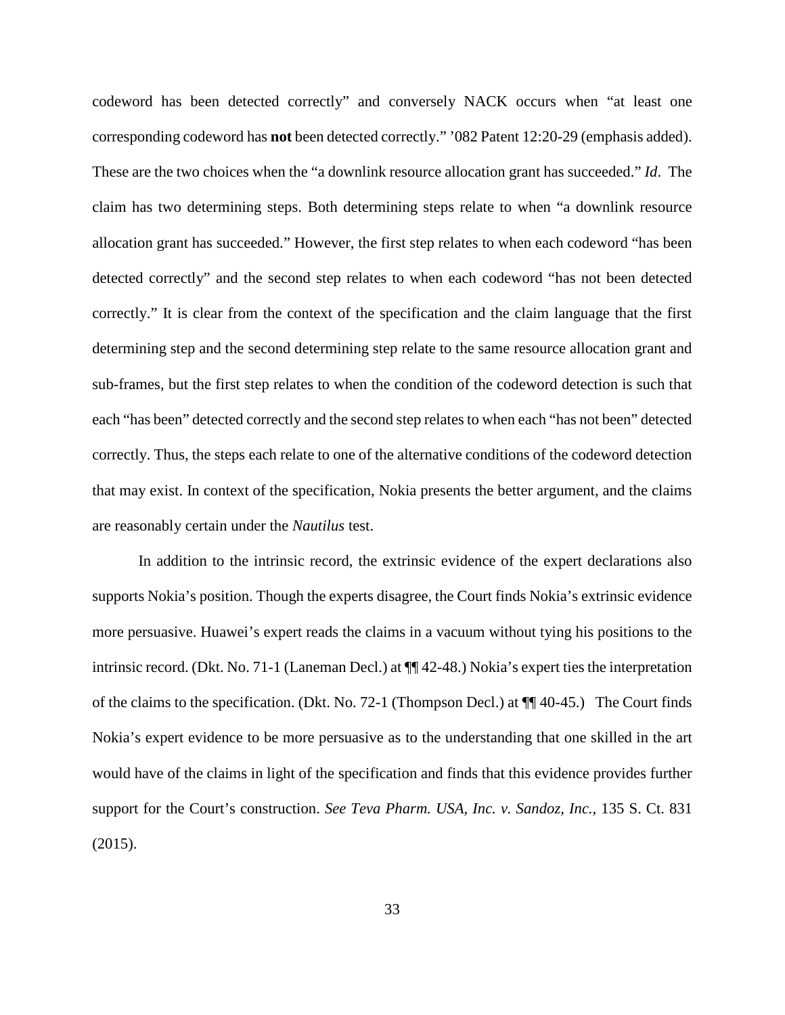codeword has been detected correctly" and conversely NACK occurs when "at least one corresponding codeword has **not** been detected correctly." '082 Patent 12:20-29 (emphasis added). These are the two choices when the "a downlink resource allocation grant has succeeded." *Id*. The claim has two determining steps. Both determining steps relate to when "a downlink resource allocation grant has succeeded." However, the first step relates to when each codeword "has been detected correctly" and the second step relates to when each codeword "has not been detected correctly." It is clear from the context of the specification and the claim language that the first determining step and the second determining step relate to the same resource allocation grant and sub-frames, but the first step relates to when the condition of the codeword detection is such that each "has been" detected correctly and the second step relates to when each "has not been" detected correctly. Thus, the steps each relate to one of the alternative conditions of the codeword detection that may exist. In context of the specification, Nokia presents the better argument, and the claims are reasonably certain under the *Nautilus* test.

In addition to the intrinsic record, the extrinsic evidence of the expert declarations also supports Nokia's position. Though the experts disagree, the Court finds Nokia's extrinsic evidence more persuasive. Huawei's expert reads the claims in a vacuum without tying his positions to the intrinsic record. (Dkt. No. 71-1 (Laneman Decl.) at ¶¶ 42-48.) Nokia's expert ties the interpretation of the claims to the specification. (Dkt. No. 72-1 (Thompson Decl.) at ¶¶ 40-45.) The Court finds Nokia's expert evidence to be more persuasive as to the understanding that one skilled in the art would have of the claims in light of the specification and finds that this evidence provides further support for the Court's construction. *See Teva Pharm. USA, Inc. v. Sandoz, Inc.*, 135 S. Ct. 831 (2015).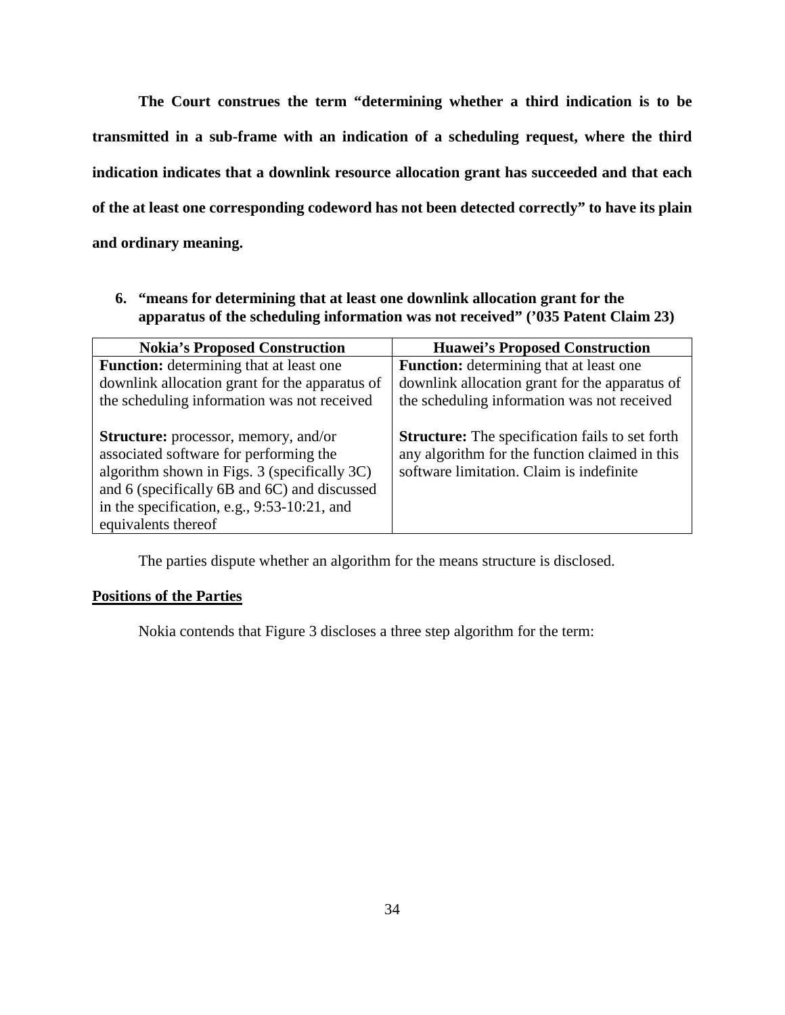**The Court construes the term "determining whether a third indication is to be transmitted in a sub-frame with an indication of a scheduling request, where the third indication indicates that a downlink resource allocation grant has succeeded and that each of the at least one corresponding codeword has not been detected correctly" to have its plain and ordinary meaning.** 

**6. "means for determining that at least one downlink allocation grant for the apparatus of the scheduling information was not received" ('035 Patent Claim 23)**

| <b>Nokia's Proposed Construction</b>           | <b>Huawei's Proposed Construction</b>                  |
|------------------------------------------------|--------------------------------------------------------|
| <b>Function:</b> determining that at least one | <b>Function:</b> determining that at least one         |
| downlink allocation grant for the apparatus of | downlink allocation grant for the apparatus of         |
| the scheduling information was not received    | the scheduling information was not received            |
|                                                |                                                        |
| <b>Structure:</b> processor, memory, and/or    | <b>Structure:</b> The specification fails to set forth |
| associated software for performing the         | any algorithm for the function claimed in this         |
| algorithm shown in Figs. 3 (specifically 3C)   | software limitation. Claim is indefinite               |
| and 6 (specifically 6B and 6C) and discussed   |                                                        |
| in the specification, e.g., 9:53-10:21, and    |                                                        |
| equivalents thereof                            |                                                        |

The parties dispute whether an algorithm for the means structure is disclosed.

### **Positions of the Parties**

Nokia contends that Figure 3 discloses a three step algorithm for the term: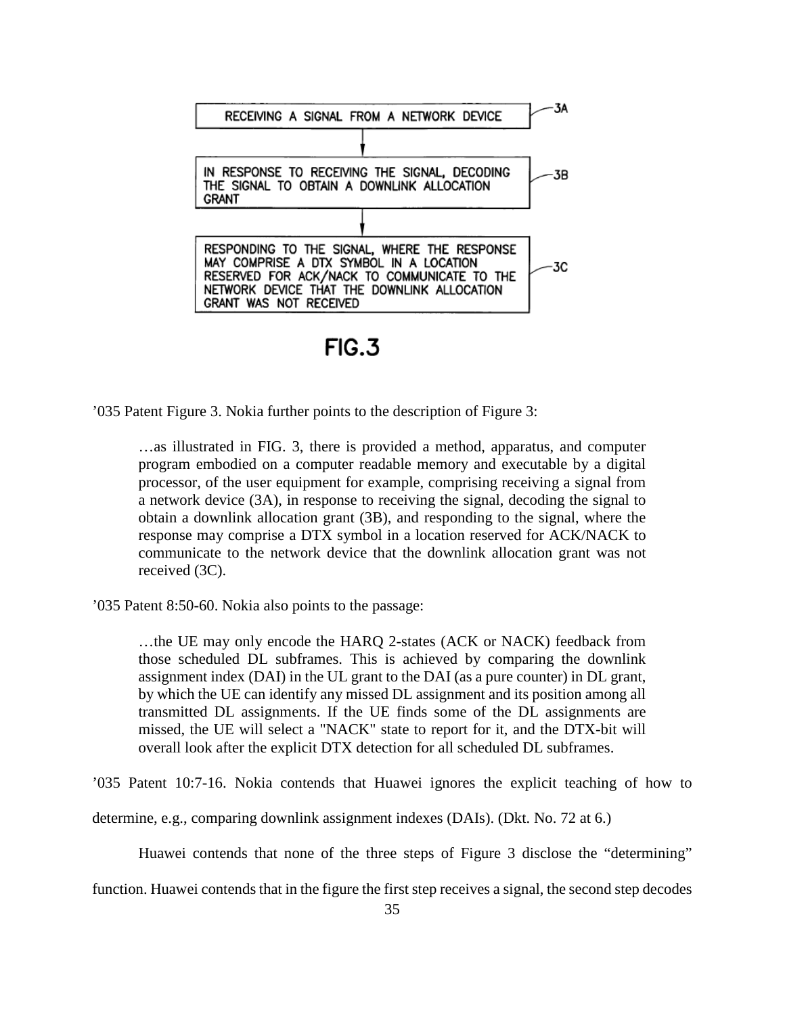

 $FIG.3$ 

'035 Patent Figure 3. Nokia further points to the description of Figure 3:

…as illustrated in FIG. 3, there is provided a method, apparatus, and computer program embodied on a computer readable memory and executable by a digital processor, of the user equipment for example, comprising receiving a signal from a network device (3A), in response to receiving the signal, decoding the signal to obtain a downlink allocation grant (3B), and responding to the signal, where the response may comprise a DTX symbol in a location reserved for ACK/NACK to communicate to the network device that the downlink allocation grant was not received (3C).

'035 Patent 8:50-60. Nokia also points to the passage:

…the UE may only encode the HARQ 2-states (ACK or NACK) feedback from those scheduled DL subframes. This is achieved by comparing the downlink assignment index (DAI) in the UL grant to the DAI (as a pure counter) in DL grant, by which the UE can identify any missed DL assignment and its position among all transmitted DL assignments. If the UE finds some of the DL assignments are missed, the UE will select a "NACK" state to report for it, and the DTX-bit will overall look after the explicit DTX detection for all scheduled DL subframes.

'035 Patent 10:7-16. Nokia contends that Huawei ignores the explicit teaching of how to

determine, e.g., comparing downlink assignment indexes (DAIs). (Dkt. No. 72 at 6.)

Huawei contends that none of the three steps of Figure 3 disclose the "determining"

function. Huawei contends that in the figure the first step receives a signal, the second step decodes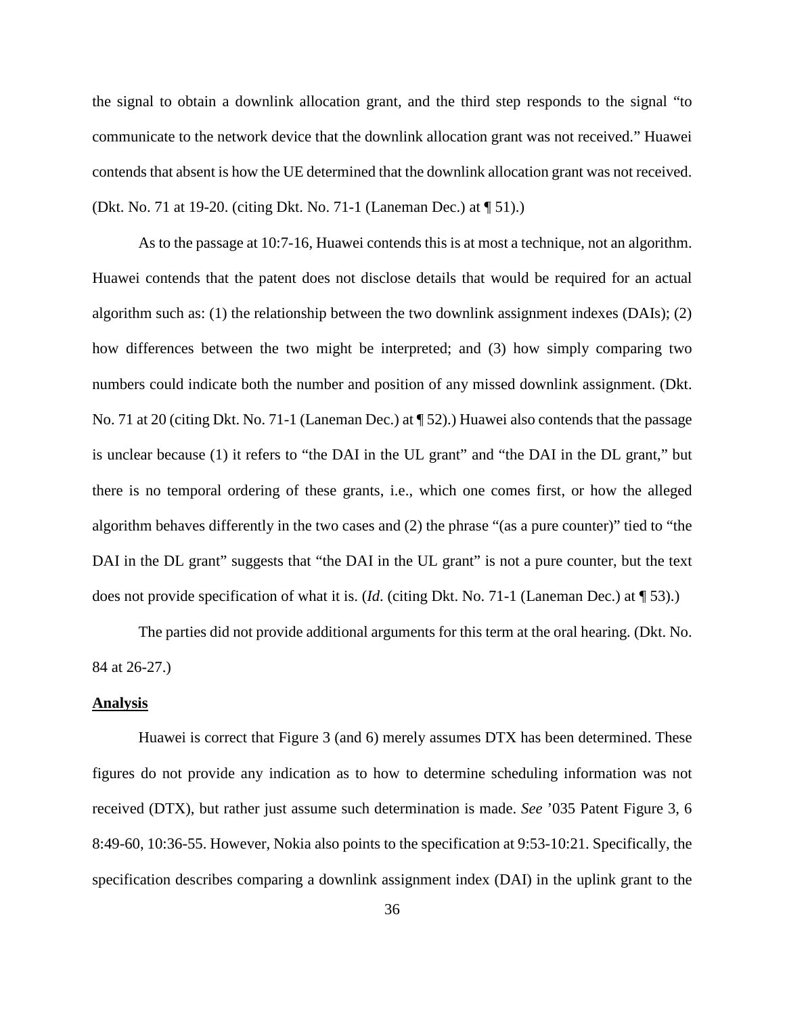the signal to obtain a downlink allocation grant, and the third step responds to the signal "to communicate to the network device that the downlink allocation grant was not received." Huawei contends that absent is how the UE determined that the downlink allocation grant was not received. (Dkt. No. 71 at 19-20. (citing Dkt. No. 71-1 (Laneman Dec.) at ¶ 51).)

As to the passage at 10:7-16, Huawei contends this is at most a technique, not an algorithm. Huawei contends that the patent does not disclose details that would be required for an actual algorithm such as: (1) the relationship between the two downlink assignment indexes (DAIs); (2) how differences between the two might be interpreted; and (3) how simply comparing two numbers could indicate both the number and position of any missed downlink assignment. (Dkt. No. 71 at 20 (citing Dkt. No. 71-1 (Laneman Dec.) at ¶ 52).) Huawei also contends that the passage is unclear because (1) it refers to "the DAI in the UL grant" and "the DAI in the DL grant," but there is no temporal ordering of these grants, i.e., which one comes first, or how the alleged algorithm behaves differently in the two cases and (2) the phrase "(as a pure counter)" tied to "the DAI in the DL grant" suggests that "the DAI in the UL grant" is not a pure counter, but the text does not provide specification of what it is. (*Id*. (citing Dkt. No. 71-1 (Laneman Dec.) at ¶ 53).)

The parties did not provide additional arguments for this term at the oral hearing. (Dkt. No. 84 at 26-27.)

## **Analysis**

Huawei is correct that Figure 3 (and 6) merely assumes DTX has been determined. These figures do not provide any indication as to how to determine scheduling information was not received (DTX), but rather just assume such determination is made. *See* '035 Patent Figure 3, 6 8:49-60, 10:36-55. However, Nokia also points to the specification at 9:53-10:21. Specifically, the specification describes comparing a downlink assignment index (DAI) in the uplink grant to the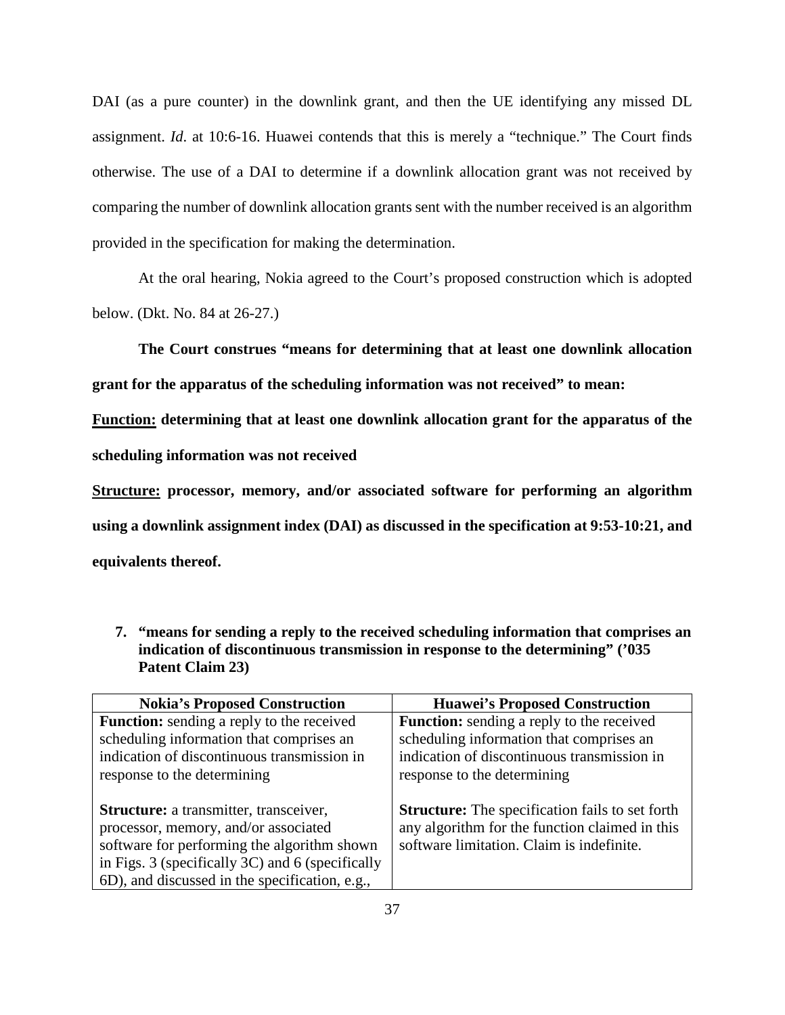DAI (as a pure counter) in the downlink grant, and then the UE identifying any missed DL assignment. *Id*. at 10:6-16. Huawei contends that this is merely a "technique." The Court finds otherwise. The use of a DAI to determine if a downlink allocation grant was not received by comparing the number of downlink allocation grants sent with the number received is an algorithm provided in the specification for making the determination.

At the oral hearing, Nokia agreed to the Court's proposed construction which is adopted below. (Dkt. No. 84 at 26-27.)

**The Court construes "means for determining that at least one downlink allocation grant for the apparatus of the scheduling information was not received" to mean:**

**Function: determining that at least one downlink allocation grant for the apparatus of the** 

**scheduling information was not received**

**Structure: processor, memory, and/or associated software for performing an algorithm using a downlink assignment index (DAI) as discussed in the specification at 9:53-10:21, and equivalents thereof.** 

**7. "means for sending a reply to the received scheduling information that comprises an indication of discontinuous transmission in response to the determining" ('035 Patent Claim 23)**

| <b>Nokia's Proposed Construction</b>                                                                                                                                                                                                       | <b>Huawei's Proposed Construction</b>                                                                                                                                      |
|--------------------------------------------------------------------------------------------------------------------------------------------------------------------------------------------------------------------------------------------|----------------------------------------------------------------------------------------------------------------------------------------------------------------------------|
| <b>Function:</b> sending a reply to the received<br>scheduling information that comprises an<br>indication of discontinuous transmission in<br>response to the determining                                                                 | <b>Function:</b> sending a reply to the received<br>scheduling information that comprises an<br>indication of discontinuous transmission in<br>response to the determining |
| <b>Structure:</b> a transmitter, transceiver,<br>processor, memory, and/or associated<br>software for performing the algorithm shown<br>in Figs. 3 (specifically 3C) and 6 (specifically<br>6D), and discussed in the specification, e.g., | <b>Structure:</b> The specification fails to set forth<br>any algorithm for the function claimed in this<br>software limitation. Claim is indefinite.                      |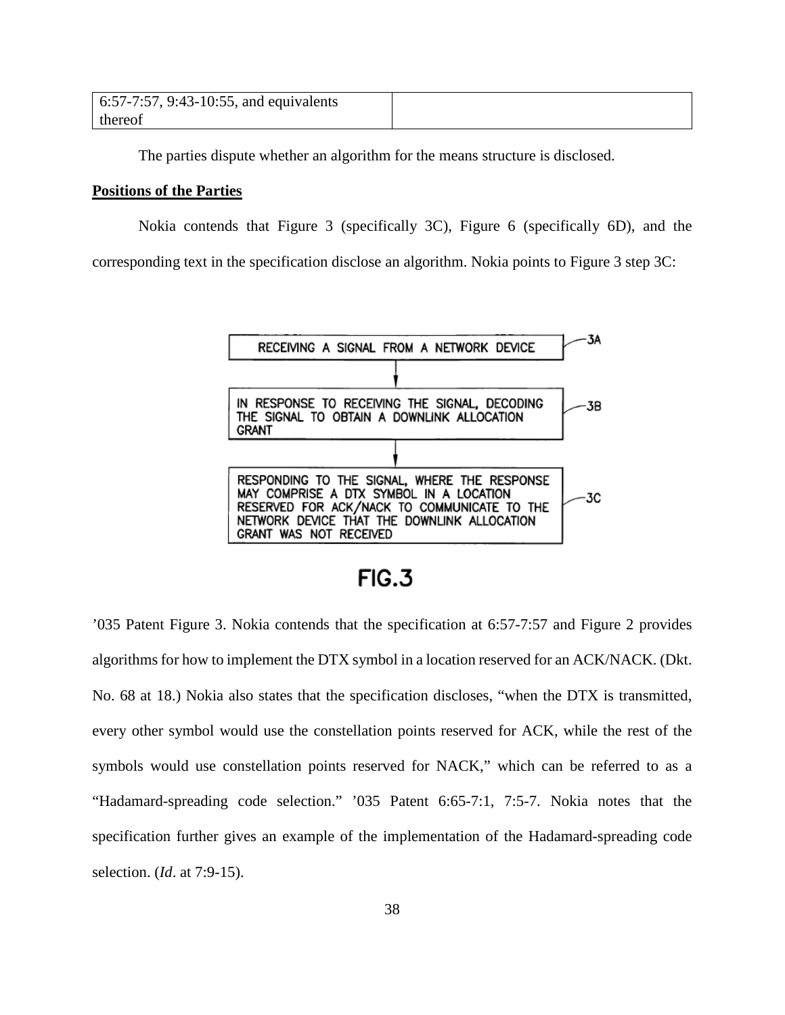| 6:57-7:57, 9:43-10:55, and equivalents |  |
|----------------------------------------|--|
| thereof                                |  |

The parties dispute whether an algorithm for the means structure is disclosed.

## **Positions of the Parties**

Nokia contends that Figure 3 (specifically 3C), Figure 6 (specifically 6D), and the

corresponding text in the specification disclose an algorithm. Nokia points to Figure 3 step 3C:



 $FIG.3$ 

'035 Patent Figure 3. Nokia contends that the specification at 6:57-7:57 and Figure 2 provides algorithms for how to implement the DTX symbol in a location reserved for an ACK/NACK. (Dkt. No. 68 at 18.) Nokia also states that the specification discloses, "when the DTX is transmitted, every other symbol would use the constellation points reserved for ACK, while the rest of the symbols would use constellation points reserved for NACK," which can be referred to as a "Hadamard-spreading code selection." '035 Patent 6:65-7:1, 7:5-7. Nokia notes that the specification further gives an example of the implementation of the Hadamard-spreading code selection. (*Id*. at 7:9-15).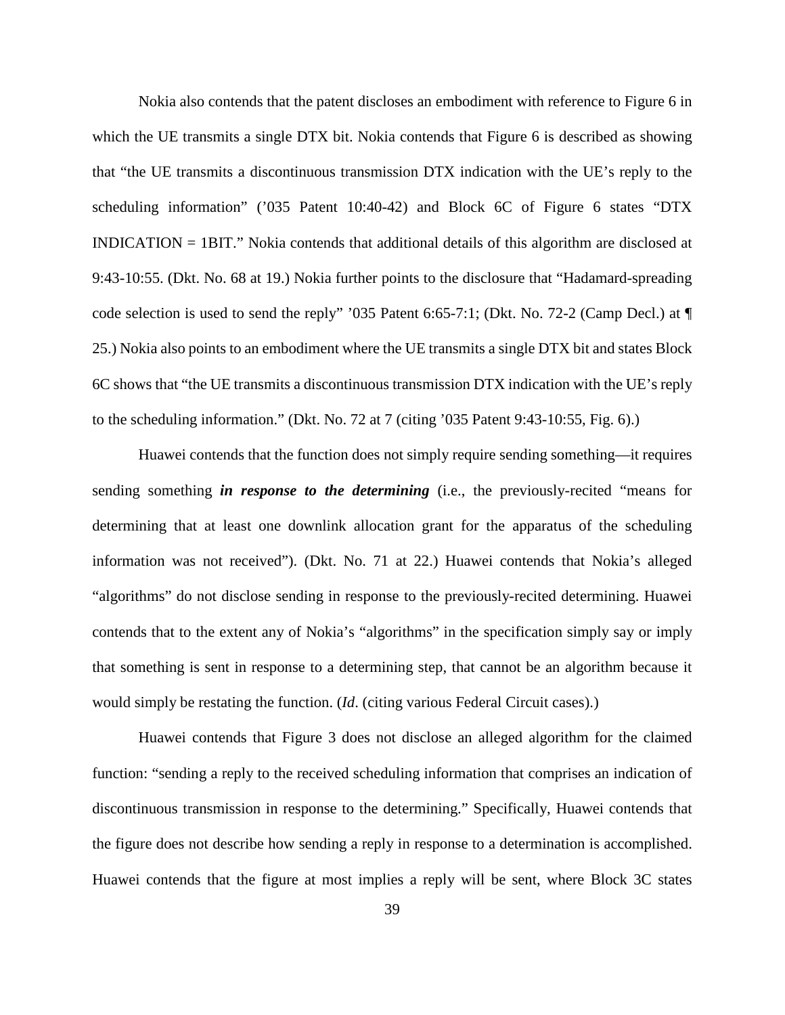Nokia also contends that the patent discloses an embodiment with reference to Figure 6 in which the UE transmits a single DTX bit. Nokia contends that Figure 6 is described as showing that "the UE transmits a discontinuous transmission DTX indication with the UE's reply to the scheduling information" ('035 Patent 10:40-42) and Block 6C of Figure 6 states "DTX INDICATION = 1BIT." Nokia contends that additional details of this algorithm are disclosed at 9:43-10:55. (Dkt. No. 68 at 19.) Nokia further points to the disclosure that "Hadamard-spreading code selection is used to send the reply" '035 Patent 6:65-7:1; (Dkt. No. 72-2 (Camp Decl.) at ¶ 25.) Nokia also points to an embodiment where the UE transmits a single DTX bit and states Block 6C shows that "the UE transmits a discontinuous transmission DTX indication with the UE's reply to the scheduling information." (Dkt. No. 72 at 7 (citing '035 Patent 9:43-10:55, Fig. 6).)

Huawei contends that the function does not simply require sending something—it requires sending something *in response to the determining* (i.e., the previously-recited "means for determining that at least one downlink allocation grant for the apparatus of the scheduling information was not received"). (Dkt. No. 71 at 22.) Huawei contends that Nokia's alleged "algorithms" do not disclose sending in response to the previously-recited determining. Huawei contends that to the extent any of Nokia's "algorithms" in the specification simply say or imply that something is sent in response to a determining step, that cannot be an algorithm because it would simply be restating the function. (*Id*. (citing various Federal Circuit cases).)

Huawei contends that Figure 3 does not disclose an alleged algorithm for the claimed function: "sending a reply to the received scheduling information that comprises an indication of discontinuous transmission in response to the determining." Specifically, Huawei contends that the figure does not describe how sending a reply in response to a determination is accomplished. Huawei contends that the figure at most implies a reply will be sent, where Block 3C states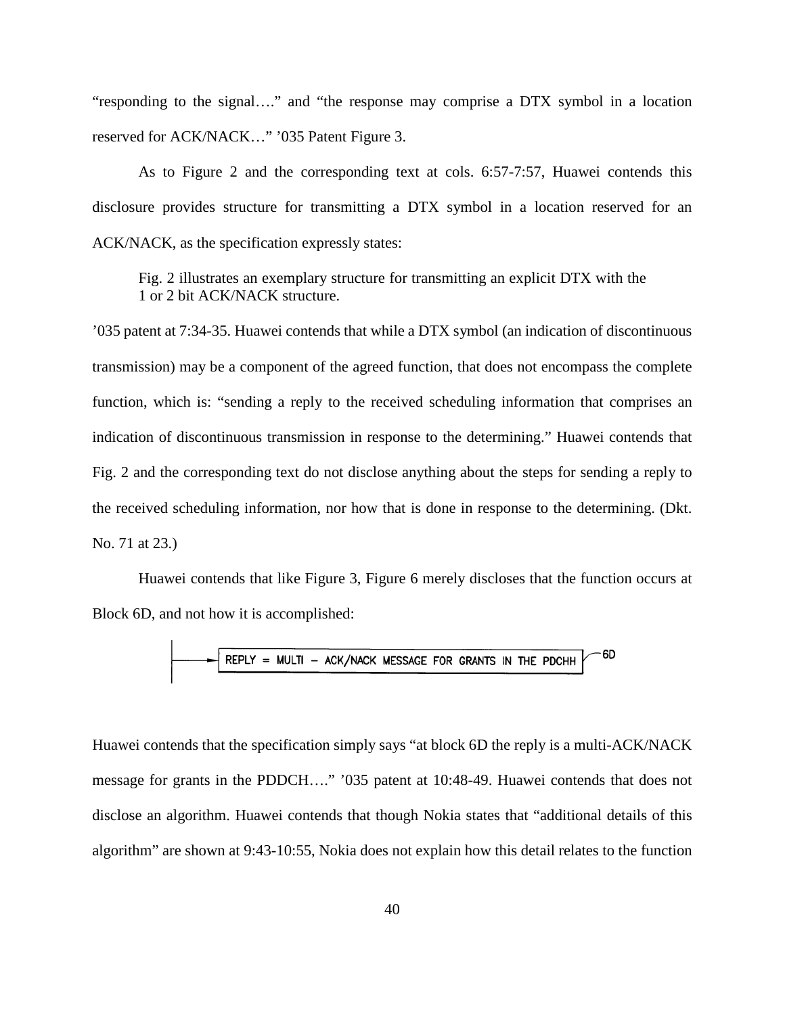"responding to the signal…." and "the response may comprise a DTX symbol in a location reserved for ACK/NACK…" '035 Patent Figure 3.

As to Figure 2 and the corresponding text at cols. 6:57-7:57, Huawei contends this disclosure provides structure for transmitting a DTX symbol in a location reserved for an ACK/NACK, as the specification expressly states:

Fig. 2 illustrates an exemplary structure for transmitting an explicit DTX with the 1 or 2 bit ACK/NACK structure.

'035 patent at 7:34-35. Huawei contends that while a DTX symbol (an indication of discontinuous transmission) may be a component of the agreed function, that does not encompass the complete function, which is: "sending a reply to the received scheduling information that comprises an indication of discontinuous transmission in response to the determining." Huawei contends that Fig. 2 and the corresponding text do not disclose anything about the steps for sending a reply to the received scheduling information, nor how that is done in response to the determining. (Dkt. No. 71 at 23.)

Huawei contends that like Figure 3, Figure 6 merely discloses that the function occurs at Block 6D, and not how it is accomplished:

$$
REPLY = MULTI - ACK/NACK MESSAGE FOR GRANTS IN THE PDCHH
$$

Huawei contends that the specification simply says "at block 6D the reply is a multi-ACK/NACK message for grants in the PDDCH…." '035 patent at 10:48-49. Huawei contends that does not disclose an algorithm. Huawei contends that though Nokia states that "additional details of this algorithm" are shown at 9:43-10:55, Nokia does not explain how this detail relates to the function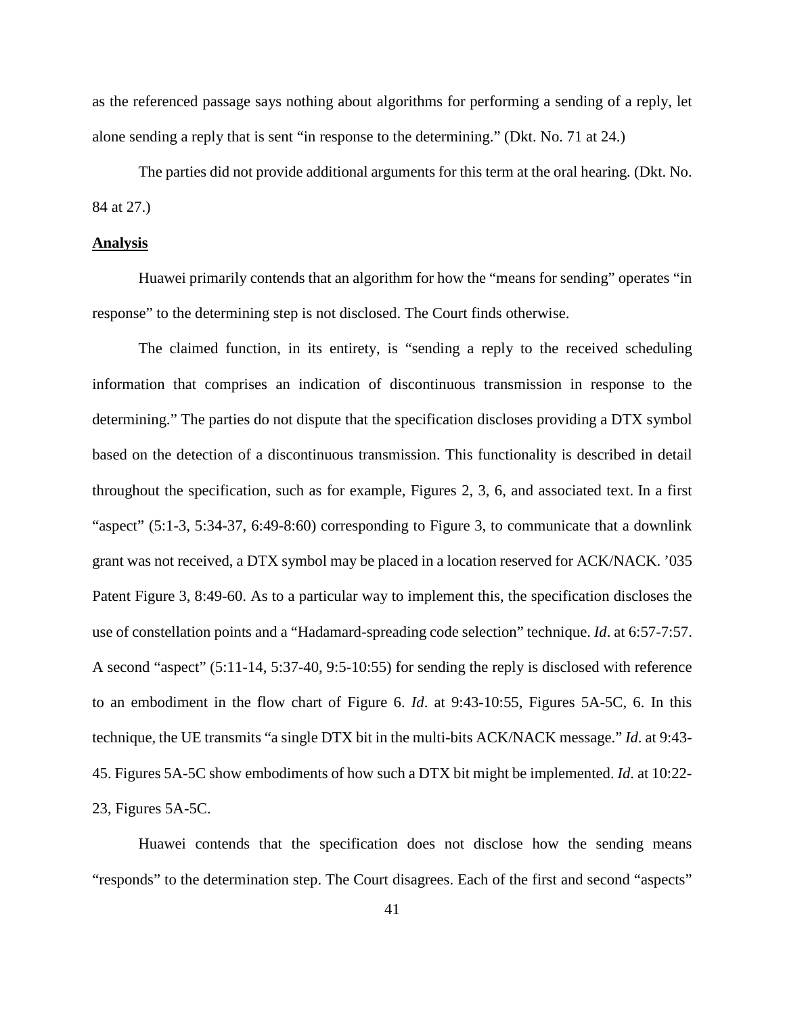as the referenced passage says nothing about algorithms for performing a sending of a reply, let alone sending a reply that is sent "in response to the determining." (Dkt. No. 71 at 24.)

The parties did not provide additional arguments for this term at the oral hearing. (Dkt. No. 84 at 27.)

### **Analysis**

Huawei primarily contends that an algorithm for how the "means for sending" operates "in response" to the determining step is not disclosed. The Court finds otherwise.

The claimed function, in its entirety, is "sending a reply to the received scheduling information that comprises an indication of discontinuous transmission in response to the determining." The parties do not dispute that the specification discloses providing a DTX symbol based on the detection of a discontinuous transmission. This functionality is described in detail throughout the specification, such as for example, Figures 2, 3, 6, and associated text. In a first "aspect" (5:1-3, 5:34-37, 6:49-8:60) corresponding to Figure 3, to communicate that a downlink grant was not received, a DTX symbol may be placed in a location reserved for ACK/NACK. '035 Patent Figure 3, 8:49-60. As to a particular way to implement this, the specification discloses the use of constellation points and a "Hadamard-spreading code selection" technique. *Id*. at 6:57-7:57. A second "aspect" (5:11-14, 5:37-40, 9:5-10:55) for sending the reply is disclosed with reference to an embodiment in the flow chart of Figure 6. *Id*. at 9:43-10:55, Figures 5A-5C, 6. In this technique, the UE transmits "a single DTX bit in the multi-bits ACK/NACK message." *Id*. at 9:43- 45. Figures 5A-5C show embodiments of how such a DTX bit might be implemented. *Id*. at 10:22- 23, Figures 5A-5C.

Huawei contends that the specification does not disclose how the sending means "responds" to the determination step. The Court disagrees. Each of the first and second "aspects"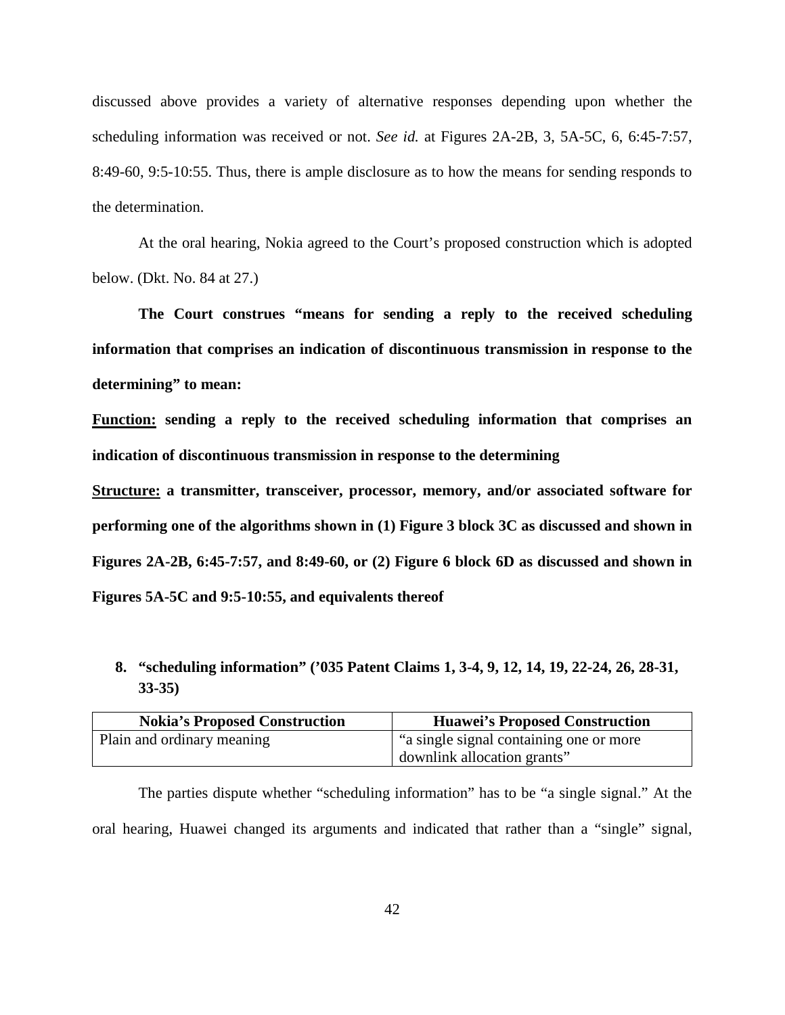discussed above provides a variety of alternative responses depending upon whether the scheduling information was received or not. *See id.* at Figures 2A-2B, 3, 5A-5C, 6, 6:45-7:57, 8:49-60, 9:5-10:55. Thus, there is ample disclosure as to how the means for sending responds to the determination.

At the oral hearing, Nokia agreed to the Court's proposed construction which is adopted below. (Dkt. No. 84 at 27.)

**The Court construes "means for sending a reply to the received scheduling information that comprises an indication of discontinuous transmission in response to the determining" to mean:**

**Function: sending a reply to the received scheduling information that comprises an indication of discontinuous transmission in response to the determining**

**Structure: a transmitter, transceiver, processor, memory, and/or associated software for performing one of the algorithms shown in (1) Figure 3 block 3C as discussed and shown in Figures 2A-2B, 6:45-7:57, and 8:49-60, or (2) Figure 6 block 6D as discussed and shown in Figures 5A-5C and 9:5-10:55, and equivalents thereof**

# **8. "scheduling information" ('035 Patent Claims 1, 3-4, 9, 12, 14, 19, 22-24, 26, 28-31, 33-35)**

| <b>Nokia's Proposed Construction</b> | <b>Huawei's Proposed Construction</b>    |
|--------------------------------------|------------------------------------------|
| Plain and ordinary meaning           | "a single signal containing one or more" |
|                                      | downlink allocation grants"              |

The parties dispute whether "scheduling information" has to be "a single signal." At the oral hearing, Huawei changed its arguments and indicated that rather than a "single" signal,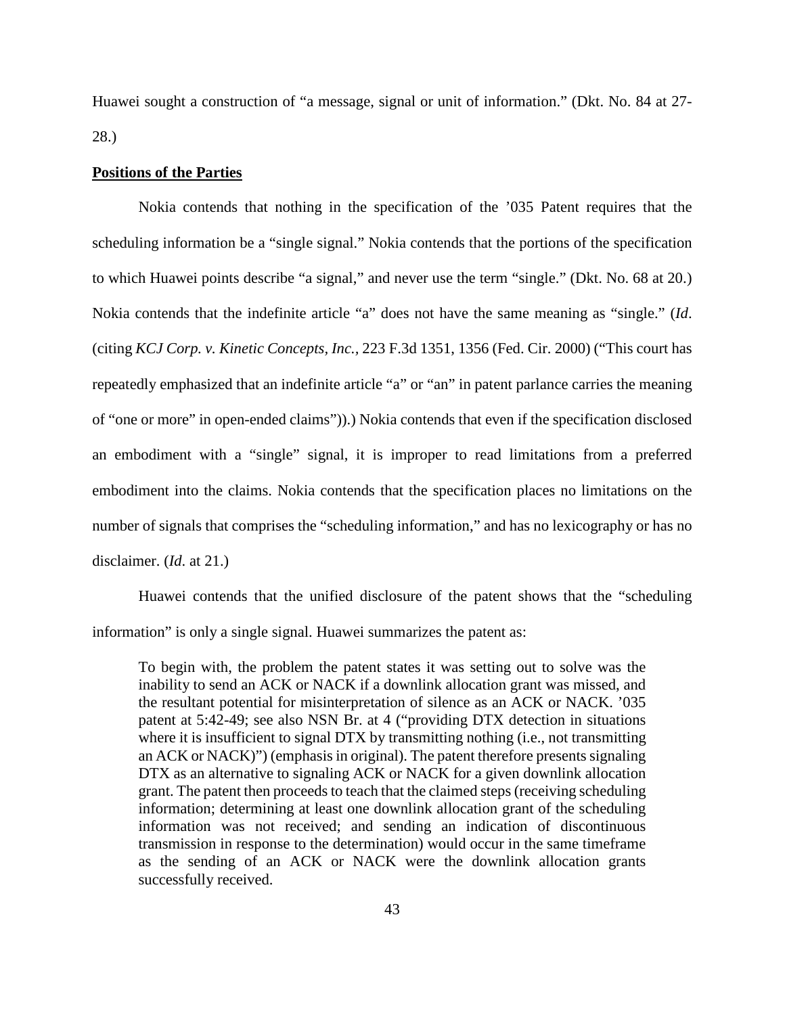Huawei sought a construction of "a message, signal or unit of information." (Dkt. No. 84 at 27- 28.)

## **Positions of the Parties**

Nokia contends that nothing in the specification of the '035 Patent requires that the scheduling information be a "single signal." Nokia contends that the portions of the specification to which Huawei points describe "a signal," and never use the term "single." (Dkt. No. 68 at 20.) Nokia contends that the indefinite article "a" does not have the same meaning as "single." (*Id*. (citing *KCJ Corp. v. Kinetic Concepts, Inc.,* 223 F.3d 1351, 1356 (Fed. Cir. 2000) ("This court has repeatedly emphasized that an indefinite article "a" or "an" in patent parlance carries the meaning of "one or more" in open-ended claims")).) Nokia contends that even if the specification disclosed an embodiment with a "single" signal, it is improper to read limitations from a preferred embodiment into the claims. Nokia contends that the specification places no limitations on the number of signals that comprises the "scheduling information," and has no lexicography or has no disclaimer. (*Id*. at 21.)

Huawei contends that the unified disclosure of the patent shows that the "scheduling information" is only a single signal. Huawei summarizes the patent as:

To begin with, the problem the patent states it was setting out to solve was the inability to send an ACK or NACK if a downlink allocation grant was missed, and the resultant potential for misinterpretation of silence as an ACK or NACK. '035 patent at 5:42-49; see also NSN Br. at 4 ("providing DTX detection in situations where it is insufficient to signal DTX by transmitting nothing (i.e., not transmitting an ACK or NACK)") (emphasis in original). The patent therefore presents signaling DTX as an alternative to signaling ACK or NACK for a given downlink allocation grant. The patent then proceeds to teach that the claimed steps (receiving scheduling information; determining at least one downlink allocation grant of the scheduling information was not received; and sending an indication of discontinuous transmission in response to the determination) would occur in the same timeframe as the sending of an ACK or NACK were the downlink allocation grants successfully received.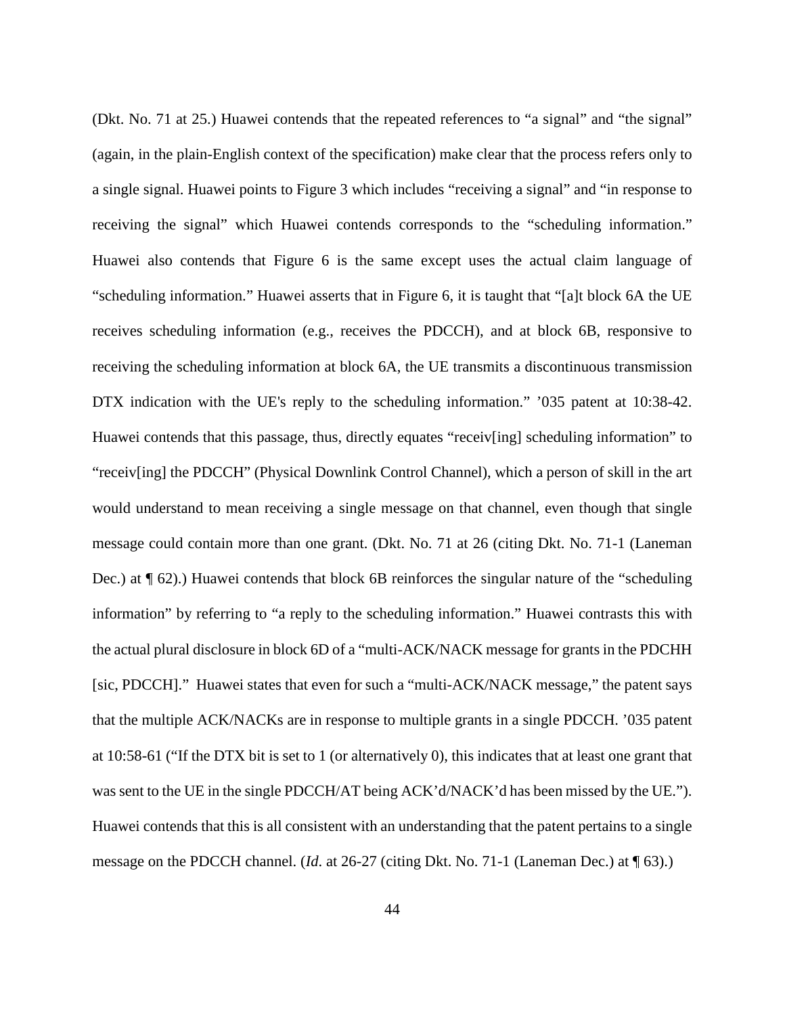(Dkt. No. 71 at 25.) Huawei contends that the repeated references to "a signal" and "the signal" (again, in the plain-English context of the specification) make clear that the process refers only to a single signal. Huawei points to Figure 3 which includes "receiving a signal" and "in response to receiving the signal" which Huawei contends corresponds to the "scheduling information." Huawei also contends that Figure 6 is the same except uses the actual claim language of "scheduling information." Huawei asserts that in Figure 6, it is taught that "[a]t block 6A the UE receives scheduling information (e.g., receives the PDCCH), and at block 6B, responsive to receiving the scheduling information at block 6A, the UE transmits a discontinuous transmission DTX indication with the UE's reply to the scheduling information." '035 patent at 10:38-42. Huawei contends that this passage, thus, directly equates "receiv[ing] scheduling information" to "receiv[ing] the PDCCH" (Physical Downlink Control Channel), which a person of skill in the art would understand to mean receiving a single message on that channel, even though that single message could contain more than one grant. (Dkt. No. 71 at 26 (citing Dkt. No. 71-1 (Laneman Dec.) at ¶ 62).) Huawei contends that block 6B reinforces the singular nature of the "scheduling information" by referring to "a reply to the scheduling information." Huawei contrasts this with the actual plural disclosure in block 6D of a "multi-ACK/NACK message for grants in the PDCHH [sic, PDCCH]." Huawei states that even for such a "multi-ACK/NACK message," the patent says that the multiple ACK/NACKs are in response to multiple grants in a single PDCCH. '035 patent at 10:58-61 ("If the DTX bit is set to 1 (or alternatively 0), this indicates that at least one grant that was sent to the UE in the single PDCCH/AT being ACK'd/NACK'd has been missed by the UE."). Huawei contends that this is all consistent with an understanding that the patent pertains to a single message on the PDCCH channel. (*Id*. at 26-27 (citing Dkt. No. 71-1 (Laneman Dec.) at ¶ 63).)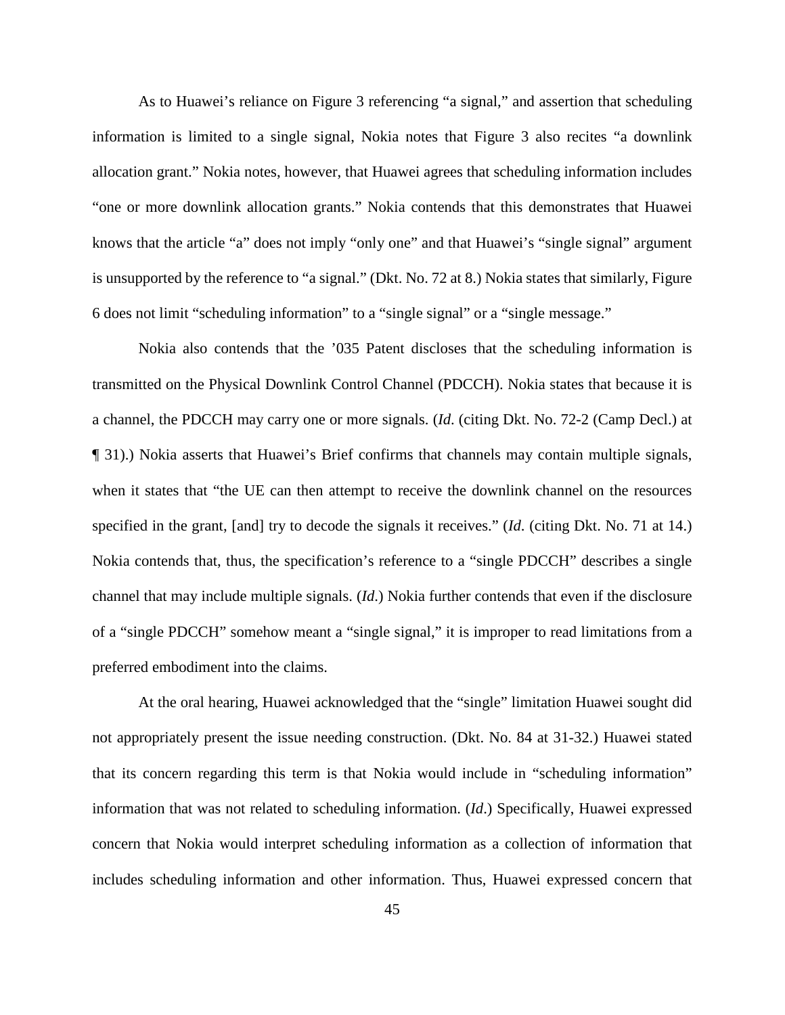As to Huawei's reliance on Figure 3 referencing "a signal," and assertion that scheduling information is limited to a single signal, Nokia notes that Figure 3 also recites "a downlink allocation grant." Nokia notes, however, that Huawei agrees that scheduling information includes "one or more downlink allocation grants." Nokia contends that this demonstrates that Huawei knows that the article "a" does not imply "only one" and that Huawei's "single signal" argument is unsupported by the reference to "a signal." (Dkt. No. 72 at 8.) Nokia states that similarly, Figure 6 does not limit "scheduling information" to a "single signal" or a "single message."

Nokia also contends that the '035 Patent discloses that the scheduling information is transmitted on the Physical Downlink Control Channel (PDCCH). Nokia states that because it is a channel, the PDCCH may carry one or more signals. (*Id*. (citing Dkt. No. 72-2 (Camp Decl.) at ¶ 31).) Nokia asserts that Huawei's Brief confirms that channels may contain multiple signals, when it states that "the UE can then attempt to receive the downlink channel on the resources specified in the grant, [and] try to decode the signals it receives." (*Id*. (citing Dkt. No. 71 at 14.) Nokia contends that, thus, the specification's reference to a "single PDCCH" describes a single channel that may include multiple signals. (*Id*.) Nokia further contends that even if the disclosure of a "single PDCCH" somehow meant a "single signal," it is improper to read limitations from a preferred embodiment into the claims.

At the oral hearing, Huawei acknowledged that the "single" limitation Huawei sought did not appropriately present the issue needing construction. (Dkt. No. 84 at 31-32.) Huawei stated that its concern regarding this term is that Nokia would include in "scheduling information" information that was not related to scheduling information. (*Id*.) Specifically, Huawei expressed concern that Nokia would interpret scheduling information as a collection of information that includes scheduling information and other information. Thus, Huawei expressed concern that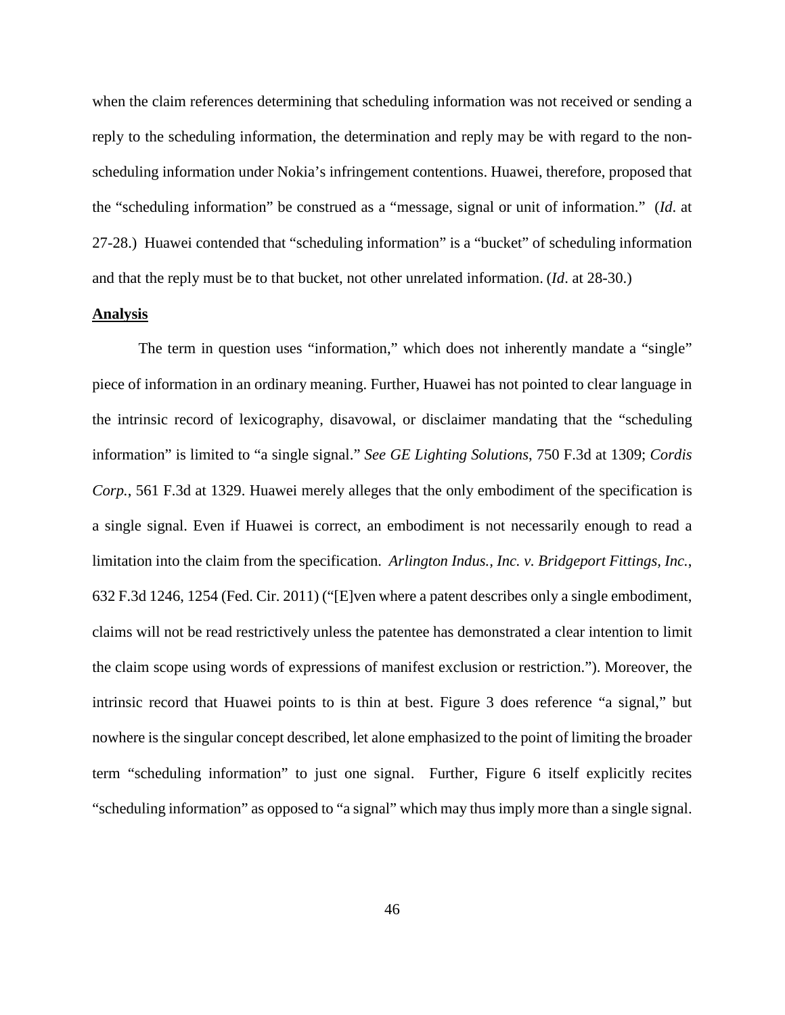when the claim references determining that scheduling information was not received or sending a reply to the scheduling information, the determination and reply may be with regard to the nonscheduling information under Nokia's infringement contentions. Huawei, therefore, proposed that the "scheduling information" be construed as a "message, signal or unit of information." (*Id*. at 27-28.) Huawei contended that "scheduling information" is a "bucket" of scheduling information and that the reply must be to that bucket, not other unrelated information. (*Id*. at 28-30.)

# **Analysis**

The term in question uses "information," which does not inherently mandate a "single" piece of information in an ordinary meaning. Further, Huawei has not pointed to clear language in the intrinsic record of lexicography, disavowal, or disclaimer mandating that the "scheduling information" is limited to "a single signal." *See GE Lighting Solutions*, 750 F.3d at 1309; *Cordis Corp.*, 561 F.3d at 1329. Huawei merely alleges that the only embodiment of the specification is a single signal. Even if Huawei is correct, an embodiment is not necessarily enough to read a limitation into the claim from the specification. *Arlington Indus., Inc. v. Bridgeport Fittings, Inc.*, 632 F.3d 1246, 1254 (Fed. Cir. 2011) ("[E]ven where a patent describes only a single embodiment, claims will not be read restrictively unless the patentee has demonstrated a clear intention to limit the claim scope using words of expressions of manifest exclusion or restriction."). Moreover, the intrinsic record that Huawei points to is thin at best. Figure 3 does reference "a signal," but nowhere is the singular concept described, let alone emphasized to the point of limiting the broader term "scheduling information" to just one signal. Further, Figure 6 itself explicitly recites "scheduling information" as opposed to "a signal" which may thus imply more than a single signal.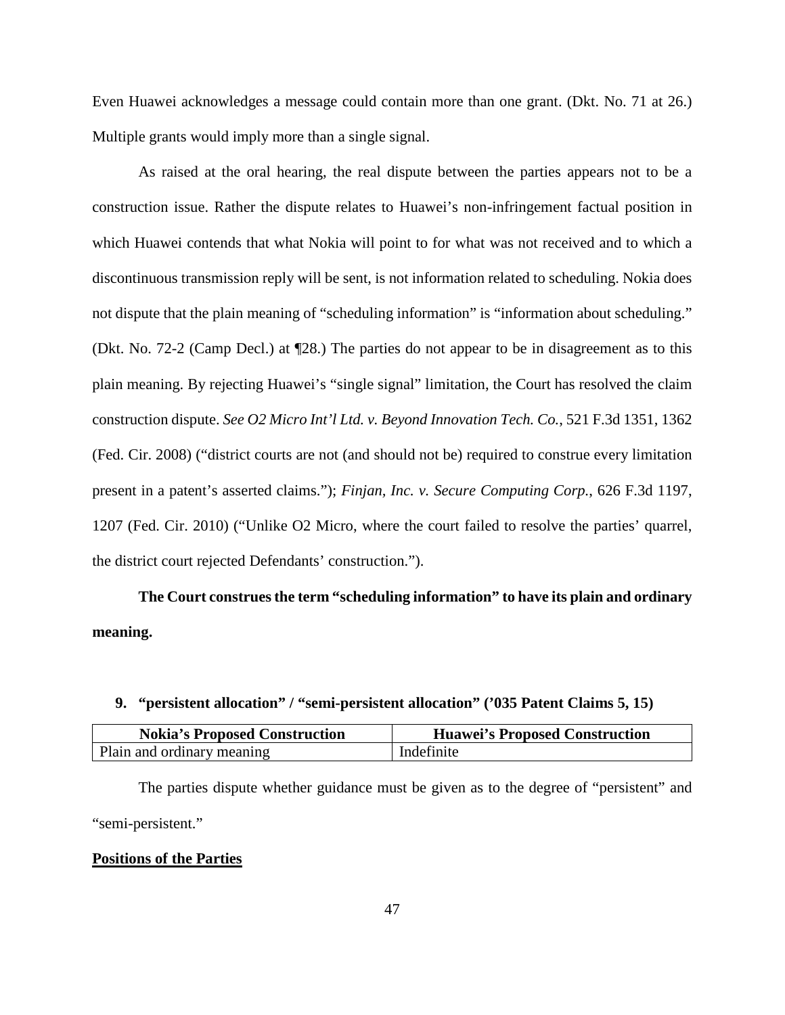Even Huawei acknowledges a message could contain more than one grant. (Dkt. No. 71 at 26.) Multiple grants would imply more than a single signal.

As raised at the oral hearing, the real dispute between the parties appears not to be a construction issue. Rather the dispute relates to Huawei's non-infringement factual position in which Huawei contends that what Nokia will point to for what was not received and to which a discontinuous transmission reply will be sent, is not information related to scheduling. Nokia does not dispute that the plain meaning of "scheduling information" is "information about scheduling." (Dkt. No. 72-2 (Camp Decl.) at ¶28.) The parties do not appear to be in disagreement as to this plain meaning. By rejecting Huawei's "single signal" limitation, the Court has resolved the claim construction dispute. *See O2 Micro Int'l Ltd. v. Beyond Innovation Tech. Co.*, 521 F.3d 1351, 1362 (Fed. Cir. 2008) ("district courts are not (and should not be) required to construe every limitation present in a patent's asserted claims."); *Finjan, Inc. v. Secure Computing Corp.*, 626 F.3d 1197, 1207 (Fed. Cir. 2010) ("Unlike O2 Micro, where the court failed to resolve the parties' quarrel, the district court rejected Defendants' construction.").

**The Court construes the term "scheduling information" to have its plain and ordinary meaning.** 

## **9. "persistent allocation" / "semi-persistent allocation" ('035 Patent Claims 5, 15)**

| <b>Nokia's Proposed Construction</b> | <b>Huawei's Proposed Construction</b> |
|--------------------------------------|---------------------------------------|
| Plain and ordinary meaning           | Indefinite                            |

The parties dispute whether guidance must be given as to the degree of "persistent" and "semi-persistent."

## **Positions of the Parties**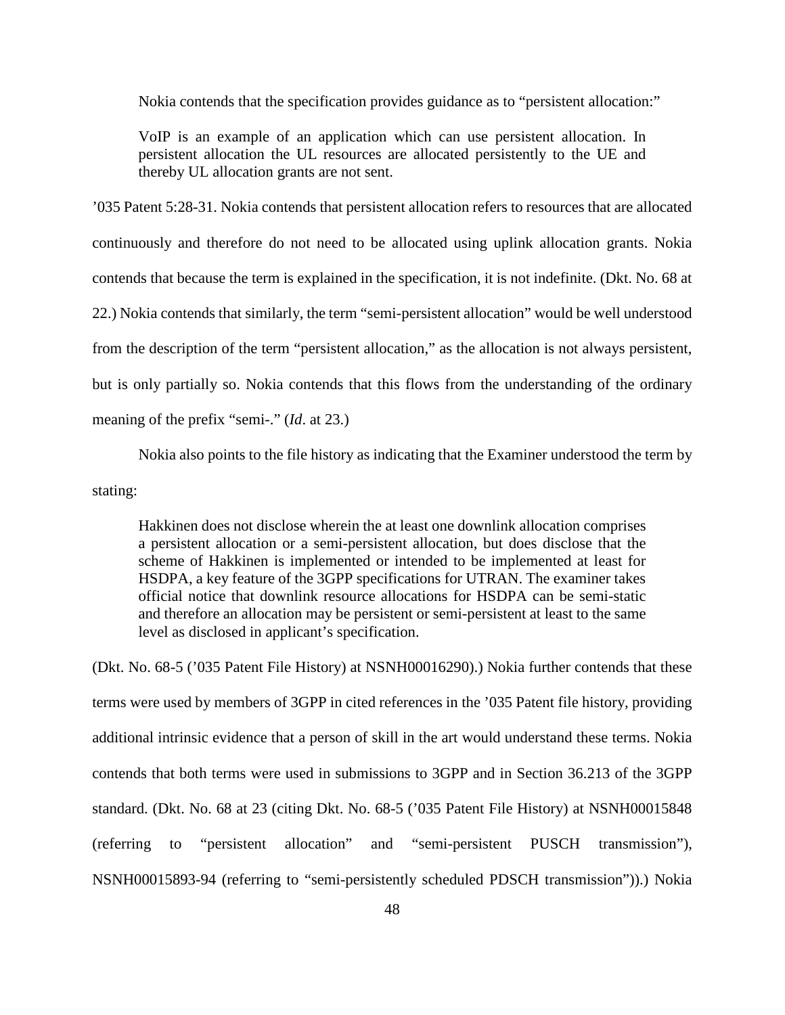Nokia contends that the specification provides guidance as to "persistent allocation:"

VoIP is an example of an application which can use persistent allocation. In persistent allocation the UL resources are allocated persistently to the UE and thereby UL allocation grants are not sent.

'035 Patent 5:28-31. Nokia contends that persistent allocation refers to resources that are allocated continuously and therefore do not need to be allocated using uplink allocation grants. Nokia contends that because the term is explained in the specification, it is not indefinite. (Dkt. No. 68 at 22.) Nokia contends that similarly, the term "semi-persistent allocation" would be well understood from the description of the term "persistent allocation," as the allocation is not always persistent, but is only partially so. Nokia contends that this flows from the understanding of the ordinary meaning of the prefix "semi-." (*Id*. at 23.)

Nokia also points to the file history as indicating that the Examiner understood the term by stating:

Hakkinen does not disclose wherein the at least one downlink allocation comprises a persistent allocation or a semi-persistent allocation, but does disclose that the scheme of Hakkinen is implemented or intended to be implemented at least for HSDPA, a key feature of the 3GPP specifications for UTRAN. The examiner takes official notice that downlink resource allocations for HSDPA can be semi-static and therefore an allocation may be persistent or semi-persistent at least to the same level as disclosed in applicant's specification.

(Dkt. No. 68-5 ('035 Patent File History) at NSNH00016290).) Nokia further contends that these terms were used by members of 3GPP in cited references in the '035 Patent file history, providing additional intrinsic evidence that a person of skill in the art would understand these terms. Nokia contends that both terms were used in submissions to 3GPP and in Section 36.213 of the 3GPP standard. (Dkt. No. 68 at 23 (citing Dkt. No. 68-5 ('035 Patent File History) at NSNH00015848 (referring to "persistent allocation" and "semi-persistent PUSCH transmission"), NSNH00015893-94 (referring to "semi-persistently scheduled PDSCH transmission")).) Nokia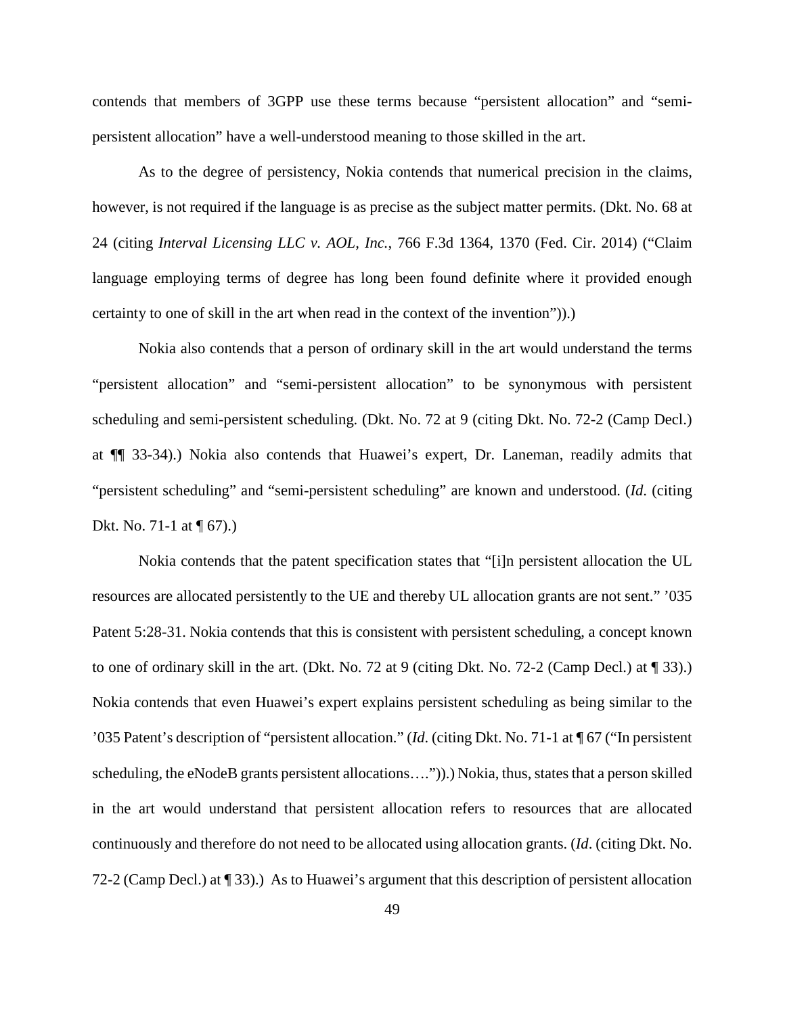contends that members of 3GPP use these terms because "persistent allocation" and "semipersistent allocation" have a well-understood meaning to those skilled in the art.

As to the degree of persistency, Nokia contends that numerical precision in the claims, however, is not required if the language is as precise as the subject matter permits. (Dkt. No. 68 at 24 (citing *Interval Licensing LLC v. AOL, Inc.*, 766 F.3d 1364, 1370 (Fed. Cir. 2014) ("Claim language employing terms of degree has long been found definite where it provided enough certainty to one of skill in the art when read in the context of the invention")).)

Nokia also contends that a person of ordinary skill in the art would understand the terms "persistent allocation" and "semi-persistent allocation" to be synonymous with persistent scheduling and semi-persistent scheduling. (Dkt. No. 72 at 9 (citing Dkt. No. 72-2 (Camp Decl.) at ¶¶ 33-34).) Nokia also contends that Huawei's expert, Dr. Laneman, readily admits that "persistent scheduling" and "semi-persistent scheduling" are known and understood. (*Id*. (citing Dkt. No. 71-1 at ¶ 67).)

Nokia contends that the patent specification states that "[i]n persistent allocation the UL resources are allocated persistently to the UE and thereby UL allocation grants are not sent." '035 Patent 5:28-31. Nokia contends that this is consistent with persistent scheduling, a concept known to one of ordinary skill in the art. (Dkt. No. 72 at 9 (citing Dkt. No. 72-2 (Camp Decl.) at ¶ 33).) Nokia contends that even Huawei's expert explains persistent scheduling as being similar to the '035 Patent's description of "persistent allocation." (*Id*. (citing Dkt. No. 71-1 at ¶ 67 ("In persistent scheduling, the eNodeB grants persistent allocations....").) Nokia, thus, states that a person skilled in the art would understand that persistent allocation refers to resources that are allocated continuously and therefore do not need to be allocated using allocation grants. (*Id*. (citing Dkt. No. 72-2 (Camp Decl.) at ¶ 33).) As to Huawei's argument that this description of persistent allocation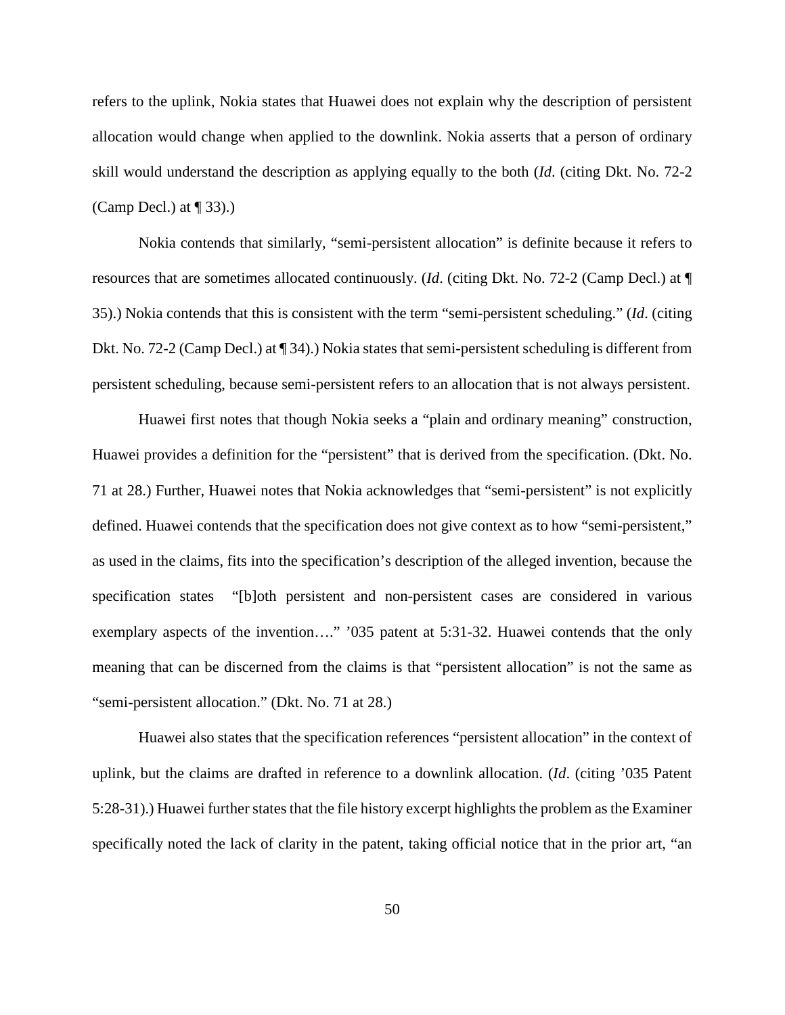refers to the uplink, Nokia states that Huawei does not explain why the description of persistent allocation would change when applied to the downlink. Nokia asserts that a person of ordinary skill would understand the description as applying equally to the both (*Id*. (citing Dkt. No. 72-2 (Camp Decl.) at  $\P$  33).)

Nokia contends that similarly, "semi-persistent allocation" is definite because it refers to resources that are sometimes allocated continuously. (*Id*. (citing Dkt. No. 72-2 (Camp Decl.) at ¶ 35).) Nokia contends that this is consistent with the term "semi-persistent scheduling." (*Id*. (citing Dkt. No. 72-2 (Camp Decl.) at ¶ 34).) Nokia states that semi-persistent scheduling is different from persistent scheduling, because semi-persistent refers to an allocation that is not always persistent.

Huawei first notes that though Nokia seeks a "plain and ordinary meaning" construction, Huawei provides a definition for the "persistent" that is derived from the specification. (Dkt. No. 71 at 28.) Further, Huawei notes that Nokia acknowledges that "semi-persistent" is not explicitly defined. Huawei contends that the specification does not give context as to how "semi-persistent," as used in the claims, fits into the specification's description of the alleged invention, because the specification states "[b]oth persistent and non-persistent cases are considered in various exemplary aspects of the invention…." '035 patent at 5:31-32. Huawei contends that the only meaning that can be discerned from the claims is that "persistent allocation" is not the same as "semi-persistent allocation." (Dkt. No. 71 at 28.)

Huawei also states that the specification references "persistent allocation" in the context of uplink, but the claims are drafted in reference to a downlink allocation. (*Id*. (citing '035 Patent 5:28-31).) Huawei further states that the file history excerpt highlights the problem as the Examiner specifically noted the lack of clarity in the patent, taking official notice that in the prior art, "an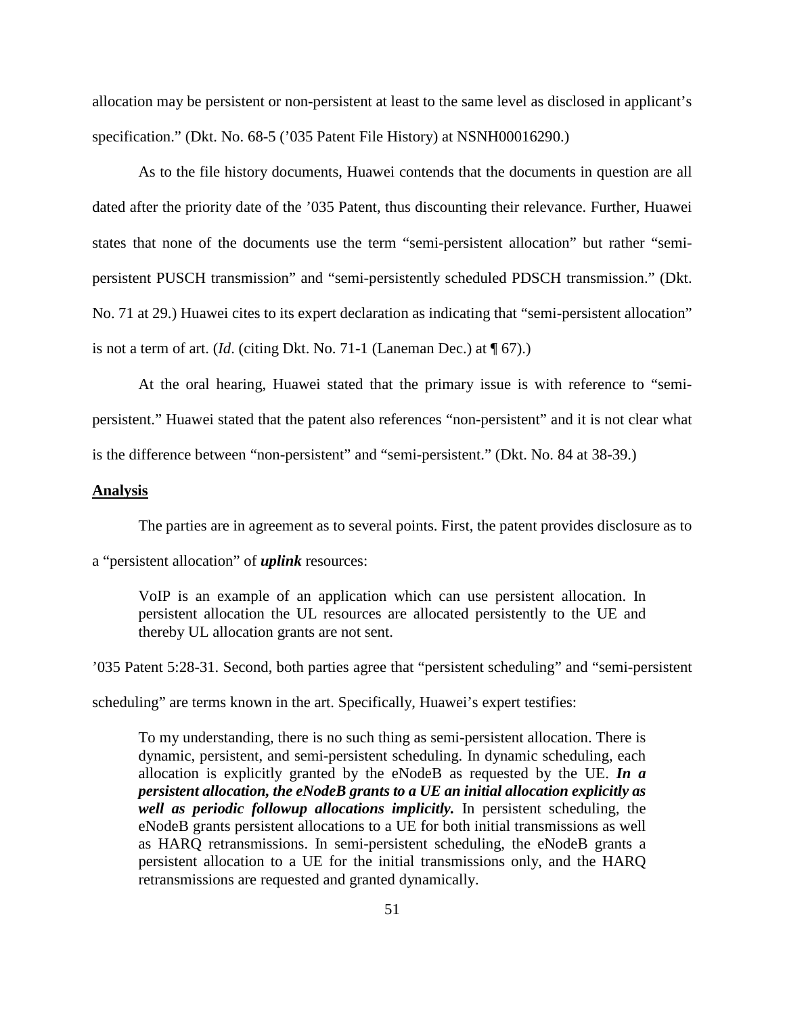allocation may be persistent or non-persistent at least to the same level as disclosed in applicant's specification." (Dkt. No. 68-5 ('035 Patent File History) at NSNH00016290.)

As to the file history documents, Huawei contends that the documents in question are all dated after the priority date of the '035 Patent, thus discounting their relevance. Further, Huawei states that none of the documents use the term "semi-persistent allocation" but rather "semipersistent PUSCH transmission" and "semi-persistently scheduled PDSCH transmission." (Dkt. No. 71 at 29.) Huawei cites to its expert declaration as indicating that "semi-persistent allocation" is not a term of art. (*Id*. (citing Dkt. No. 71-1 (Laneman Dec.) at ¶ 67).)

At the oral hearing, Huawei stated that the primary issue is with reference to "semipersistent." Huawei stated that the patent also references "non-persistent" and it is not clear what is the difference between "non-persistent" and "semi-persistent." (Dkt. No. 84 at 38-39.)

### **Analysis**

The parties are in agreement as to several points. First, the patent provides disclosure as to

a "persistent allocation" of *uplink* resources:

VoIP is an example of an application which can use persistent allocation. In persistent allocation the UL resources are allocated persistently to the UE and thereby UL allocation grants are not sent.

'035 Patent 5:28-31. Second, both parties agree that "persistent scheduling" and "semi-persistent

scheduling" are terms known in the art. Specifically, Huawei's expert testifies:

To my understanding, there is no such thing as semi-persistent allocation. There is dynamic, persistent, and semi-persistent scheduling. In dynamic scheduling, each allocation is explicitly granted by the eNodeB as requested by the UE. *In a persistent allocation, the eNodeB grants to a UE an initial allocation explicitly as well as periodic followup allocations implicitly.* In persistent scheduling, the eNodeB grants persistent allocations to a UE for both initial transmissions as well as HARQ retransmissions. In semi-persistent scheduling, the eNodeB grants a persistent allocation to a UE for the initial transmissions only, and the HARQ retransmissions are requested and granted dynamically.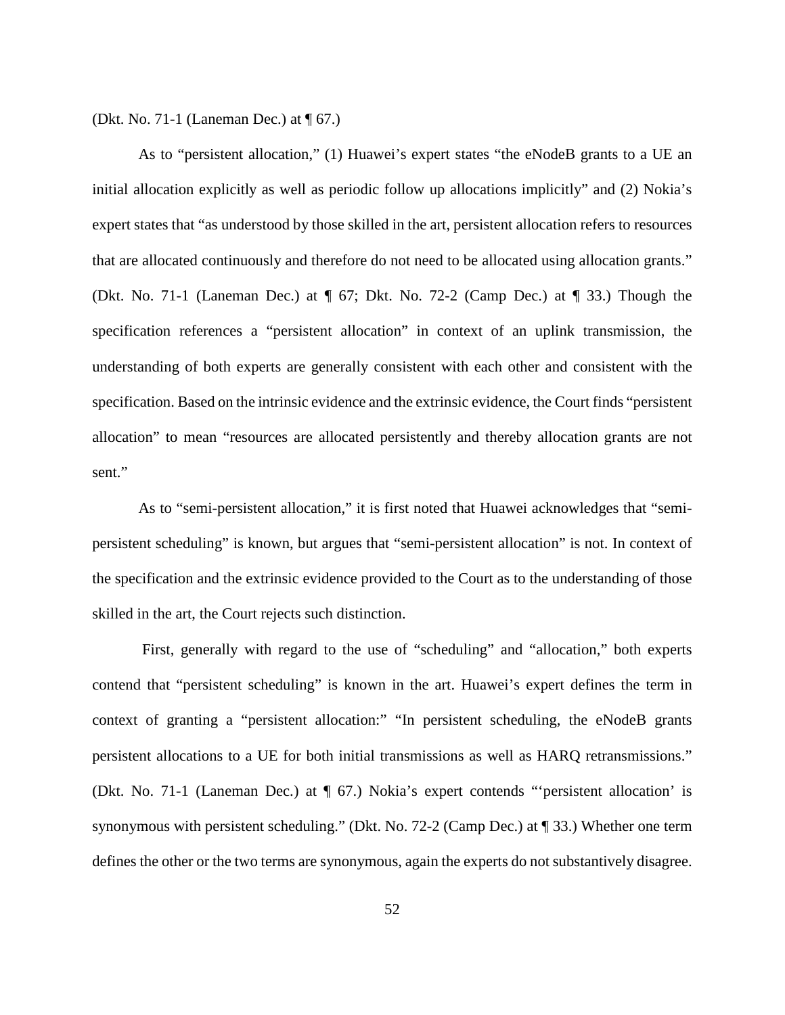(Dkt. No. 71-1 (Laneman Dec.) at ¶ 67.)

As to "persistent allocation," (1) Huawei's expert states "the eNodeB grants to a UE an initial allocation explicitly as well as periodic follow up allocations implicitly" and (2) Nokia's expert states that "as understood by those skilled in the art, persistent allocation refers to resources that are allocated continuously and therefore do not need to be allocated using allocation grants." (Dkt. No. 71-1 (Laneman Dec.) at ¶ 67; Dkt. No. 72-2 (Camp Dec.) at ¶ 33.) Though the specification references a "persistent allocation" in context of an uplink transmission, the understanding of both experts are generally consistent with each other and consistent with the specification. Based on the intrinsic evidence and the extrinsic evidence, the Court finds "persistent allocation" to mean "resources are allocated persistently and thereby allocation grants are not sent."

As to "semi-persistent allocation," it is first noted that Huawei acknowledges that "semipersistent scheduling" is known, but argues that "semi-persistent allocation" is not. In context of the specification and the extrinsic evidence provided to the Court as to the understanding of those skilled in the art, the Court rejects such distinction.

First, generally with regard to the use of "scheduling" and "allocation," both experts contend that "persistent scheduling" is known in the art. Huawei's expert defines the term in context of granting a "persistent allocation:" "In persistent scheduling, the eNodeB grants persistent allocations to a UE for both initial transmissions as well as HARQ retransmissions." (Dkt. No. 71-1 (Laneman Dec.) at ¶ 67.) Nokia's expert contends "'persistent allocation' is synonymous with persistent scheduling." (Dkt. No. 72-2 (Camp Dec.) at ¶ 33.) Whether one term defines the other or the two terms are synonymous, again the experts do not substantively disagree.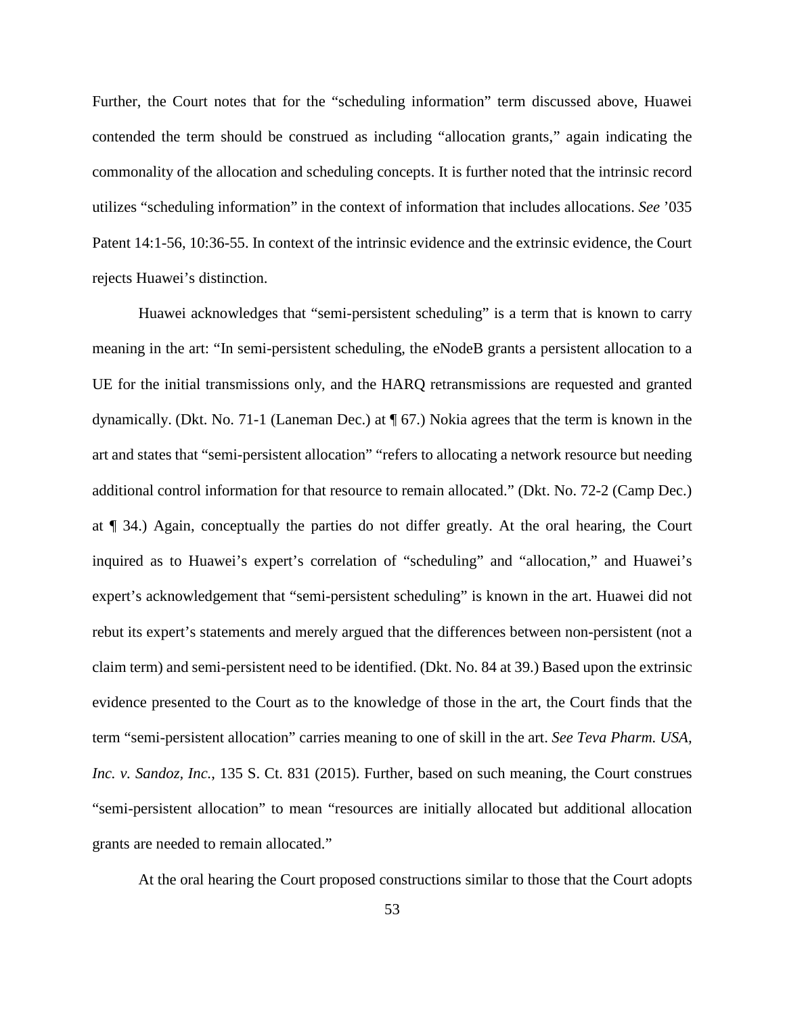Further, the Court notes that for the "scheduling information" term discussed above, Huawei contended the term should be construed as including "allocation grants," again indicating the commonality of the allocation and scheduling concepts. It is further noted that the intrinsic record utilizes "scheduling information" in the context of information that includes allocations. *See* '035 Patent 14:1-56, 10:36-55. In context of the intrinsic evidence and the extrinsic evidence, the Court rejects Huawei's distinction.

Huawei acknowledges that "semi-persistent scheduling" is a term that is known to carry meaning in the art: "In semi-persistent scheduling, the eNodeB grants a persistent allocation to a UE for the initial transmissions only, and the HARQ retransmissions are requested and granted dynamically. (Dkt. No. 71-1 (Laneman Dec.) at ¶ 67.) Nokia agrees that the term is known in the art and states that "semi-persistent allocation" "refers to allocating a network resource but needing additional control information for that resource to remain allocated." (Dkt. No. 72-2 (Camp Dec.) at ¶ 34.) Again, conceptually the parties do not differ greatly. At the oral hearing, the Court inquired as to Huawei's expert's correlation of "scheduling" and "allocation," and Huawei's expert's acknowledgement that "semi-persistent scheduling" is known in the art. Huawei did not rebut its expert's statements and merely argued that the differences between non-persistent (not a claim term) and semi-persistent need to be identified. (Dkt. No. 84 at 39.) Based upon the extrinsic evidence presented to the Court as to the knowledge of those in the art, the Court finds that the term "semi-persistent allocation" carries meaning to one of skill in the art. *See Teva Pharm. USA, Inc. v. Sandoz, Inc.*, 135 S. Ct. 831 (2015). Further, based on such meaning, the Court construes "semi-persistent allocation" to mean "resources are initially allocated but additional allocation grants are needed to remain allocated."

At the oral hearing the Court proposed constructions similar to those that the Court adopts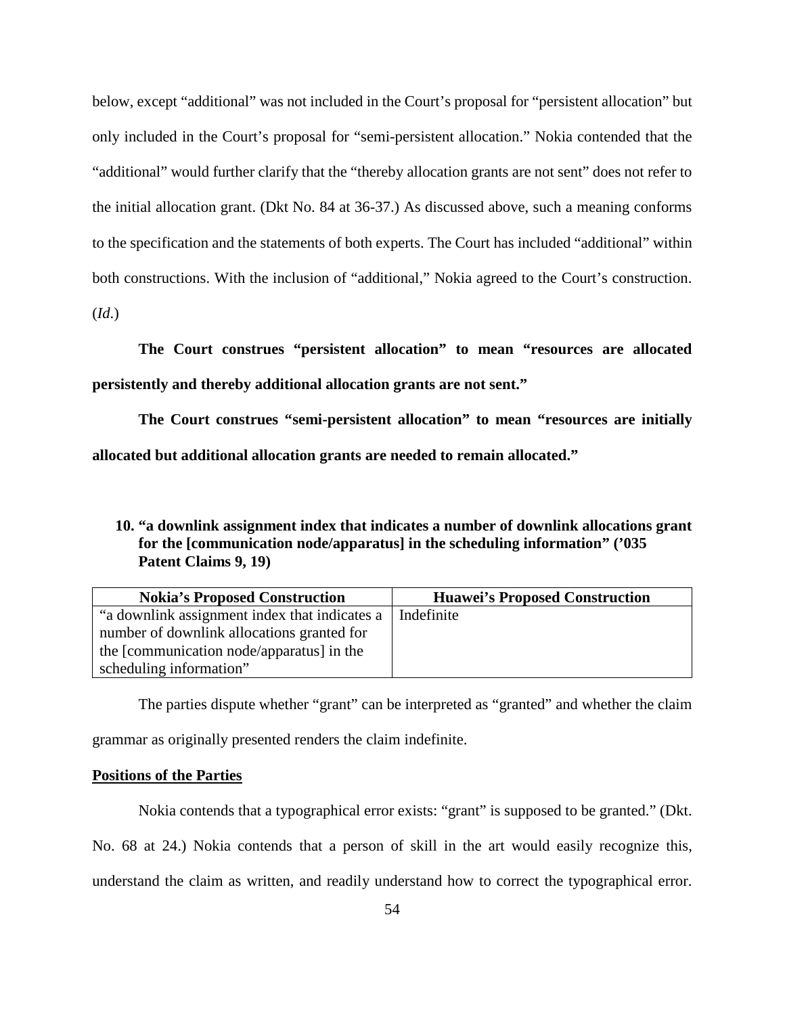below, except "additional" was not included in the Court's proposal for "persistent allocation" but only included in the Court's proposal for "semi-persistent allocation." Nokia contended that the "additional" would further clarify that the "thereby allocation grants are not sent" does not refer to the initial allocation grant. (Dkt No. 84 at 36-37.) As discussed above, such a meaning conforms to the specification and the statements of both experts. The Court has included "additional" within both constructions. With the inclusion of "additional," Nokia agreed to the Court's construction. (*Id*.)

**The Court construes "persistent allocation" to mean "resources are allocated persistently and thereby additional allocation grants are not sent."** 

**The Court construes "semi-persistent allocation" to mean "resources are initially allocated but additional allocation grants are needed to remain allocated."** 

**<sup>10.</sup> "a downlink assignment index that indicates a number of downlink allocations grant for the [communication node/apparatus] in the scheduling information" ('035 Patent Claims 9, 19)**

| <b>Nokia's Proposed Construction</b>          | <b>Huawei's Proposed Construction</b> |
|-----------------------------------------------|---------------------------------------|
| "a downlink assignment index that indicates a | Indefinite                            |
| number of downlink allocations granted for    |                                       |
| the [communication node/apparatus] in the     |                                       |
| scheduling information"                       |                                       |

The parties dispute whether "grant" can be interpreted as "granted" and whether the claim grammar as originally presented renders the claim indefinite.

### **Positions of the Parties**

Nokia contends that a typographical error exists: "grant" is supposed to be granted." (Dkt. No. 68 at 24.) Nokia contends that a person of skill in the art would easily recognize this, understand the claim as written, and readily understand how to correct the typographical error.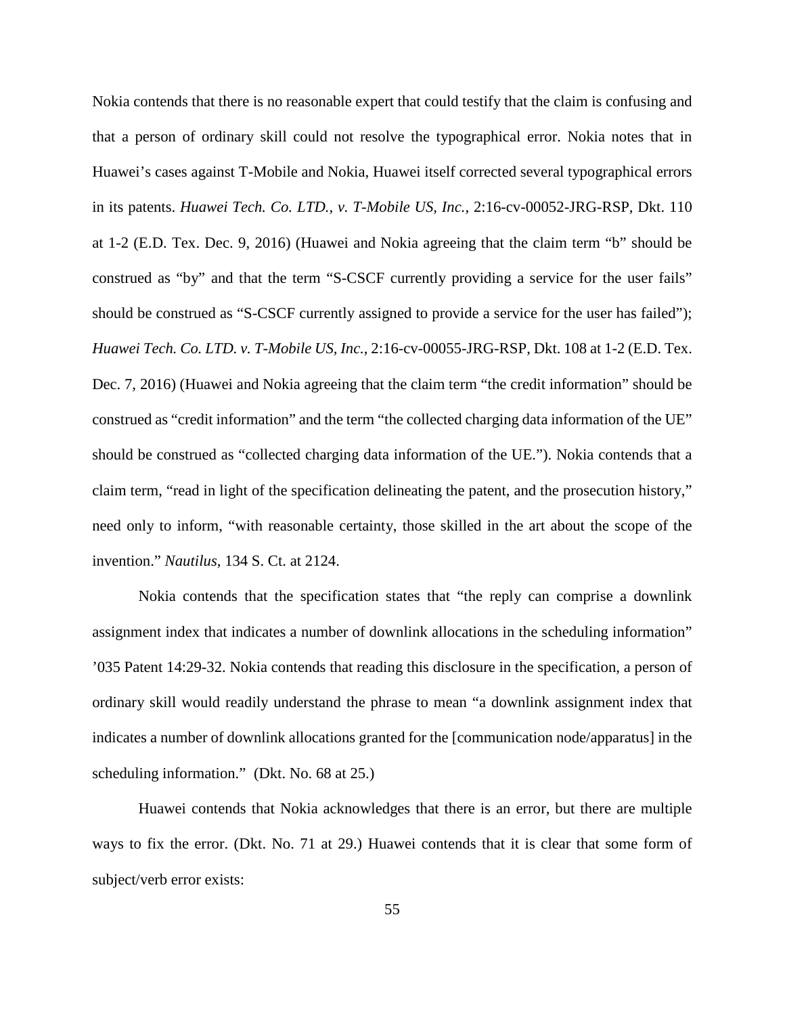Nokia contends that there is no reasonable expert that could testify that the claim is confusing and that a person of ordinary skill could not resolve the typographical error. Nokia notes that in Huawei's cases against T-Mobile and Nokia, Huawei itself corrected several typographical errors in its patents. *Huawei Tech. Co. LTD., v. T-Mobile US, Inc.*, 2:16-cv-00052-JRG-RSP, Dkt. 110 at 1-2 (E.D. Tex. Dec. 9, 2016) (Huawei and Nokia agreeing that the claim term "b" should be construed as "by" and that the term "S-CSCF currently providing a service for the user fails" should be construed as "S-CSCF currently assigned to provide a service for the user has failed"); *Huawei Tech. Co. LTD. v. T-Mobile US, Inc.*, 2:16-cv-00055-JRG-RSP, Dkt. 108 at 1-2 (E.D. Tex. Dec. 7, 2016) (Huawei and Nokia agreeing that the claim term "the credit information" should be construed as "credit information" and the term "the collected charging data information of the UE" should be construed as "collected charging data information of the UE."). Nokia contends that a claim term, "read in light of the specification delineating the patent, and the prosecution history," need only to inform, "with reasonable certainty, those skilled in the art about the scope of the invention." *Nautilus*, 134 S. Ct. at 2124.

Nokia contends that the specification states that "the reply can comprise a downlink assignment index that indicates a number of downlink allocations in the scheduling information" '035 Patent 14:29-32. Nokia contends that reading this disclosure in the specification, a person of ordinary skill would readily understand the phrase to mean "a downlink assignment index that indicates a number of downlink allocations granted for the [communication node/apparatus] in the scheduling information." (Dkt. No. 68 at 25.)

Huawei contends that Nokia acknowledges that there is an error, but there are multiple ways to fix the error. (Dkt. No. 71 at 29.) Huawei contends that it is clear that some form of subject/verb error exists: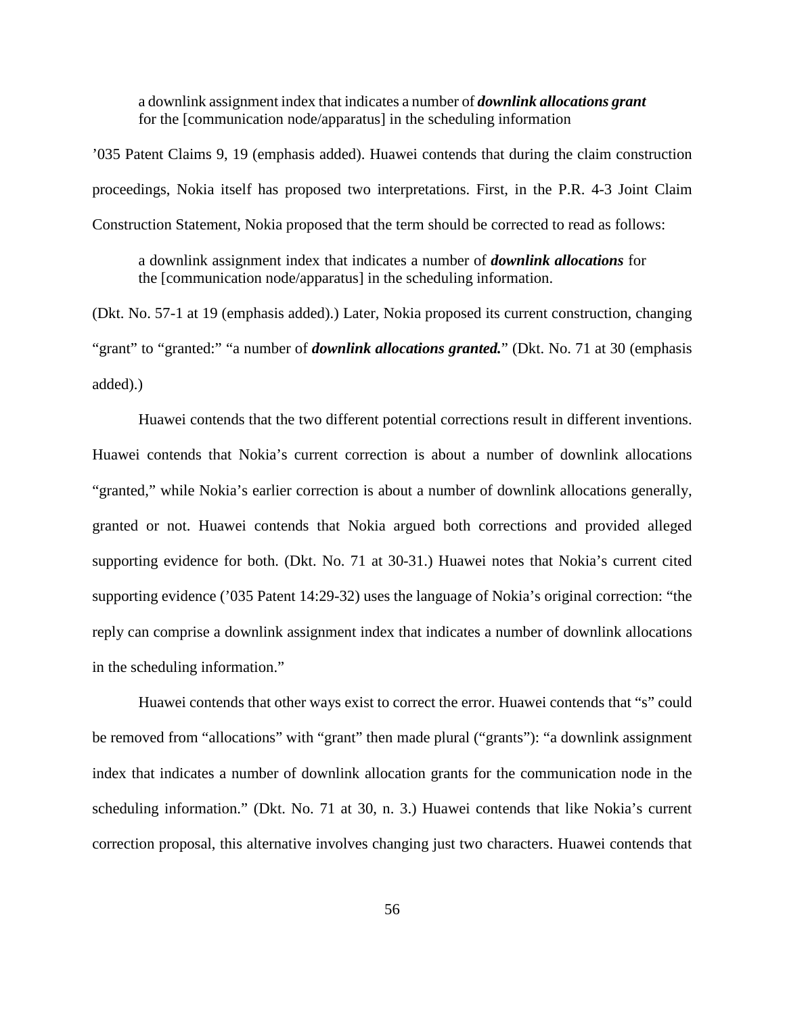a downlink assignment index that indicates a number of *downlink allocations grant* for the [communication node/apparatus] in the scheduling information

'035 Patent Claims 9, 19 (emphasis added). Huawei contends that during the claim construction proceedings, Nokia itself has proposed two interpretations. First, in the P.R. 4-3 Joint Claim Construction Statement, Nokia proposed that the term should be corrected to read as follows:

a downlink assignment index that indicates a number of *downlink allocations* for the [communication node/apparatus] in the scheduling information.

(Dkt. No. 57-1 at 19 (emphasis added).) Later, Nokia proposed its current construction, changing "grant" to "granted:" "a number of *downlink allocations granted.*" (Dkt. No. 71 at 30 (emphasis added).)

Huawei contends that the two different potential corrections result in different inventions. Huawei contends that Nokia's current correction is about a number of downlink allocations "granted," while Nokia's earlier correction is about a number of downlink allocations generally, granted or not. Huawei contends that Nokia argued both corrections and provided alleged supporting evidence for both. (Dkt. No. 71 at 30-31.) Huawei notes that Nokia's current cited supporting evidence ('035 Patent 14:29-32) uses the language of Nokia's original correction: "the reply can comprise a downlink assignment index that indicates a number of downlink allocations in the scheduling information."

Huawei contends that other ways exist to correct the error. Huawei contends that "s" could be removed from "allocations" with "grant" then made plural ("grants"): "a downlink assignment index that indicates a number of downlink allocation grants for the communication node in the scheduling information." (Dkt. No. 71 at 30, n. 3.) Huawei contends that like Nokia's current correction proposal, this alternative involves changing just two characters. Huawei contends that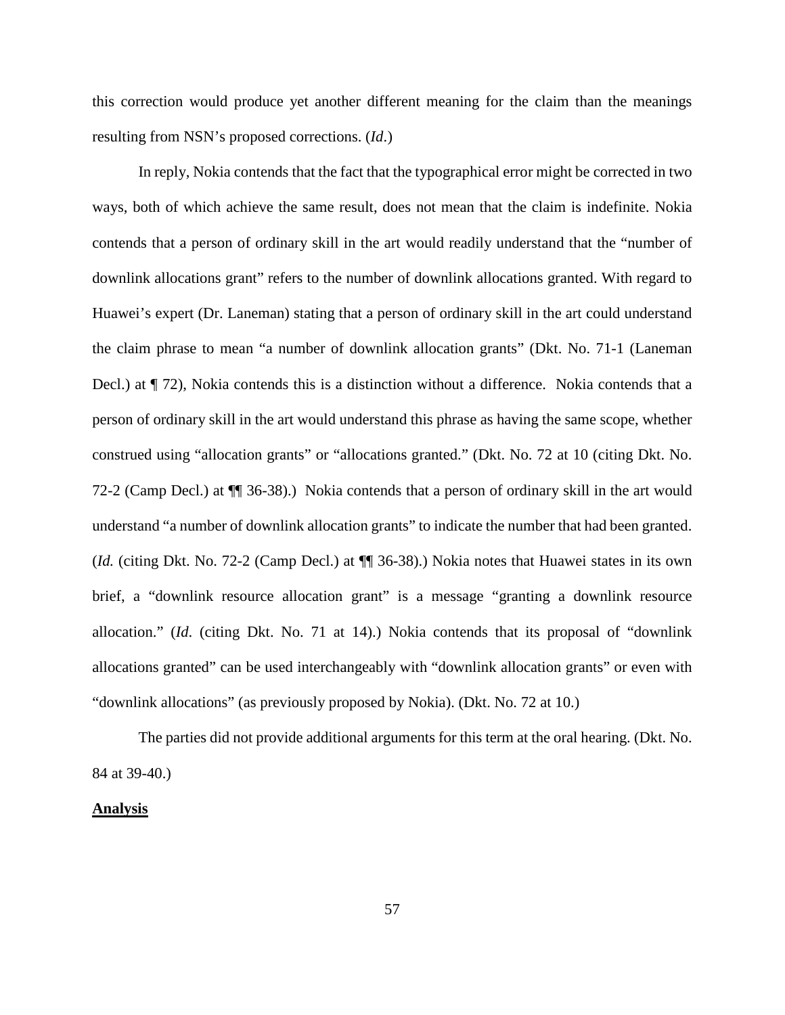this correction would produce yet another different meaning for the claim than the meanings resulting from NSN's proposed corrections. (*Id*.)

In reply, Nokia contends that the fact that the typographical error might be corrected in two ways, both of which achieve the same result, does not mean that the claim is indefinite. Nokia contends that a person of ordinary skill in the art would readily understand that the "number of downlink allocations grant" refers to the number of downlink allocations granted. With regard to Huawei's expert (Dr. Laneman) stating that a person of ordinary skill in the art could understand the claim phrase to mean "a number of downlink allocation grants" (Dkt. No. 71-1 (Laneman Decl.) at  $\P$  72), Nokia contends this is a distinction without a difference. Nokia contends that a person of ordinary skill in the art would understand this phrase as having the same scope, whether construed using "allocation grants" or "allocations granted." (Dkt. No. 72 at 10 (citing Dkt. No. 72-2 (Camp Decl.) at ¶¶ 36-38).) Nokia contends that a person of ordinary skill in the art would understand "a number of downlink allocation grants" to indicate the number that had been granted. (*Id.* (citing Dkt. No. 72-2 (Camp Decl.) at ¶¶ 36-38).) Nokia notes that Huawei states in its own brief, a "downlink resource allocation grant" is a message "granting a downlink resource allocation." (*Id*. (citing Dkt. No. 71 at 14).) Nokia contends that its proposal of "downlink allocations granted" can be used interchangeably with "downlink allocation grants" or even with "downlink allocations" (as previously proposed by Nokia). (Dkt. No. 72 at 10.)

The parties did not provide additional arguments for this term at the oral hearing. (Dkt. No. 84 at 39-40.)

### **Analysis**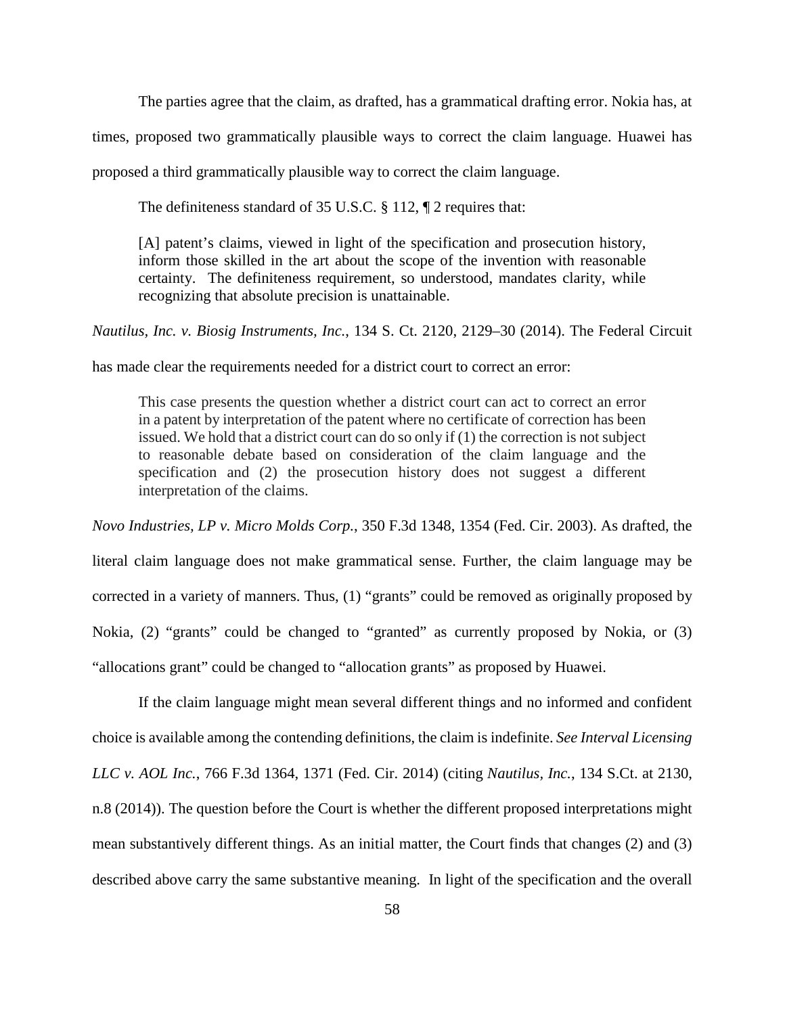The parties agree that the claim, as drafted, has a grammatical drafting error. Nokia has, at

times, proposed two grammatically plausible ways to correct the claim language. Huawei has

proposed a third grammatically plausible way to correct the claim language.

The definiteness standard of 35 U.S.C. § 112, ¶ 2 requires that:

[A] patent's claims, viewed in light of the specification and prosecution history, inform those skilled in the art about the scope of the invention with reasonable certainty. The definiteness requirement, so understood, mandates clarity, while recognizing that absolute precision is unattainable.

*Nautilus, Inc. v. Biosig Instruments, Inc.*, 134 S. Ct. 2120, 2129–30 (2014). The Federal Circuit

has made clear the requirements needed for a district court to correct an error:

This case presents the question whether a district court can act to correct an error in a patent by interpretation of the patent where no certificate of correction has been issued. We hold that a district court can do so only if (1) the correction is not subject to reasonable debate based on consideration of the claim language and the specification and (2) the prosecution history does not suggest a different interpretation of the claims.

*Novo Industries, LP v. Micro Molds Corp.*, 350 F.3d 1348, 1354 (Fed. Cir. 2003). As drafted, the literal claim language does not make grammatical sense. Further, the claim language may be corrected in a variety of manners. Thus, (1) "grants" could be removed as originally proposed by Nokia, (2) "grants" could be changed to "granted" as currently proposed by Nokia, or (3) "allocations grant" could be changed to "allocation grants" as proposed by Huawei.

If the claim language might mean several different things and no informed and confident choice is available among the contending definitions, the claim is indefinite. *See Interval Licensing LLC v. AOL Inc.*, 766 F.3d 1364, 1371 (Fed. Cir. 2014) (citing *Nautilus, Inc.*, 134 S.Ct. at 2130, n.8 (2014)). The question before the Court is whether the different proposed interpretations might mean substantively different things. As an initial matter, the Court finds that changes (2) and (3) described above carry the same substantive meaning. In light of the specification and the overall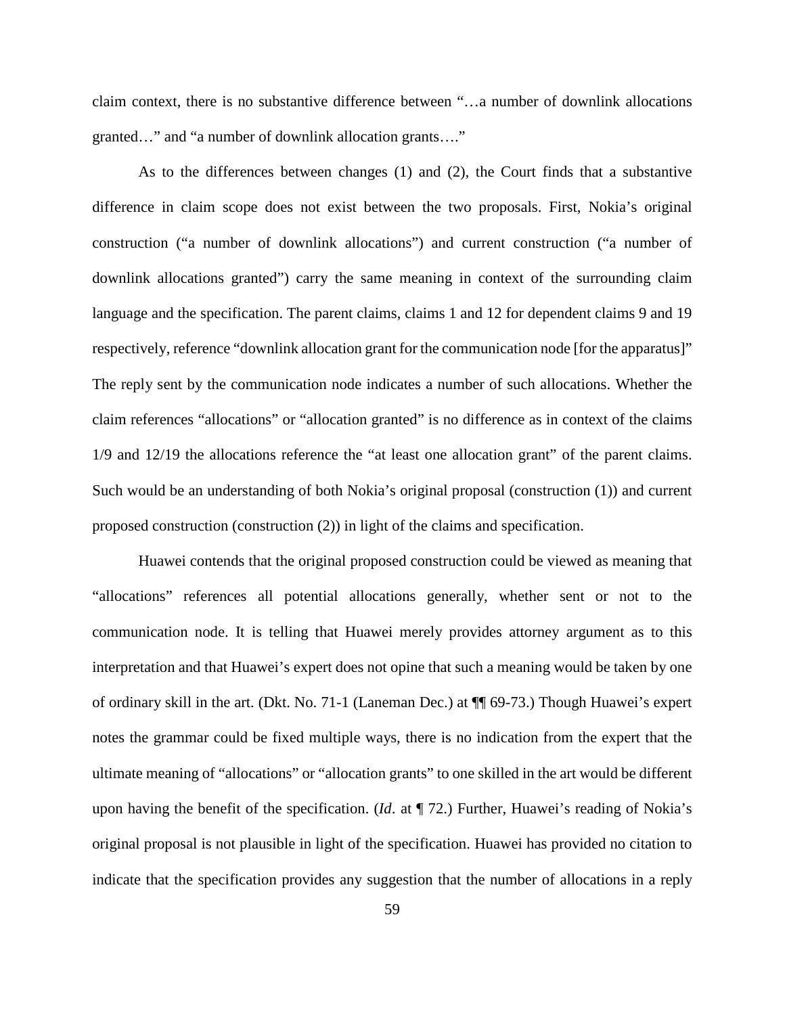claim context, there is no substantive difference between "…a number of downlink allocations granted…" and "a number of downlink allocation grants…."

As to the differences between changes (1) and (2), the Court finds that a substantive difference in claim scope does not exist between the two proposals. First, Nokia's original construction ("a number of downlink allocations") and current construction ("a number of downlink allocations granted") carry the same meaning in context of the surrounding claim language and the specification. The parent claims, claims 1 and 12 for dependent claims 9 and 19 respectively, reference "downlink allocation grant for the communication node [for the apparatus]" The reply sent by the communication node indicates a number of such allocations. Whether the claim references "allocations" or "allocation granted" is no difference as in context of the claims 1/9 and 12/19 the allocations reference the "at least one allocation grant" of the parent claims. Such would be an understanding of both Nokia's original proposal (construction (1)) and current proposed construction (construction (2)) in light of the claims and specification.

Huawei contends that the original proposed construction could be viewed as meaning that "allocations" references all potential allocations generally, whether sent or not to the communication node. It is telling that Huawei merely provides attorney argument as to this interpretation and that Huawei's expert does not opine that such a meaning would be taken by one of ordinary skill in the art. (Dkt. No. 71-1 (Laneman Dec.) at ¶¶ 69-73.) Though Huawei's expert notes the grammar could be fixed multiple ways, there is no indication from the expert that the ultimate meaning of "allocations" or "allocation grants" to one skilled in the art would be different upon having the benefit of the specification. (*Id*. at ¶ 72.) Further, Huawei's reading of Nokia's original proposal is not plausible in light of the specification. Huawei has provided no citation to indicate that the specification provides any suggestion that the number of allocations in a reply